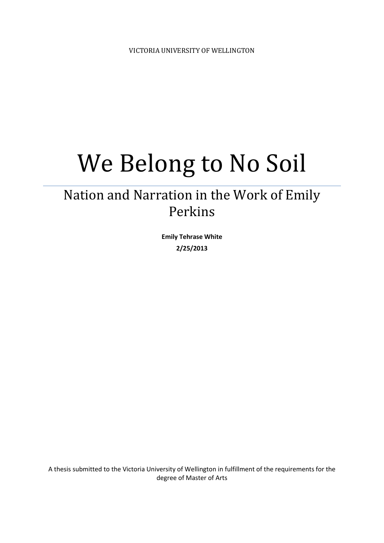# We Belong to No Soil

# Nation and Narration in the Work of Emily Perkins

**Emily Tehrase White 2/25/2013**

A thesis submitted to the Victoria University of Wellington in fulfillment of the requirements for the degree of Master of Arts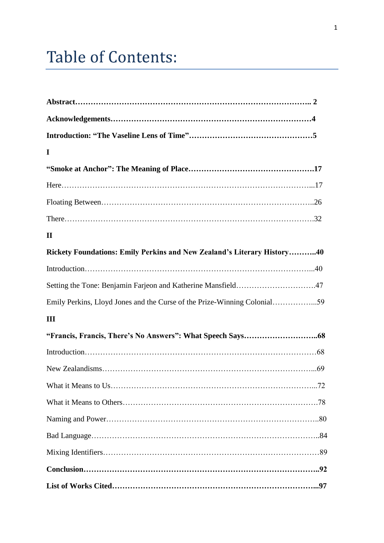# **Table of Contents:**

| I                                                                       |  |
|-------------------------------------------------------------------------|--|
|                                                                         |  |
|                                                                         |  |
|                                                                         |  |
|                                                                         |  |
| $\mathbf{I}\mathbf{I}$                                                  |  |
| Rickety Foundations: Emily Perkins and New Zealand's Literary History40 |  |
|                                                                         |  |
|                                                                         |  |
|                                                                         |  |
| Ш                                                                       |  |
|                                                                         |  |
|                                                                         |  |
|                                                                         |  |
|                                                                         |  |
|                                                                         |  |
|                                                                         |  |
|                                                                         |  |
|                                                                         |  |
|                                                                         |  |
|                                                                         |  |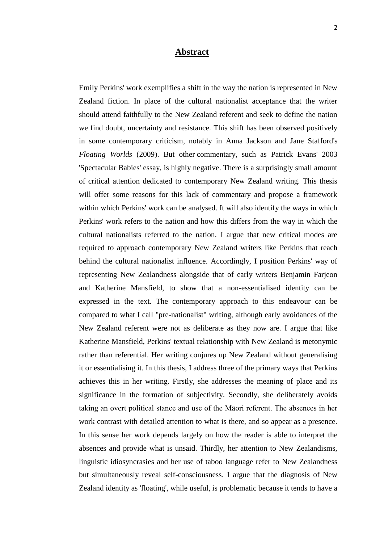### **Abstract**

Emily Perkins' work exemplifies a shift in the way the nation is represented in New Zealand fiction. In place of the cultural nationalist acceptance that the writer should attend faithfully to the New Zealand referent and seek to define the nation we find doubt, uncertainty and resistance. This shift has been observed positively in some contemporary criticism, notably in Anna Jackson and Jane Stafford's *Floating Worlds* (2009). But other commentary, such as Patrick Evans' 2003 'Spectacular Babies' essay, is highly negative. There is a surprisingly small amount of critical attention dedicated to contemporary New Zealand writing. This thesis will offer some reasons for this lack of commentary and propose a framework within which Perkins' work can be analysed. It will also identify the ways in which Perkins' work refers to the nation and how this differs from the way in which the cultural nationalists referred to the nation. I argue that new critical modes are required to approach contemporary New Zealand writers like Perkins that reach behind the cultural nationalist influence. Accordingly, I position Perkins' way of representing New Zealandness alongside that of early writers Benjamin Farjeon and Katherine Mansfield, to show that a non-essentialised identity can be expressed in the text. The contemporary approach to this endeavour can be compared to what I call "pre-nationalist" writing, although early avoidances of the New Zealand referent were not as deliberate as they now are. I argue that like Katherine Mansfield, Perkins' textual relationship with New Zealand is metonymic rather than referential. Her writing conjures up New Zealand without generalising it or essentialising it. In this thesis, I address three of the primary ways that Perkins achieves this in her writing. Firstly, she addresses the meaning of place and its significance in the formation of subjectivity. Secondly, she deliberately avoids taking an overt political stance and use of the Māori referent. The absences in her work contrast with detailed attention to what is there, and so appear as a presence. In this sense her work depends largely on how the reader is able to interpret the absences and provide what is unsaid. Thirdly, her attention to New Zealandisms, linguistic idiosyncrasies and her use of taboo language refer to New Zealandness but simultaneously reveal self-consciousness. I argue that the diagnosis of New Zealand identity as 'floating', while useful, is problematic because it tends to have a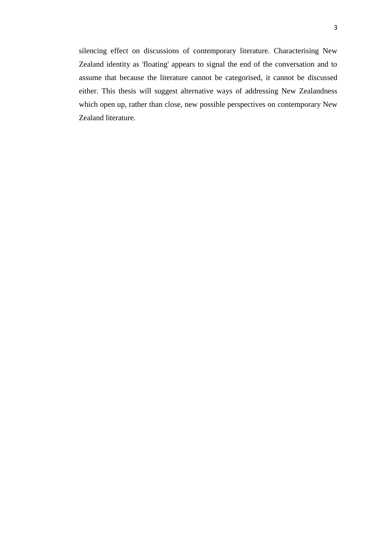silencing effect on discussions of contemporary literature. Characterising New Zealand identity as 'floating' appears to signal the end of the conversation and to assume that because the literature cannot be categorised, it cannot be discussed either. This thesis will suggest alternative ways of addressing New Zealandness which open up, rather than close, new possible perspectives on contemporary New Zealand literature.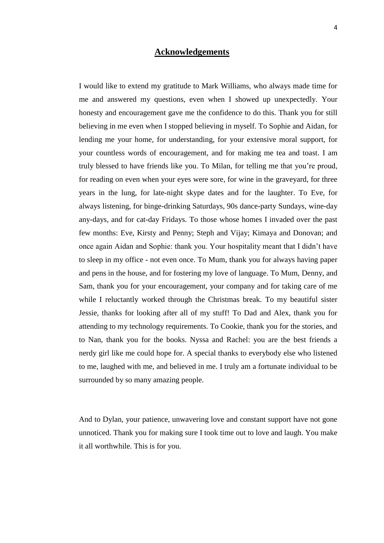# **Acknowledgements**

I would like to extend my gratitude to Mark Williams, who always made time for me and answered my questions, even when I showed up unexpectedly. Your honesty and encouragement gave me the confidence to do this. Thank you for still believing in me even when I stopped believing in myself. To Sophie and Aidan, for lending me your home, for understanding, for your extensive moral support, for your countless words of encouragement, and for making me tea and toast. I am truly blessed to have friends like you. To Milan, for telling me that you're proud, for reading on even when your eyes were sore, for wine in the graveyard, for three years in the lung, for late-night skype dates and for the laughter. To Eve, for always listening, for binge-drinking Saturdays, 90s dance-party Sundays, wine-day any-days, and for cat-day Fridays. To those whose homes I invaded over the past few months: Eve, Kirsty and Penny; Steph and Vijay; Kimaya and Donovan; and once again Aidan and Sophie: thank you. Your hospitality meant that I didn't have to sleep in my office - not even once. To Mum, thank you for always having paper and pens in the house, and for fostering my love of language. To Mum, Denny, and Sam, thank you for your encouragement, your company and for taking care of me while I reluctantly worked through the Christmas break. To my beautiful sister Jessie, thanks for looking after all of my stuff! To Dad and Alex, thank you for attending to my technology requirements. To Cookie, thank you for the stories, and to Nan, thank you for the books. Nyssa and Rachel: you are the best friends a nerdy girl like me could hope for. A special thanks to everybody else who listened to me, laughed with me, and believed in me. I truly am a fortunate individual to be surrounded by so many amazing people.

And to Dylan, your patience, unwavering love and constant support have not gone unnoticed. Thank you for making sure I took time out to love and laugh. You make it all worthwhile. This is for you.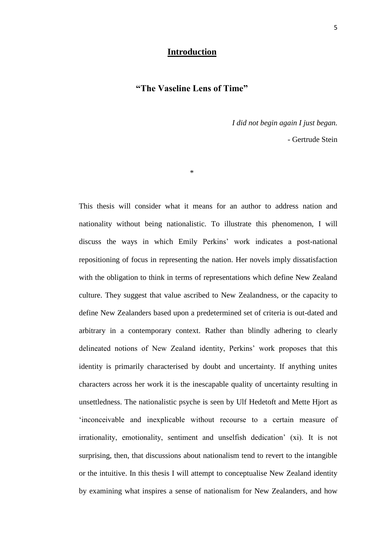# **Introduction**

# **"The Vaseline Lens of Time"**

\*

*I did not begin again I just began.*

- Gertrude Stein

This thesis will consider what it means for an author to address nation and nationality without being nationalistic. To illustrate this phenomenon, I will discuss the ways in which Emily Perkins' work indicates a post-national repositioning of focus in representing the nation. Her novels imply dissatisfaction with the obligation to think in terms of representations which define New Zealand culture. They suggest that value ascribed to New Zealandness, or the capacity to define New Zealanders based upon a predetermined set of criteria is out-dated and arbitrary in a contemporary context. Rather than blindly adhering to clearly delineated notions of New Zealand identity, Perkins' work proposes that this identity is primarily characterised by doubt and uncertainty. If anything unites characters across her work it is the inescapable quality of uncertainty resulting in unsettledness. The nationalistic psyche is seen by Ulf Hedetoft and Mette Hjort as ‗inconceivable and inexplicable without recourse to a certain measure of irrationality, emotionality, sentiment and unselfish dedication' (xi). It is not surprising, then, that discussions about nationalism tend to revert to the intangible or the intuitive. In this thesis I will attempt to conceptualise New Zealand identity by examining what inspires a sense of nationalism for New Zealanders, and how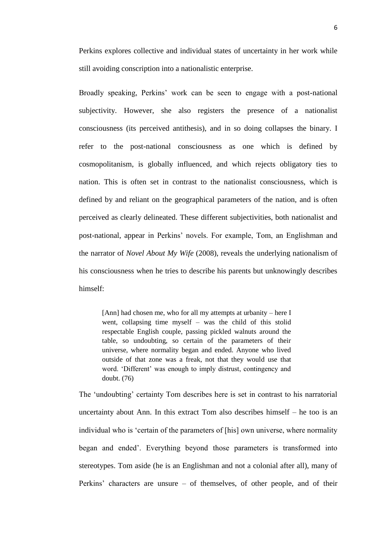Perkins explores collective and individual states of uncertainty in her work while still avoiding conscription into a nationalistic enterprise.

Broadly speaking, Perkins' work can be seen to engage with a post-national subjectivity. However, she also registers the presence of a nationalist consciousness (its perceived antithesis), and in so doing collapses the binary. I refer to the post-national consciousness as one which is defined by cosmopolitanism, is globally influenced, and which rejects obligatory ties to nation. This is often set in contrast to the nationalist consciousness, which is defined by and reliant on the geographical parameters of the nation, and is often perceived as clearly delineated. These different subjectivities, both nationalist and post-national, appear in Perkins' novels. For example, Tom, an Englishman and the narrator of *Novel About My Wife* (2008), reveals the underlying nationalism of his consciousness when he tries to describe his parents but unknowingly describes himself:

[Ann] had chosen me, who for all my attempts at urbanity – here I went, collapsing time myself – was the child of this stolid respectable English couple, passing pickled walnuts around the table, so undoubting, so certain of the parameters of their universe, where normality began and ended. Anyone who lived outside of that zone was a freak, not that they would use that word. ‗Different' was enough to imply distrust, contingency and doubt. (76)

The 'undoubting' certainty Tom describes here is set in contrast to his narratorial uncertainty about Ann. In this extract Tom also describes himself – he too is an individual who is 'certain of the parameters of [his] own universe, where normality began and ended'. Everything beyond those parameters is transformed into stereotypes. Tom aside (he is an Englishman and not a colonial after all), many of Perkins' characters are unsure – of themselves, of other people, and of their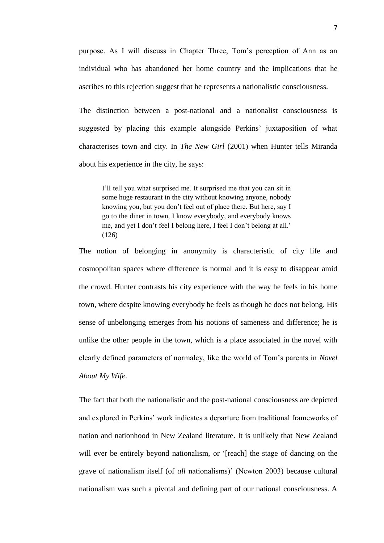purpose. As I will discuss in Chapter Three, Tom's perception of Ann as an individual who has abandoned her home country and the implications that he ascribes to this rejection suggest that he represents a nationalistic consciousness.

The distinction between a post-national and a nationalist consciousness is suggested by placing this example alongside Perkins' juxtaposition of what characterises town and city. In *The New Girl* (2001) when Hunter tells Miranda about his experience in the city, he says:

I'll tell you what surprised me. It surprised me that you can sit in some huge restaurant in the city without knowing anyone, nobody knowing you, but you don't feel out of place there. But here, say I go to the diner in town, I know everybody, and everybody knows me, and yet I don't feel I belong here, I feel I don't belong at all.' (126)

The notion of belonging in anonymity is characteristic of city life and cosmopolitan spaces where difference is normal and it is easy to disappear amid the crowd. Hunter contrasts his city experience with the way he feels in his home town, where despite knowing everybody he feels as though he does not belong. His sense of unbelonging emerges from his notions of sameness and difference; he is unlike the other people in the town, which is a place associated in the novel with clearly defined parameters of normalcy, like the world of Tom's parents in *Novel About My Wife*.

The fact that both the nationalistic and the post-national consciousness are depicted and explored in Perkins' work indicates a departure from traditional frameworks of nation and nationhood in New Zealand literature. It is unlikely that New Zealand will ever be entirely beyond nationalism, or '[reach] the stage of dancing on the grave of nationalism itself (of *all* nationalisms)' (Newton 2003) because cultural nationalism was such a pivotal and defining part of our national consciousness. A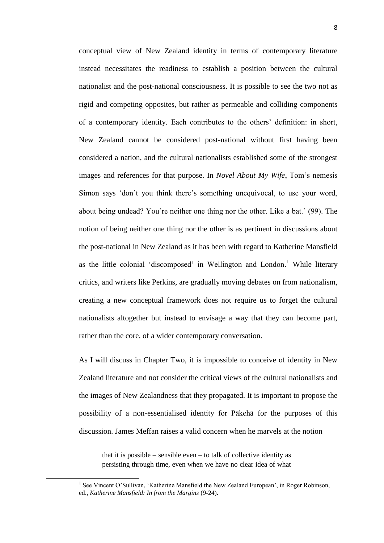conceptual view of New Zealand identity in terms of contemporary literature instead necessitates the readiness to establish a position between the cultural nationalist and the post-national consciousness. It is possible to see the two not as rigid and competing opposites, but rather as permeable and colliding components of a contemporary identity. Each contributes to the others' definition: in short, New Zealand cannot be considered post-national without first having been considered a nation, and the cultural nationalists established some of the strongest images and references for that purpose. In *Novel About My Wife*, Tom's nemesis Simon says 'don't you think there's something unequivocal, to use your word, about being undead? You're neither one thing nor the other. Like a bat.' (99). The notion of being neither one thing nor the other is as pertinent in discussions about the post-national in New Zealand as it has been with regard to Katherine Mansfield as the little colonial 'discomposed' in Wellington and London.<sup>1</sup> While literary critics, and writers like Perkins, are gradually moving debates on from nationalism, creating a new conceptual framework does not require us to forget the cultural nationalists altogether but instead to envisage a way that they can become part, rather than the core, of a wider contemporary conversation.

As I will discuss in Chapter Two, it is impossible to conceive of identity in New Zealand literature and not consider the critical views of the cultural nationalists and the images of New Zealandness that they propagated. It is important to propose the possibility of a non-essentialised identity for Pākehā for the purposes of this discussion. James Meffan raises a valid concern when he marvels at the notion

that it is possible – sensible even – to talk of collective identity as persisting through time, even when we have no clear idea of what

**.** 

<sup>&</sup>lt;sup>1</sup> See Vincent O'Sullivan, 'Katherine Mansfield the New Zealand European', in Roger Robinson, ed., *Katherine Mansfield: In from the Margins* (9-24).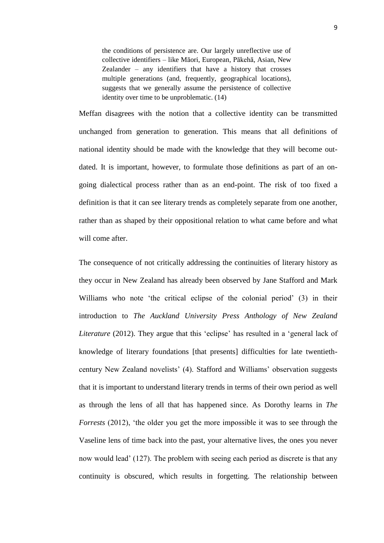the conditions of persistence are. Our largely unreflective use of collective identifiers – like Māori, European, Pākehā, Asian, New Zealander – any identifiers that have a history that crosses multiple generations (and, frequently, geographical locations), suggests that we generally assume the persistence of collective identity over time to be unproblematic. (14)

Meffan disagrees with the notion that a collective identity can be transmitted unchanged from generation to generation. This means that all definitions of national identity should be made with the knowledge that they will become outdated. It is important, however, to formulate those definitions as part of an ongoing dialectical process rather than as an end-point. The risk of too fixed a definition is that it can see literary trends as completely separate from one another, rather than as shaped by their oppositional relation to what came before and what will come after.

The consequence of not critically addressing the continuities of literary history as they occur in New Zealand has already been observed by Jane Stafford and Mark Williams who note 'the critical eclipse of the colonial period' (3) in their introduction to *The Auckland University Press Anthology of New Zealand Literature* (2012). They argue that this 'eclipse' has resulted in a 'general lack of knowledge of literary foundations [that presents] difficulties for late twentiethcentury New Zealand novelists' (4). Stafford and Williams' observation suggests that it is important to understand literary trends in terms of their own period as well as through the lens of all that has happened since. As Dorothy learns in *The Forrests* (2012), 'the older you get the more impossible it was to see through the Vaseline lens of time back into the past, your alternative lives, the ones you never now would lead' (127). The problem with seeing each period as discrete is that any continuity is obscured, which results in forgetting. The relationship between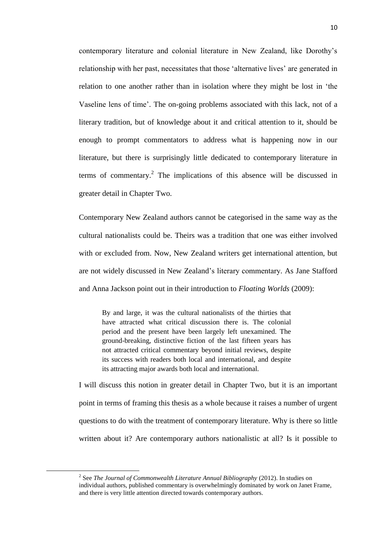contemporary literature and colonial literature in New Zealand, like Dorothy's relationship with her past, necessitates that those 'alternative lives' are generated in relation to one another rather than in isolation where they might be lost in 'the Vaseline lens of time'. The on-going problems associated with this lack, not of a literary tradition, but of knowledge about it and critical attention to it, should be enough to prompt commentators to address what is happening now in our literature, but there is surprisingly little dedicated to contemporary literature in terms of commentary.<sup>2</sup> The implications of this absence will be discussed in greater detail in Chapter Two.

Contemporary New Zealand authors cannot be categorised in the same way as the cultural nationalists could be. Theirs was a tradition that one was either involved with or excluded from. Now, New Zealand writers get international attention, but are not widely discussed in New Zealand's literary commentary. As Jane Stafford and Anna Jackson point out in their introduction to *Floating Worlds* (2009):

By and large, it was the cultural nationalists of the thirties that have attracted what critical discussion there is. The colonial period and the present have been largely left unexamined. The ground-breaking, distinctive fiction of the last fifteen years has not attracted critical commentary beyond initial reviews, despite its success with readers both local and international, and despite its attracting major awards both local and international.

I will discuss this notion in greater detail in Chapter Two, but it is an important point in terms of framing this thesis as a whole because it raises a number of urgent questions to do with the treatment of contemporary literature. Why is there so little written about it? Are contemporary authors nationalistic at all? Is it possible to

1

<sup>&</sup>lt;sup>2</sup> See *The Journal of Commonwealth Literature Annual Bibliography (2012). In studies on* individual authors, published commentary is overwhelmingly dominated by work on Janet Frame, and there is very little attention directed towards contemporary authors.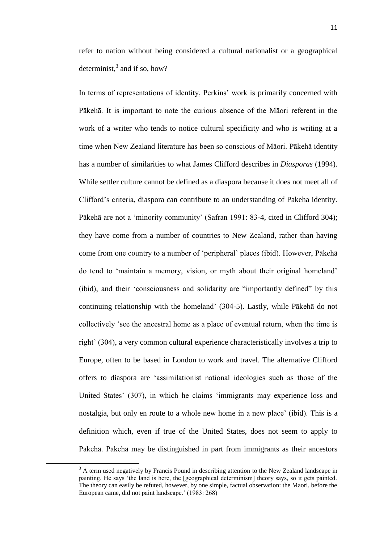refer to nation without being considered a cultural nationalist or a geographical determinist, $3$  and if so, how?

In terms of representations of identity, Perkins' work is primarily concerned with Pākehā. It is important to note the curious absence of the Māori referent in the work of a writer who tends to notice cultural specificity and who is writing at a time when New Zealand literature has been so conscious of Māori. Pākehā identity has a number of similarities to what James Clifford describes in *Diasporas* (1994). While settler culture cannot be defined as a diaspora because it does not meet all of Clifford's criteria, diaspora can contribute to an understanding of Pakeha identity. Pākehā are not a 'minority community' (Safran 1991: 83-4, cited in Clifford 304); they have come from a number of countries to New Zealand, rather than having come from one country to a number of 'peripheral' places (ibid). However, Pākehā do tend to ‗maintain a memory, vision, or myth about their original homeland' (ibid), and their 'consciousness and solidarity are "importantly defined" by this continuing relationship with the homeland' (304-5). Lastly, while Pākehā do not collectively 'see the ancestral home as a place of eventual return, when the time is right' (304), a very common cultural experience characteristically involves a trip to Europe, often to be based in London to work and travel. The alternative Clifford offers to diaspora are ‗assimilationist national ideologies such as those of the United States' (307), in which he claims 'immigrants may experience loss and nostalgia, but only en route to a whole new home in a new place' (ibid). This is a definition which, even if true of the United States, does not seem to apply to Pākehā. Pākehā may be distinguished in part from immigrants as their ancestors

**.** 

 $3$  A term used negatively by Francis Pound in describing attention to the New Zealand landscape in painting. He says 'the land is here, the [geographical determinism] theory says, so it gets painted. The theory can easily be refuted, however, by one simple, factual observation: the Maori, before the European came, did not paint landscape.' (1983: 268)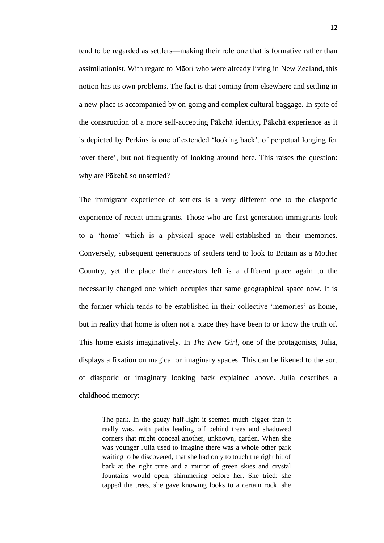tend to be regarded as settlers—making their role one that is formative rather than assimilationist. With regard to Māori who were already living in New Zealand, this notion has its own problems. The fact is that coming from elsewhere and settling in a new place is accompanied by on-going and complex cultural baggage. In spite of the construction of a more self-accepting Pākehā identity, Pākehā experience as it is depicted by Perkins is one of extended 'looking back', of perpetual longing for ‗over there', but not frequently of looking around here. This raises the question: why are Pākehā so unsettled?

The immigrant experience of settlers is a very different one to the diasporic experience of recent immigrants. Those who are first-generation immigrants look to a ‗home' which is a physical space well-established in their memories. Conversely, subsequent generations of settlers tend to look to Britain as a Mother Country, yet the place their ancestors left is a different place again to the necessarily changed one which occupies that same geographical space now. It is the former which tends to be established in their collective 'memories' as home, but in reality that home is often not a place they have been to or know the truth of. This home exists imaginatively. In *The New Girl*, one of the protagonists, Julia, displays a fixation on magical or imaginary spaces. This can be likened to the sort of diasporic or imaginary looking back explained above. Julia describes a childhood memory:

The park. In the gauzy half-light it seemed much bigger than it really was, with paths leading off behind trees and shadowed corners that might conceal another, unknown, garden. When she was younger Julia used to imagine there was a whole other park waiting to be discovered, that she had only to touch the right bit of bark at the right time and a mirror of green skies and crystal fountains would open, shimmering before her. She tried: she tapped the trees, she gave knowing looks to a certain rock, she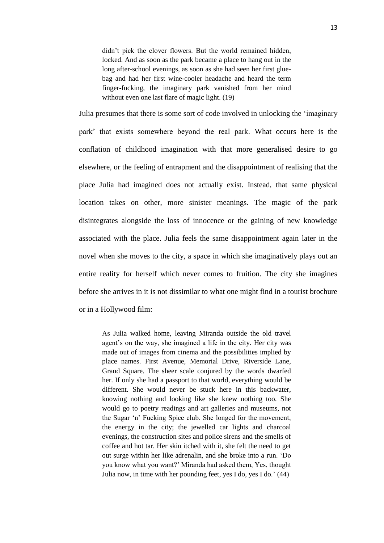didn't pick the clover flowers. But the world remained hidden, locked. And as soon as the park became a place to hang out in the long after-school evenings, as soon as she had seen her first gluebag and had her first wine-cooler headache and heard the term finger-fucking, the imaginary park vanished from her mind without even one last flare of magic light. (19)

Julia presumes that there is some sort of code involved in unlocking the ‗imaginary park' that exists somewhere beyond the real park. What occurs here is the conflation of childhood imagination with that more generalised desire to go elsewhere, or the feeling of entrapment and the disappointment of realising that the place Julia had imagined does not actually exist. Instead, that same physical location takes on other, more sinister meanings. The magic of the park disintegrates alongside the loss of innocence or the gaining of new knowledge associated with the place. Julia feels the same disappointment again later in the novel when she moves to the city, a space in which she imaginatively plays out an entire reality for herself which never comes to fruition. The city she imagines before she arrives in it is not dissimilar to what one might find in a tourist brochure or in a Hollywood film:

As Julia walked home, leaving Miranda outside the old travel agent's on the way, she imagined a life in the city. Her city was made out of images from cinema and the possibilities implied by place names. First Avenue, Memorial Drive, Riverside Lane, Grand Square. The sheer scale conjured by the words dwarfed her. If only she had a passport to that world, everything would be different. She would never be stuck here in this backwater, knowing nothing and looking like she knew nothing too. She would go to poetry readings and art galleries and museums, not the Sugar 'n' Fucking Spice club. She longed for the movement, the energy in the city; the jewelled car lights and charcoal evenings, the construction sites and police sirens and the smells of coffee and hot tar. Her skin itched with it, she felt the need to get out surge within her like adrenalin, and she broke into a run. ‗Do you know what you want?' Miranda had asked them, Yes, thought Julia now, in time with her pounding feet, yes I do, yes I do.' (44)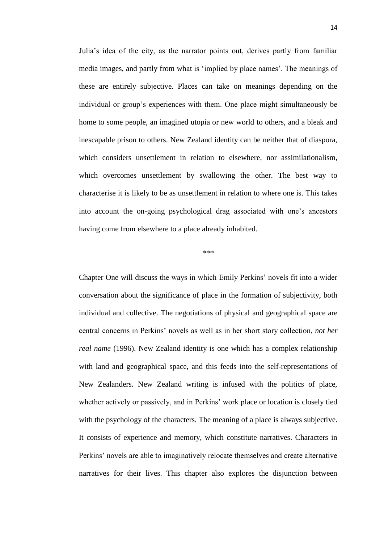Julia's idea of the city, as the narrator points out, derives partly from familiar media images, and partly from what is 'implied by place names'. The meanings of these are entirely subjective. Places can take on meanings depending on the individual or group's experiences with them. One place might simultaneously be home to some people, an imagined utopia or new world to others, and a bleak and inescapable prison to others. New Zealand identity can be neither that of diaspora, which considers unsettlement in relation to elsewhere, nor assimilationalism, which overcomes unsettlement by swallowing the other. The best way to characterise it is likely to be as unsettlement in relation to where one is. This takes into account the on-going psychological drag associated with one's ancestors having come from elsewhere to a place already inhabited.

#### \*\*\*

Chapter One will discuss the ways in which Emily Perkins' novels fit into a wider conversation about the significance of place in the formation of subjectivity, both individual and collective. The negotiations of physical and geographical space are central concerns in Perkins' novels as well as in her short story collection, *not her real name* (1996). New Zealand identity is one which has a complex relationship with land and geographical space, and this feeds into the self-representations of New Zealanders. New Zealand writing is infused with the politics of place, whether actively or passively, and in Perkins' work place or location is closely tied with the psychology of the characters. The meaning of a place is always subjective. It consists of experience and memory, which constitute narratives. Characters in Perkins' novels are able to imaginatively relocate themselves and create alternative narratives for their lives. This chapter also explores the disjunction between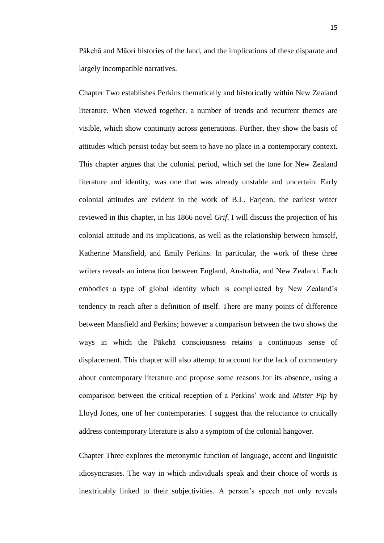Pākehā and Māori histories of the land, and the implications of these disparate and largely incompatible narratives.

Chapter Two establishes Perkins thematically and historically within New Zealand literature. When viewed together, a number of trends and recurrent themes are visible, which show continuity across generations. Further, they show the basis of attitudes which persist today but seem to have no place in a contemporary context. This chapter argues that the colonial period, which set the tone for New Zealand literature and identity, was one that was already unstable and uncertain. Early colonial attitudes are evident in the work of B.L. Farjeon, the earliest writer reviewed in this chapter, in his 1866 novel *Grif*. I will discuss the projection of his colonial attitude and its implications, as well as the relationship between himself, Katherine Mansfield, and Emily Perkins. In particular, the work of these three writers reveals an interaction between England, Australia, and New Zealand. Each embodies a type of global identity which is complicated by New Zealand's tendency to reach after a definition of itself. There are many points of difference between Mansfield and Perkins; however a comparison between the two shows the ways in which the Pākehā consciousness retains a continuous sense of displacement. This chapter will also attempt to account for the lack of commentary about contemporary literature and propose some reasons for its absence, using a comparison between the critical reception of a Perkins' work and *Mister Pip* by Lloyd Jones, one of her contemporaries. I suggest that the reluctance to critically address contemporary literature is also a symptom of the colonial hangover.

Chapter Three explores the metonymic function of language, accent and linguistic idiosyncrasies. The way in which individuals speak and their choice of words is inextricably linked to their subjectivities. A person's speech not only reveals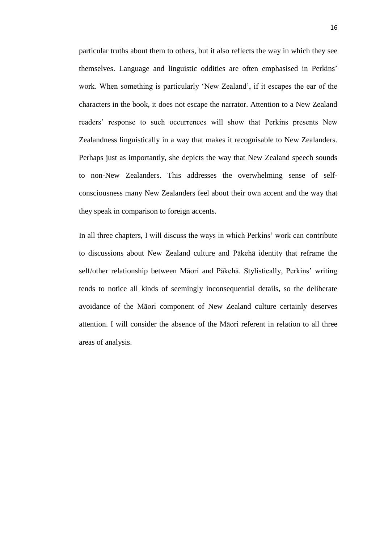particular truths about them to others, but it also reflects the way in which they see themselves. Language and linguistic oddities are often emphasised in Perkins' work. When something is particularly 'New Zealand', if it escapes the ear of the characters in the book, it does not escape the narrator. Attention to a New Zealand readers' response to such occurrences will show that Perkins presents New Zealandness linguistically in a way that makes it recognisable to New Zealanders. Perhaps just as importantly, she depicts the way that New Zealand speech sounds to non-New Zealanders. This addresses the overwhelming sense of selfconsciousness many New Zealanders feel about their own accent and the way that they speak in comparison to foreign accents.

In all three chapters, I will discuss the ways in which Perkins' work can contribute to discussions about New Zealand culture and Pākehā identity that reframe the self/other relationship between Māori and Pākehā. Stylistically, Perkins' writing tends to notice all kinds of seemingly inconsequential details, so the deliberate avoidance of the Māori component of New Zealand culture certainly deserves attention. I will consider the absence of the Māori referent in relation to all three areas of analysis.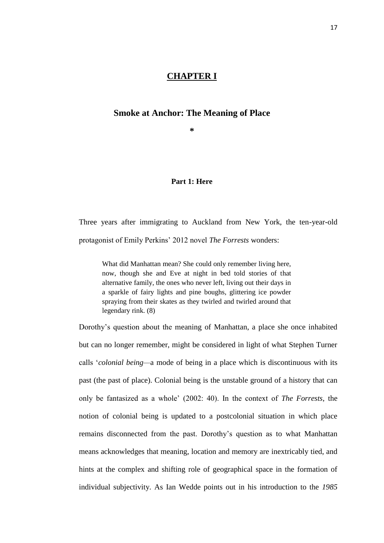# **CHAPTER I**

# **Smoke at Anchor: The Meaning of Place**

**\***

# **Part 1: Here**

Three years after immigrating to Auckland from New York, the ten-year-old protagonist of Emily Perkins' 2012 novel *The Forrests* wonders:

What did Manhattan mean? She could only remember living here, now, though she and Eve at night in bed told stories of that alternative family, the ones who never left, living out their days in a sparkle of fairy lights and pine boughs, glittering ice powder spraying from their skates as they twirled and twirled around that legendary rink. (8)

Dorothy's question about the meaning of Manhattan, a place she once inhabited but can no longer remember, might be considered in light of what Stephen Turner calls ‗*colonial being—*a mode of being in a place which is discontinuous with its past (the past of place). Colonial being is the unstable ground of a history that can only be fantasized as a whole' (2002: 40). In the context of *The Forrests*, the notion of colonial being is updated to a postcolonial situation in which place remains disconnected from the past. Dorothy's question as to what Manhattan means acknowledges that meaning, location and memory are inextricably tied, and hints at the complex and shifting role of geographical space in the formation of individual subjectivity. As Ian Wedde points out in his introduction to the *1985*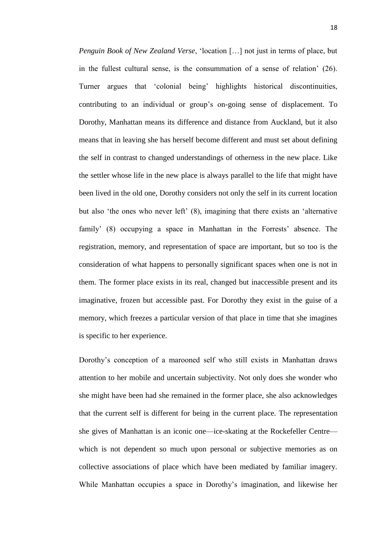*Penguin Book of New Zealand Verse*, 'location [...] not just in terms of place, but in the fullest cultural sense, is the consummation of a sense of relation' (26). Turner argues that 'colonial being' highlights historical discontinuities, contributing to an individual or group's on-going sense of displacement. To Dorothy, Manhattan means its difference and distance from Auckland, but it also means that in leaving she has herself become different and must set about defining the self in contrast to changed understandings of otherness in the new place. Like the settler whose life in the new place is always parallel to the life that might have been lived in the old one, Dorothy considers not only the self in its current location but also 'the ones who never left'  $(8)$ , imagining that there exists an 'alternative family' (8) occupying a space in Manhattan in the Forrests' absence. The registration, memory, and representation of space are important, but so too is the consideration of what happens to personally significant spaces when one is not in them. The former place exists in its real, changed but inaccessible present and its imaginative, frozen but accessible past. For Dorothy they exist in the guise of a memory, which freezes a particular version of that place in time that she imagines is specific to her experience.

Dorothy's conception of a marooned self who still exists in Manhattan draws attention to her mobile and uncertain subjectivity. Not only does she wonder who she might have been had she remained in the former place, she also acknowledges that the current self is different for being in the current place. The representation she gives of Manhattan is an iconic one—ice-skating at the Rockefeller Centre which is not dependent so much upon personal or subjective memories as on collective associations of place which have been mediated by familiar imagery. While Manhattan occupies a space in Dorothy's imagination, and likewise her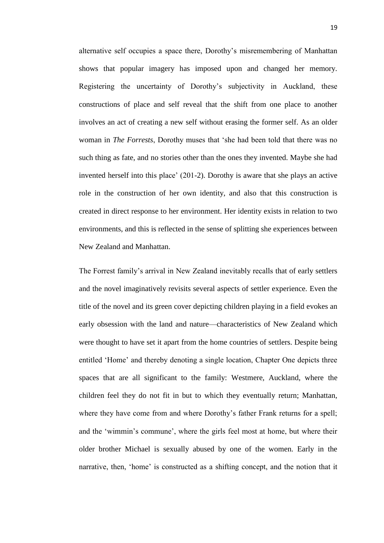alternative self occupies a space there, Dorothy's misremembering of Manhattan shows that popular imagery has imposed upon and changed her memory. Registering the uncertainty of Dorothy's subjectivity in Auckland, these constructions of place and self reveal that the shift from one place to another involves an act of creating a new self without erasing the former self. As an older woman in *The Forrests*, Dorothy muses that 'she had been told that there was no such thing as fate, and no stories other than the ones they invented. Maybe she had invented herself into this place' (201-2). Dorothy is aware that she plays an active role in the construction of her own identity, and also that this construction is created in direct response to her environment. Her identity exists in relation to two environments, and this is reflected in the sense of splitting she experiences between New Zealand and Manhattan.

The Forrest family's arrival in New Zealand inevitably recalls that of early settlers and the novel imaginatively revisits several aspects of settler experience. Even the title of the novel and its green cover depicting children playing in a field evokes an early obsession with the land and nature—characteristics of New Zealand which were thought to have set it apart from the home countries of settlers. Despite being entitled ‗Home' and thereby denoting a single location, Chapter One depicts three spaces that are all significant to the family: Westmere, Auckland, where the children feel they do not fit in but to which they eventually return; Manhattan, where they have come from and where Dorothy's father Frank returns for a spell; and the 'wimmin's commune', where the girls feel most at home, but where their older brother Michael is sexually abused by one of the women. Early in the narrative, then, 'home' is constructed as a shifting concept, and the notion that it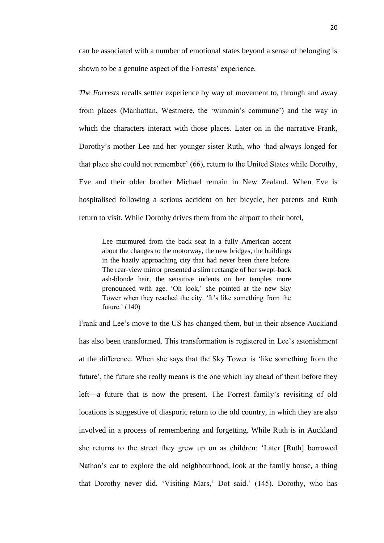can be associated with a number of emotional states beyond a sense of belonging is shown to be a genuine aspect of the Forrests' experience.

*The Forrests* recalls settler experience by way of movement to, through and away from places (Manhattan, Westmere, the 'wimmin's commune') and the way in which the characters interact with those places. Later on in the narrative Frank, Dorothy's mother Lee and her younger sister Ruth, who 'had always longed for that place she could not remember' (66), return to the United States while Dorothy, Eve and their older brother Michael remain in New Zealand. When Eve is hospitalised following a serious accident on her bicycle, her parents and Ruth return to visit. While Dorothy drives them from the airport to their hotel,

Lee murmured from the back seat in a fully American accent about the changes to the motorway, the new bridges, the buildings in the hazily approaching city that had never been there before. The rear-view mirror presented a slim rectangle of her swept-back ash-blonde hair, the sensitive indents on her temples more pronounced with age. ‗Oh look,' she pointed at the new Sky Tower when they reached the city. 'It's like something from the future.' (140)

Frank and Lee's move to the US has changed them, but in their absence Auckland has also been transformed. This transformation is registered in Lee's astonishment at the difference. When she says that the Sky Tower is ‗like something from the future', the future she really means is the one which lay ahead of them before they left—a future that is now the present. The Forrest family's revisiting of old locations is suggestive of diasporic return to the old country, in which they are also involved in a process of remembering and forgetting. While Ruth is in Auckland she returns to the street they grew up on as children: ‗Later [Ruth] borrowed Nathan's car to explore the old neighbourhood, look at the family house, a thing that Dorothy never did. ‗Visiting Mars,' Dot said.' (145). Dorothy, who has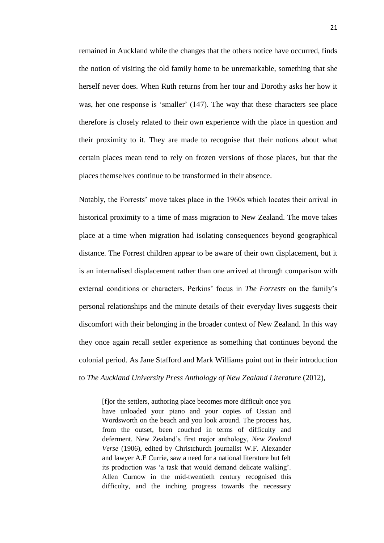remained in Auckland while the changes that the others notice have occurred, finds the notion of visiting the old family home to be unremarkable, something that she herself never does. When Ruth returns from her tour and Dorothy asks her how it was, her one response is 'smaller' (147). The way that these characters see place therefore is closely related to their own experience with the place in question and their proximity to it. They are made to recognise that their notions about what certain places mean tend to rely on frozen versions of those places, but that the places themselves continue to be transformed in their absence.

Notably, the Forrests' move takes place in the 1960s which locates their arrival in historical proximity to a time of mass migration to New Zealand. The move takes place at a time when migration had isolating consequences beyond geographical distance. The Forrest children appear to be aware of their own displacement, but it is an internalised displacement rather than one arrived at through comparison with external conditions or characters. Perkins' focus in *The Forrests* on the family's personal relationships and the minute details of their everyday lives suggests their discomfort with their belonging in the broader context of New Zealand. In this way they once again recall settler experience as something that continues beyond the colonial period. As Jane Stafford and Mark Williams point out in their introduction to *The Auckland University Press Anthology of New Zealand Literature* (2012),

[f]or the settlers, authoring place becomes more difficult once you have unloaded your piano and your copies of Ossian and Wordsworth on the beach and you look around. The process has, from the outset, been couched in terms of difficulty and deferment. New Zealand's first major anthology, *New Zealand Verse* (1906), edited by Christchurch journalist W.F. Alexander and lawyer A.E Currie, saw a need for a national literature but felt its production was ‗a task that would demand delicate walking'. Allen Curnow in the mid-twentieth century recognised this difficulty, and the inching progress towards the necessary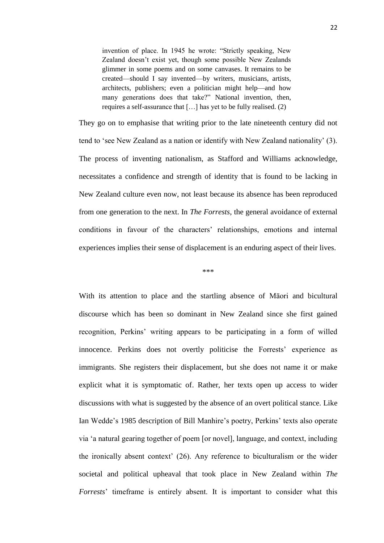invention of place. In 1945 he wrote: "Strictly speaking, New Zealand doesn't exist yet, though some possible New Zealands glimmer in some poems and on some canvases. It remains to be created—should I say invented—by writers, musicians, artists, architects, publishers; even a politician might help—and how many generations does that take?" National invention, then, requires a self-assurance that […] has yet to be fully realised. (2)

They go on to emphasise that writing prior to the late nineteenth century did not tend to 'see New Zealand as a nation or identify with New Zealand nationality' (3). The process of inventing nationalism, as Stafford and Williams acknowledge, necessitates a confidence and strength of identity that is found to be lacking in New Zealand culture even now, not least because its absence has been reproduced from one generation to the next. In *The Forrests*, the general avoidance of external conditions in favour of the characters' relationships, emotions and internal experiences implies their sense of displacement is an enduring aspect of their lives.

\*\*\*

With its attention to place and the startling absence of Māori and bicultural discourse which has been so dominant in New Zealand since she first gained recognition, Perkins' writing appears to be participating in a form of willed innocence. Perkins does not overtly politicise the Forrests' experience as immigrants. She registers their displacement, but she does not name it or make explicit what it is symptomatic of. Rather, her texts open up access to wider discussions with what is suggested by the absence of an overt political stance. Like Ian Wedde's 1985 description of Bill Manhire's poetry, Perkins' texts also operate via ‗a natural gearing together of poem [or novel], language, and context, including the ironically absent context' (26). Any reference to biculturalism or the wider societal and political upheaval that took place in New Zealand within *The Forrests*' timeframe is entirely absent. It is important to consider what this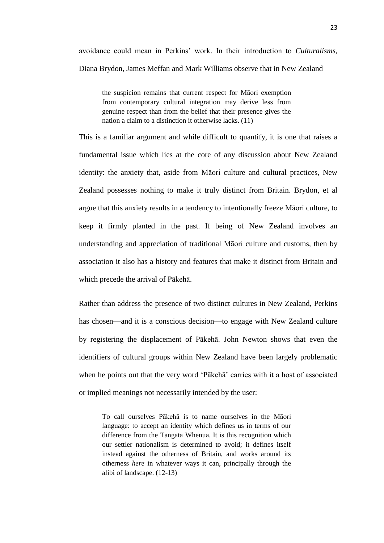avoidance could mean in Perkins' work. In their introduction to *Culturalisms*, Diana Brydon, James Meffan and Mark Williams observe that in New Zealand

the suspicion remains that current respect for Māori exemption from contemporary cultural integration may derive less from genuine respect than from the belief that their presence gives the nation a claim to a distinction it otherwise lacks. (11)

This is a familiar argument and while difficult to quantify, it is one that raises a fundamental issue which lies at the core of any discussion about New Zealand identity: the anxiety that, aside from Māori culture and cultural practices, New Zealand possesses nothing to make it truly distinct from Britain. Brydon, et al argue that this anxiety results in a tendency to intentionally freeze Māori culture, to keep it firmly planted in the past. If being of New Zealand involves an understanding and appreciation of traditional Māori culture and customs, then by association it also has a history and features that make it distinct from Britain and which precede the arrival of Pākehā.

Rather than address the presence of two distinct cultures in New Zealand, Perkins has chosen—and it is a conscious decision—to engage with New Zealand culture by registering the displacement of Pākehā. John Newton shows that even the identifiers of cultural groups within New Zealand have been largely problematic when he points out that the very word 'Pākehā' carries with it a host of associated or implied meanings not necessarily intended by the user:

To call ourselves Pākehā is to name ourselves in the Māori language: to accept an identity which defines us in terms of our difference from the Tangata Whenua. It is this recognition which our settler nationalism is determined to avoid; it defines itself instead against the otherness of Britain, and works around its otherness *here* in whatever ways it can, principally through the alibi of landscape. (12-13)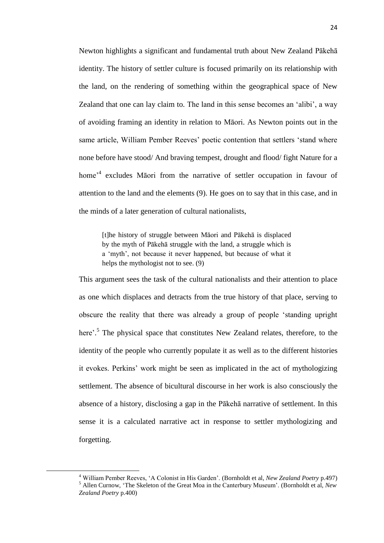Newton highlights a significant and fundamental truth about New Zealand Pākehā identity. The history of settler culture is focused primarily on its relationship with the land, on the rendering of something within the geographical space of New Zealand that one can lay claim to. The land in this sense becomes an 'alibi', a way of avoiding framing an identity in relation to Māori. As Newton points out in the same article, William Pember Reeves' poetic contention that settlers 'stand where none before have stood/ And braving tempest, drought and flood/ fight Nature for a home<sup>,4</sup> excludes Māori from the narrative of settler occupation in favour of attention to the land and the elements (9). He goes on to say that in this case, and in the minds of a later generation of cultural nationalists,

[t]he history of struggle between Māori and Pākehā is displaced by the myth of Pākehā struggle with the land, a struggle which is a 'myth', not because it never happened, but because of what it helps the mythologist not to see. (9)

This argument sees the task of the cultural nationalists and their attention to place as one which displaces and detracts from the true history of that place, serving to obscure the reality that there was already a group of people ‗standing upright here'.<sup>5</sup> The physical space that constitutes New Zealand relates, therefore, to the identity of the people who currently populate it as well as to the different histories it evokes. Perkins' work might be seen as implicated in the act of mythologizing settlement. The absence of bicultural discourse in her work is also consciously the absence of a history, disclosing a gap in the Pākehā narrative of settlement. In this sense it is a calculated narrative act in response to settler mythologizing and forgetting.

1

<sup>4</sup> William Pember Reeves, ‗A Colonist in His Garden'. (Bornholdt et al, *New Zealand Poetry* p.497) <sup>5</sup> Allen Curnow, ‗The Skeleton of the Great Moa in the Canterbury Museum'. (Bornholdt et al, *New Zealand Poetry* p.400)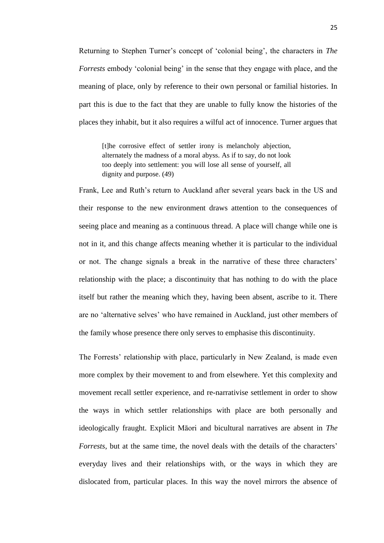Returning to Stephen Turner's concept of ‗colonial being', the characters in *The Forrests* embody 'colonial being' in the sense that they engage with place, and the meaning of place, only by reference to their own personal or familial histories. In part this is due to the fact that they are unable to fully know the histories of the places they inhabit, but it also requires a wilful act of innocence. Turner argues that

[t]he corrosive effect of settler irony is melancholy abjection, alternately the madness of a moral abyss. As if to say, do not look too deeply into settlement: you will lose all sense of yourself, all dignity and purpose. (49)

Frank, Lee and Ruth's return to Auckland after several years back in the US and their response to the new environment draws attention to the consequences of seeing place and meaning as a continuous thread. A place will change while one is not in it, and this change affects meaning whether it is particular to the individual or not. The change signals a break in the narrative of these three characters' relationship with the place; a discontinuity that has nothing to do with the place itself but rather the meaning which they, having been absent, ascribe to it. There are no 'alternative selves' who have remained in Auckland, just other members of the family whose presence there only serves to emphasise this discontinuity.

The Forrests' relationship with place, particularly in New Zealand, is made even more complex by their movement to and from elsewhere. Yet this complexity and movement recall settler experience, and re-narrativise settlement in order to show the ways in which settler relationships with place are both personally and ideologically fraught. Explicit Māori and bicultural narratives are absent in *The Forrests*, but at the same time, the novel deals with the details of the characters' everyday lives and their relationships with, or the ways in which they are dislocated from, particular places. In this way the novel mirrors the absence of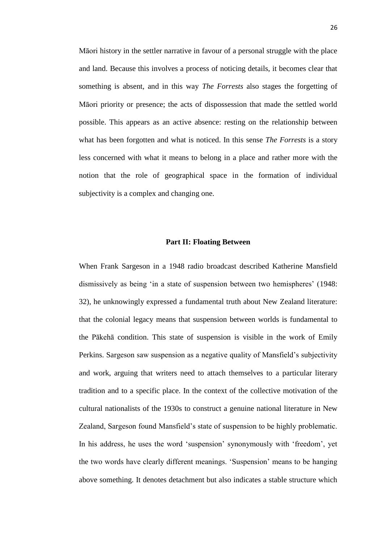Māori history in the settler narrative in favour of a personal struggle with the place and land. Because this involves a process of noticing details, it becomes clear that something is absent, and in this way *The Forrests* also stages the forgetting of Māori priority or presence; the acts of dispossession that made the settled world possible. This appears as an active absence: resting on the relationship between what has been forgotten and what is noticed. In this sense *The Forrests* is a story less concerned with what it means to belong in a place and rather more with the notion that the role of geographical space in the formation of individual subjectivity is a complex and changing one.

#### **Part II: Floating Between**

When Frank Sargeson in a 1948 radio broadcast described Katherine Mansfield dismissively as being 'in a state of suspension between two hemispheres' (1948: 32), he unknowingly expressed a fundamental truth about New Zealand literature: that the colonial legacy means that suspension between worlds is fundamental to the Pākehā condition. This state of suspension is visible in the work of Emily Perkins. Sargeson saw suspension as a negative quality of Mansfield's subjectivity and work, arguing that writers need to attach themselves to a particular literary tradition and to a specific place. In the context of the collective motivation of the cultural nationalists of the 1930s to construct a genuine national literature in New Zealand, Sargeson found Mansfield's state of suspension to be highly problematic. In his address, he uses the word 'suspension' synonymously with 'freedom', yet the two words have clearly different meanings. ‗Suspension' means to be hanging above something. It denotes detachment but also indicates a stable structure which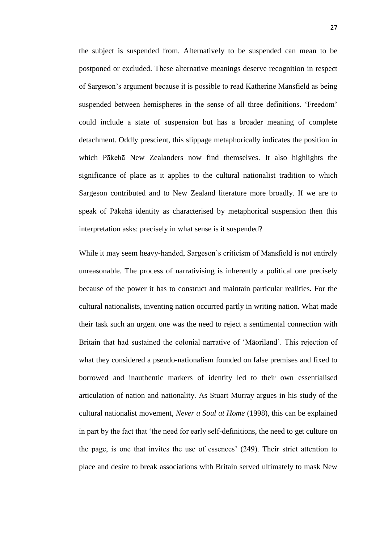the subject is suspended from. Alternatively to be suspended can mean to be postponed or excluded. These alternative meanings deserve recognition in respect of Sargeson's argument because it is possible to read Katherine Mansfield as being suspended between hemispheres in the sense of all three definitions. 'Freedom' could include a state of suspension but has a broader meaning of complete detachment. Oddly prescient, this slippage metaphorically indicates the position in which Pākehā New Zealanders now find themselves. It also highlights the significance of place as it applies to the cultural nationalist tradition to which Sargeson contributed and to New Zealand literature more broadly. If we are to speak of Pākehā identity as characterised by metaphorical suspension then this interpretation asks: precisely in what sense is it suspended?

While it may seem heavy-handed, Sargeson's criticism of Mansfield is not entirely unreasonable. The process of narrativising is inherently a political one precisely because of the power it has to construct and maintain particular realities. For the cultural nationalists, inventing nation occurred partly in writing nation. What made their task such an urgent one was the need to reject a sentimental connection with Britain that had sustained the colonial narrative of 'Māoriland'. This rejection of what they considered a pseudo-nationalism founded on false premises and fixed to borrowed and inauthentic markers of identity led to their own essentialised articulation of nation and nationality. As Stuart Murray argues in his study of the cultural nationalist movement, *Never a Soul at Home* (1998), this can be explained in part by the fact that 'the need for early self-definitions, the need to get culture on the page, is one that invites the use of essences' (249). Their strict attention to place and desire to break associations with Britain served ultimately to mask New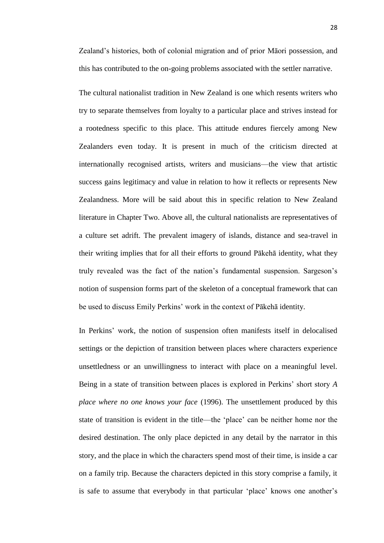Zealand's histories, both of colonial migration and of prior Māori possession, and this has contributed to the on-going problems associated with the settler narrative.

The cultural nationalist tradition in New Zealand is one which resents writers who try to separate themselves from loyalty to a particular place and strives instead for a rootedness specific to this place. This attitude endures fiercely among New Zealanders even today. It is present in much of the criticism directed at internationally recognised artists, writers and musicians—the view that artistic success gains legitimacy and value in relation to how it reflects or represents New Zealandness. More will be said about this in specific relation to New Zealand literature in Chapter Two. Above all, the cultural nationalists are representatives of a culture set adrift. The prevalent imagery of islands, distance and sea-travel in their writing implies that for all their efforts to ground Pākehā identity, what they truly revealed was the fact of the nation's fundamental suspension. Sargeson's notion of suspension forms part of the skeleton of a conceptual framework that can be used to discuss Emily Perkins' work in the context of Pākehā identity.

In Perkins' work, the notion of suspension often manifests itself in delocalised settings or the depiction of transition between places where characters experience unsettledness or an unwillingness to interact with place on a meaningful level. Being in a state of transition between places is explored in Perkins' short story *A place where no one knows your face* (1996). The unsettlement produced by this state of transition is evident in the title—the 'place' can be neither home nor the desired destination. The only place depicted in any detail by the narrator in this story, and the place in which the characters spend most of their time, is inside a car on a family trip. Because the characters depicted in this story comprise a family, it is safe to assume that everybody in that particular 'place' knows one another's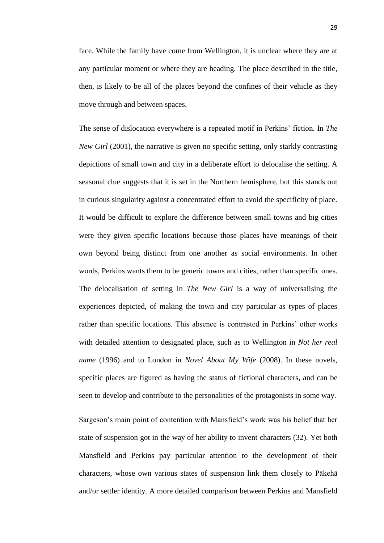face. While the family have come from Wellington, it is unclear where they are at any particular moment or where they are heading. The place described in the title, then, is likely to be all of the places beyond the confines of their vehicle as they move through and between spaces.

The sense of dislocation everywhere is a repeated motif in Perkins' fiction. In *The New Girl* (2001), the narrative is given no specific setting, only starkly contrasting depictions of small town and city in a deliberate effort to delocalise the setting. A seasonal clue suggests that it is set in the Northern hemisphere, but this stands out in curious singularity against a concentrated effort to avoid the specificity of place. It would be difficult to explore the difference between small towns and big cities were they given specific locations because those places have meanings of their own beyond being distinct from one another as social environments. In other words, Perkins wants them to be generic towns and cities, rather than specific ones. The delocalisation of setting in *The New Girl* is a way of universalising the experiences depicted, of making the town and city particular as types of places rather than specific locations. This absence is contrasted in Perkins' other works with detailed attention to designated place, such as to Wellington in *Not her real name* (1996) and to London in *Novel About My Wife* (2008). In these novels, specific places are figured as having the status of fictional characters, and can be seen to develop and contribute to the personalities of the protagonists in some way.

Sargeson's main point of contention with Mansfield's work was his belief that her state of suspension got in the way of her ability to invent characters (32). Yet both Mansfield and Perkins pay particular attention to the development of their characters, whose own various states of suspension link them closely to Pākehā and/or settler identity. A more detailed comparison between Perkins and Mansfield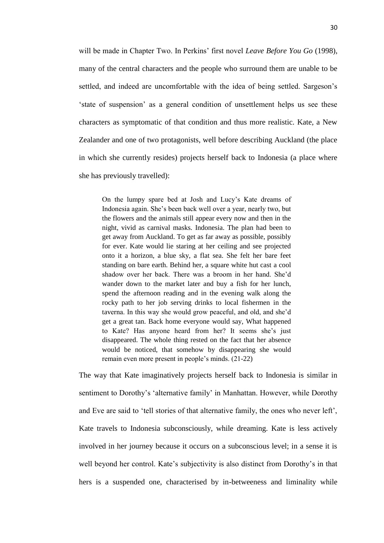will be made in Chapter Two. In Perkins' first novel *Leave Before You Go* (1998), many of the central characters and the people who surround them are unable to be settled, and indeed are uncomfortable with the idea of being settled. Sargeson's ‗state of suspension' as a general condition of unsettlement helps us see these characters as symptomatic of that condition and thus more realistic. Kate, a New Zealander and one of two protagonists, well before describing Auckland (the place in which she currently resides) projects herself back to Indonesia (a place where she has previously travelled):

On the lumpy spare bed at Josh and Lucy's Kate dreams of Indonesia again. She's been back well over a year, nearly two, but the flowers and the animals still appear every now and then in the night, vivid as carnival masks. Indonesia. The plan had been to get away from Auckland. To get as far away as possible, possibly for ever. Kate would lie staring at her ceiling and see projected onto it a horizon, a blue sky, a flat sea. She felt her bare feet standing on bare earth. Behind her, a square white hut cast a cool shadow over her back. There was a broom in her hand. She'd wander down to the market later and buy a fish for her lunch, spend the afternoon reading and in the evening walk along the rocky path to her job serving drinks to local fishermen in the taverna. In this way she would grow peaceful, and old, and she'd get a great tan. Back home everyone would say, What happened to Kate? Has anyone heard from her? It seems she's just disappeared. The whole thing rested on the fact that her absence would be noticed, that somehow by disappearing she would remain even more present in people's minds. (21-22)

The way that Kate imaginatively projects herself back to Indonesia is similar in sentiment to Dorothy's 'alternative family' in Manhattan. However, while Dorothy and Eve are said to 'tell stories of that alternative family, the ones who never left', Kate travels to Indonesia subconsciously, while dreaming. Kate is less actively involved in her journey because it occurs on a subconscious level; in a sense it is well beyond her control. Kate's subjectivity is also distinct from Dorothy's in that hers is a suspended one, characterised by in-betweeness and liminality while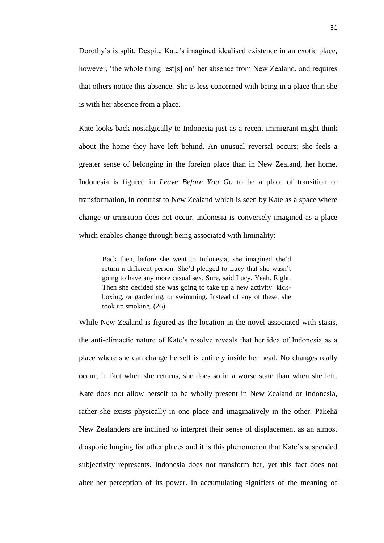Dorothy's is split. Despite Kate's imagined idealised existence in an exotic place, however, 'the whole thing rest[s] on' her absence from New Zealand, and requires that others notice this absence. She is less concerned with being in a place than she is with her absence from a place.

Kate looks back nostalgically to Indonesia just as a recent immigrant might think about the home they have left behind. An unusual reversal occurs; she feels a greater sense of belonging in the foreign place than in New Zealand, her home. Indonesia is figured in *Leave Before You Go* to be a place of transition or transformation, in contrast to New Zealand which is seen by Kate as a space where change or transition does not occur. Indonesia is conversely imagined as a place which enables change through being associated with liminality:

Back then, before she went to Indonesia, she imagined she'd return a different person. She'd pledged to Lucy that she wasn't going to have any more casual sex. Sure, said Lucy. Yeah. Right. Then she decided she was going to take up a new activity: kickboxing, or gardening, or swimming. Instead of any of these, she took up smoking. (26)

While New Zealand is figured as the location in the novel associated with stasis, the anti-climactic nature of Kate's resolve reveals that her idea of Indonesia as a place where she can change herself is entirely inside her head. No changes really occur; in fact when she returns, she does so in a worse state than when she left. Kate does not allow herself to be wholly present in New Zealand or Indonesia, rather she exists physically in one place and imaginatively in the other. Pākehā New Zealanders are inclined to interpret their sense of displacement as an almost diasporic longing for other places and it is this phenomenon that Kate's suspended subjectivity represents. Indonesia does not transform her, yet this fact does not alter her perception of its power. In accumulating signifiers of the meaning of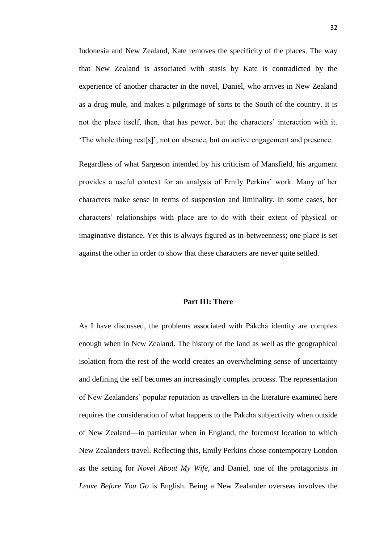Indonesia and New Zealand, Kate removes the specificity of the places. The way that New Zealand is associated with stasis by Kate is contradicted by the experience of another character in the novel, Daniel, who arrives in New Zealand as a drug mule, and makes a pilgrimage of sorts to the South of the country. It is not the place itself, then, that has power, but the characters' interaction with it. ‗The whole thing rest[s]', not on absence, but on active engagement and presence.

Regardless of what Sargeson intended by his criticism of Mansfield, his argument provides a useful context for an analysis of Emily Perkins' work. Many of her characters make sense in terms of suspension and liminality. In some cases, her characters' relationships with place are to do with their extent of physical or imaginative distance. Yet this is always figured as in-betweenness; one place is set against the other in order to show that these characters are never quite settled.

### **Part III: There**

As I have discussed, the problems associated with Pākehā identity are complex enough when in New Zealand. The history of the land as well as the geographical isolation from the rest of the world creates an overwhelming sense of uncertainty and defining the self becomes an increasingly complex process. The representation of New Zealanders' popular reputation as travellers in the literature examined here requires the consideration of what happens to the Pākehā subjectivity when outside of New Zealand—in particular when in England, the foremost location to which New Zealanders travel. Reflecting this, Emily Perkins chose contemporary London as the setting for *Novel About My Wife*, and Daniel, one of the protagonists in *Leave Before You Go* is English. Being a New Zealander overseas involves the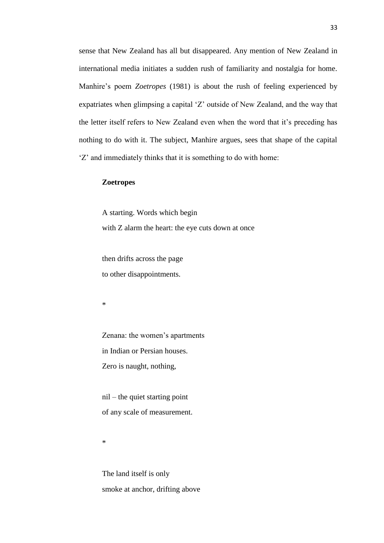sense that New Zealand has all but disappeared. Any mention of New Zealand in international media initiates a sudden rush of familiarity and nostalgia for home. Manhire's poem *Zoetropes* (1981) is about the rush of feeling experienced by expatriates when glimpsing a capital 'Z' outside of New Zealand, and the way that the letter itself refers to New Zealand even when the word that it's preceding has nothing to do with it. The subject, Manhire argues, sees that shape of the capital ‗Z' and immediately thinks that it is something to do with home:

# **Zoetropes**

A starting. Words which begin with Z alarm the heart: the eye cuts down at once

then drifts across the page to other disappointments.

\*

Zenana: the women's apartments in Indian or Persian houses. Zero is naught, nothing,

nil – the quiet starting point of any scale of measurement.

\*

The land itself is only smoke at anchor, drifting above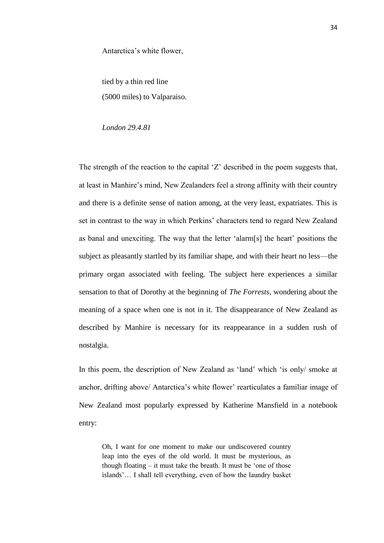Antarctica's white flower,

tied by a thin red line (5000 miles) to Valparaiso.

*London 29.4.81*

The strength of the reaction to the capital 'Z' described in the poem suggests that, at least in Manhire's mind, New Zealanders feel a strong affinity with their country and there is a definite sense of nation among, at the very least, expatriates. This is set in contrast to the way in which Perkins' characters tend to regard New Zealand as banal and unexciting. The way that the letter 'alarm[s] the heart' positions the subject as pleasantly startled by its familiar shape, and with their heart no less—the primary organ associated with feeling. The subject here experiences a similar sensation to that of Dorothy at the beginning of *The Forrests*, wondering about the meaning of a space when one is not in it. The disappearance of New Zealand as described by Manhire is necessary for its reappearance in a sudden rush of nostalgia.

In this poem, the description of New Zealand as 'land' which 'is only/ smoke at anchor, drifting above/ Antarctica's white flower' rearticulates a familiar image of New Zealand most popularly expressed by Katherine Mansfield in a notebook entry:

Oh, I want for one moment to make our undiscovered country leap into the eyes of the old world. It must be mysterious, as though floating  $-$  it must take the breath. It must be 'one of those islands'… I shall tell everything, even of how the laundry basket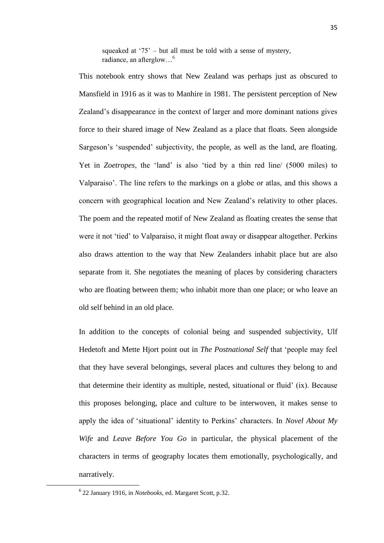squeaked at  $75'$  – but all must be told with a sense of mystery, radiance, an afterglow…<sup>6</sup>

This notebook entry shows that New Zealand was perhaps just as obscured to Mansfield in 1916 as it was to Manhire in 1981. The persistent perception of New Zealand's disappearance in the context of larger and more dominant nations gives force to their shared image of New Zealand as a place that floats. Seen alongside Sargeson's 'suspended' subjectivity, the people, as well as the land, are floating. Yet in *Zoetropes*, the 'land' is also 'tied by a thin red line/ (5000 miles) to Valparaiso'. The line refers to the markings on a globe or atlas, and this shows a concern with geographical location and New Zealand's relativity to other places. The poem and the repeated motif of New Zealand as floating creates the sense that were it not 'tied' to Valparaiso, it might float away or disappear altogether. Perkins also draws attention to the way that New Zealanders inhabit place but are also separate from it. She negotiates the meaning of places by considering characters who are floating between them; who inhabit more than one place; or who leave an old self behind in an old place.

In addition to the concepts of colonial being and suspended subjectivity, Ulf Hedetoft and Mette Hjort point out in *The Postnational Self* that ‗people may feel that they have several belongings, several places and cultures they belong to and that determine their identity as multiple, nested, situational or fluid' (ix). Because this proposes belonging, place and culture to be interwoven, it makes sense to apply the idea of 'situational' identity to Perkins' characters. In *Novel About My Wife* and *Leave Before You Go* in particular, the physical placement of the characters in terms of geography locates them emotionally, psychologically, and narratively.

**.** 

<sup>6</sup> 22 January 1916, in *Notebooks*, ed. Margaret Scott, p.32.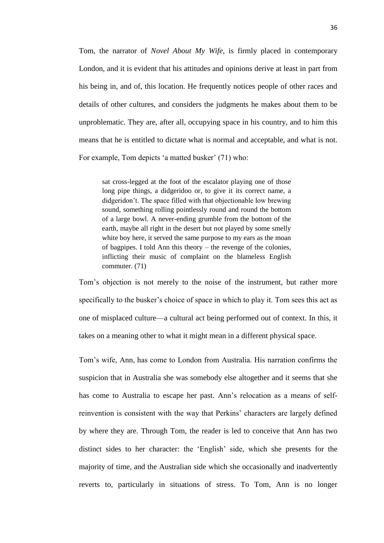Tom, the narrator of *Novel About My Wife*, is firmly placed in contemporary London, and it is evident that his attitudes and opinions derive at least in part from his being in, and of, this location. He frequently notices people of other races and details of other cultures, and considers the judgments he makes about them to be unproblematic. They are, after all, occupying space in his country, and to him this means that he is entitled to dictate what is normal and acceptable, and what is not. For example, Tom depicts 'a matted busker' (71) who:

sat cross-legged at the foot of the escalator playing one of those long pipe things, a didgeridoo or, to give it its correct name, a didgeridon't. The space filled with that objectionable low brewing sound, something rolling pointlessly round and round the bottom of a large bowl. A never-ending grumble from the bottom of the earth, maybe all right in the desert but not played by some smelly white boy here, it served the same purpose to my ears as the moan of bagpipes. I told Ann this theory – the revenge of the colonies, inflicting their music of complaint on the blameless English commuter. (71)

Tom's objection is not merely to the noise of the instrument, but rather more specifically to the busker's choice of space in which to play it. Tom sees this act as one of misplaced culture—a cultural act being performed out of context. In this, it takes on a meaning other to what it might mean in a different physical space.

Tom's wife, Ann, has come to London from Australia. His narration confirms the suspicion that in Australia she was somebody else altogether and it seems that she has come to Australia to escape her past. Ann's relocation as a means of selfreinvention is consistent with the way that Perkins' characters are largely defined by where they are. Through Tom, the reader is led to conceive that Ann has two distinct sides to her character: the 'English' side, which she presents for the majority of time, and the Australian side which she occasionally and inadvertently reverts to, particularly in situations of stress. To Tom, Ann is no longer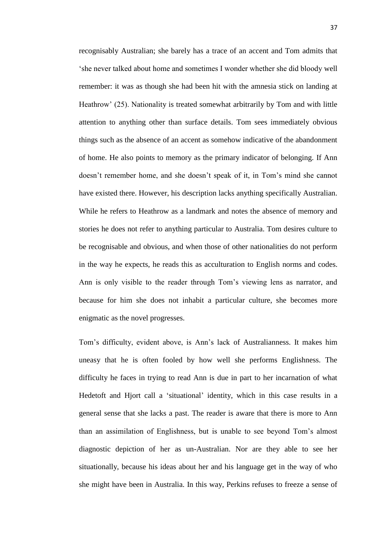recognisably Australian; she barely has a trace of an accent and Tom admits that ‗she never talked about home and sometimes I wonder whether she did bloody well remember: it was as though she had been hit with the amnesia stick on landing at Heathrow' (25). Nationality is treated somewhat arbitrarily by Tom and with little attention to anything other than surface details. Tom sees immediately obvious things such as the absence of an accent as somehow indicative of the abandonment of home. He also points to memory as the primary indicator of belonging. If Ann doesn't remember home, and she doesn't speak of it, in Tom's mind she cannot have existed there. However, his description lacks anything specifically Australian. While he refers to Heathrow as a landmark and notes the absence of memory and stories he does not refer to anything particular to Australia. Tom desires culture to be recognisable and obvious, and when those of other nationalities do not perform in the way he expects, he reads this as acculturation to English norms and codes. Ann is only visible to the reader through Tom's viewing lens as narrator, and because for him she does not inhabit a particular culture, she becomes more enigmatic as the novel progresses.

Tom's difficulty, evident above, is Ann's lack of Australianness. It makes him uneasy that he is often fooled by how well she performs Englishness. The difficulty he faces in trying to read Ann is due in part to her incarnation of what Hedetoft and Hjort call a 'situational' identity, which in this case results in a general sense that she lacks a past. The reader is aware that there is more to Ann than an assimilation of Englishness, but is unable to see beyond Tom's almost diagnostic depiction of her as un-Australian. Nor are they able to see her situationally, because his ideas about her and his language get in the way of who she might have been in Australia. In this way, Perkins refuses to freeze a sense of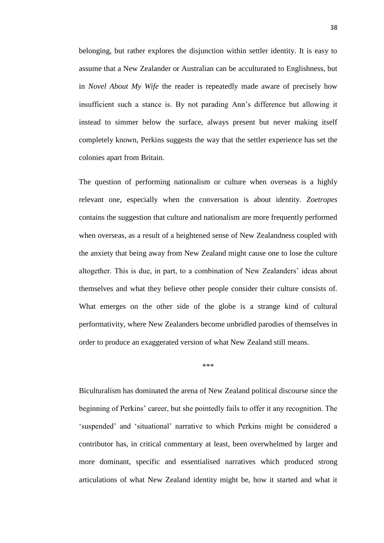belonging, but rather explores the disjunction within settler identity. It is easy to assume that a New Zealander or Australian can be acculturated to Englishness, but in *Novel About My Wife* the reader is repeatedly made aware of precisely how insufficient such a stance is. By not parading Ann's difference but allowing it instead to simmer below the surface, always present but never making itself completely known, Perkins suggests the way that the settler experience has set the colonies apart from Britain.

The question of performing nationalism or culture when overseas is a highly relevant one, especially when the conversation is about identity. *Zoetropes* contains the suggestion that culture and nationalism are more frequently performed when overseas, as a result of a heightened sense of New Zealandness coupled with the anxiety that being away from New Zealand might cause one to lose the culture altogether. This is due, in part, to a combination of New Zealanders' ideas about themselves and what they believe other people consider their culture consists of. What emerges on the other side of the globe is a strange kind of cultural performativity, where New Zealanders become unbridled parodies of themselves in order to produce an exaggerated version of what New Zealand still means.

\*\*\*

Biculturalism has dominated the arena of New Zealand political discourse since the beginning of Perkins' career, but she pointedly fails to offer it any recognition. The ‗suspended' and ‗situational' narrative to which Perkins might be considered a contributor has, in critical commentary at least, been overwhelmed by larger and more dominant, specific and essentialised narratives which produced strong articulations of what New Zealand identity might be, how it started and what it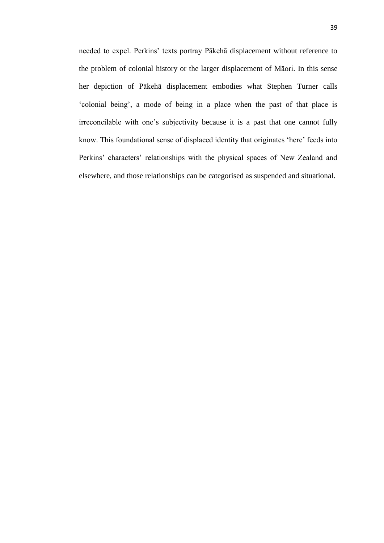needed to expel. Perkins' texts portray Pākehā displacement without reference to the problem of colonial history or the larger displacement of Māori. In this sense her depiction of Pākehā displacement embodies what Stephen Turner calls ‗colonial being', a mode of being in a place when the past of that place is irreconcilable with one's subjectivity because it is a past that one cannot fully know. This foundational sense of displaced identity that originates 'here' feeds into Perkins' characters' relationships with the physical spaces of New Zealand and elsewhere, and those relationships can be categorised as suspended and situational.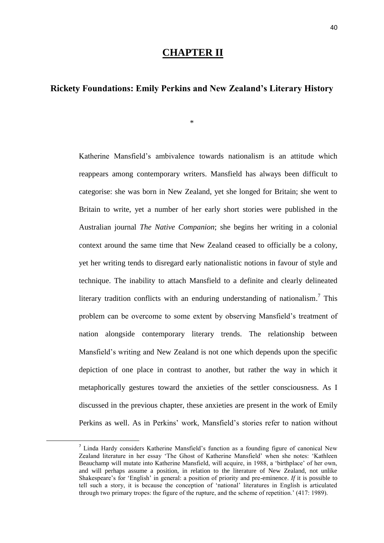# **CHAPTER II**

# **Rickety Foundations: Emily Perkins and New Zealand's Literary History**

\*

Katherine Mansfield's ambivalence towards nationalism is an attitude which reappears among contemporary writers. Mansfield has always been difficult to categorise: she was born in New Zealand, yet she longed for Britain; she went to Britain to write, yet a number of her early short stories were published in the Australian journal *The Native Companion*; she begins her writing in a colonial context around the same time that New Zealand ceased to officially be a colony, yet her writing tends to disregard early nationalistic notions in favour of style and technique. The inability to attach Mansfield to a definite and clearly delineated literary tradition conflicts with an enduring understanding of nationalism.<sup>7</sup> This problem can be overcome to some extent by observing Mansfield's treatment of nation alongside contemporary literary trends. The relationship between Mansfield's writing and New Zealand is not one which depends upon the specific depiction of one place in contrast to another, but rather the way in which it metaphorically gestures toward the anxieties of the settler consciousness. As I discussed in the previous chapter, these anxieties are present in the work of Emily Perkins as well. As in Perkins' work, Mansfield's stories refer to nation without

**.** 

<sup>&</sup>lt;sup>7</sup> Linda Hardy considers Katherine Mansfield's function as a founding figure of canonical New Zealand literature in her essay 'The Ghost of Katherine Mansfield' when she notes: 'Kathleen Beauchamp will mutate into Katherine Mansfield, will acquire, in 1988, a 'birthplace' of her own, and will perhaps assume a position, in relation to the literature of New Zealand, not unlike Shakespeare's for ‗English' in general: a position of priority and pre-eminence. *If* it is possible to tell such a story, it is because the conception of 'national' literatures in English is articulated through two primary tropes: the figure of the rupture, and the scheme of repetition.' (417: 1989).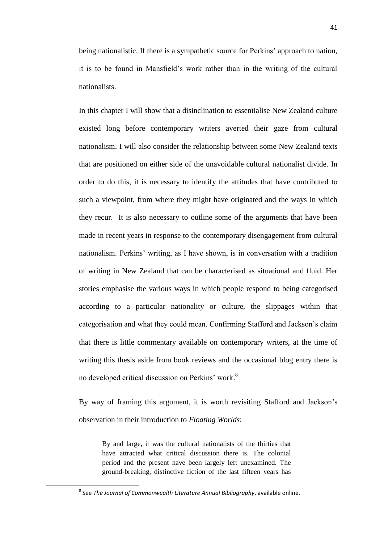being nationalistic. If there is a sympathetic source for Perkins' approach to nation, it is to be found in Mansfield's work rather than in the writing of the cultural nationalists.

In this chapter I will show that a disinclination to essentialise New Zealand culture existed long before contemporary writers averted their gaze from cultural nationalism. I will also consider the relationship between some New Zealand texts that are positioned on either side of the unavoidable cultural nationalist divide. In order to do this, it is necessary to identify the attitudes that have contributed to such a viewpoint, from where they might have originated and the ways in which they recur. It is also necessary to outline some of the arguments that have been made in recent years in response to the contemporary disengagement from cultural nationalism. Perkins' writing, as I have shown, is in conversation with a tradition of writing in New Zealand that can be characterised as situational and fluid. Her stories emphasise the various ways in which people respond to being categorised according to a particular nationality or culture, the slippages within that categorisation and what they could mean. Confirming Stafford and Jackson's claim that there is little commentary available on contemporary writers, at the time of writing this thesis aside from book reviews and the occasional blog entry there is no developed critical discussion on Perkins' work. 8

By way of framing this argument, it is worth revisiting Stafford and Jackson's observation in their introduction to *Floating Worlds*:

By and large, it was the cultural nationalists of the thirties that have attracted what critical discussion there is. The colonial period and the present have been largely left unexamined. The ground-breaking, distinctive fiction of the last fifteen years has

**.** 

<sup>8</sup> See *The Journal of Commonwealth Literature Annual Bibliography*, available online.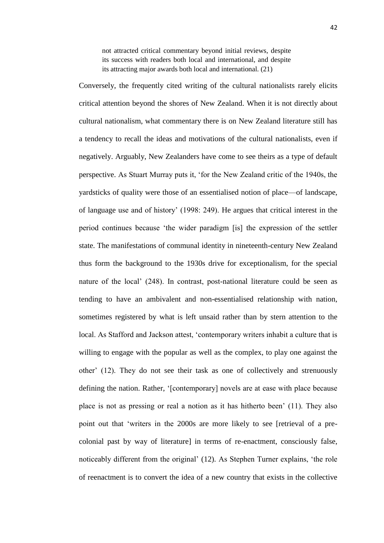not attracted critical commentary beyond initial reviews, despite its success with readers both local and international, and despite its attracting major awards both local and international. (21)

Conversely, the frequently cited writing of the cultural nationalists rarely elicits critical attention beyond the shores of New Zealand. When it is not directly about cultural nationalism, what commentary there is on New Zealand literature still has a tendency to recall the ideas and motivations of the cultural nationalists, even if negatively. Arguably, New Zealanders have come to see theirs as a type of default perspective. As Stuart Murray puts it, ‗for the New Zealand critic of the 1940s, the yardsticks of quality were those of an essentialised notion of place—of landscape, of language use and of history' (1998: 249). He argues that critical interest in the period continues because ‗the wider paradigm [is] the expression of the settler state. The manifestations of communal identity in nineteenth-century New Zealand thus form the background to the 1930s drive for exceptionalism, for the special nature of the local' (248). In contrast, post-national literature could be seen as tending to have an ambivalent and non-essentialised relationship with nation, sometimes registered by what is left unsaid rather than by stern attention to the local. As Stafford and Jackson attest, 'contemporary writers inhabit a culture that is willing to engage with the popular as well as the complex, to play one against the other' (12). They do not see their task as one of collectively and strenuously defining the nation. Rather, '[contemporary] novels are at ease with place because place is not as pressing or real a notion as it has hitherto been' (11). They also point out that ‗writers in the 2000s are more likely to see [retrieval of a precolonial past by way of literature] in terms of re-enactment, consciously false, noticeably different from the original' (12). As Stephen Turner explains, 'the role of reenactment is to convert the idea of a new country that exists in the collective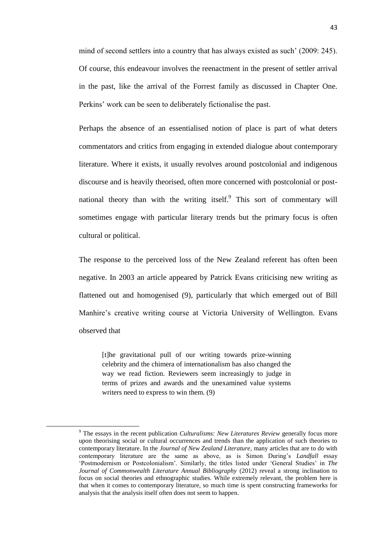mind of second settlers into a country that has always existed as such' (2009: 245). Of course, this endeavour involves the reenactment in the present of settler arrival in the past, like the arrival of the Forrest family as discussed in Chapter One. Perkins' work can be seen to deliberately fictionalise the past.

Perhaps the absence of an essentialised notion of place is part of what deters commentators and critics from engaging in extended dialogue about contemporary literature. Where it exists, it usually revolves around postcolonial and indigenous discourse and is heavily theorised, often more concerned with postcolonial or postnational theory than with the writing itself.<sup>9</sup> This sort of commentary will sometimes engage with particular literary trends but the primary focus is often cultural or political.

The response to the perceived loss of the New Zealand referent has often been negative. In 2003 an article appeared by Patrick Evans criticising new writing as flattened out and homogenised (9), particularly that which emerged out of Bill Manhire's creative writing course at Victoria University of Wellington. Evans observed that

[t]he gravitational pull of our writing towards prize-winning celebrity and the chimera of internationalism has also changed the way we read fiction. Reviewers seem increasingly to judge in terms of prizes and awards and the unexamined value systems writers need to express to win them. (9)

 $\overline{\phantom{a}}$ 

<sup>9</sup> The essays in the recent publication *Culturalisms: New Literatures Review* generally focus more upon theorising social or cultural occurrences and trends than the application of such theories to contemporary literature. In the *Journal of New Zealand Literature*, many articles that are to do with contemporary literature are the same as above, as is Simon During's *Landfall* essay ‗Postmodernism or Postcolonialism'. Similarly, the titles listed under ‗General Studies' in *The Journal of Commonwealth Literature Annual Bibliography (2012)* reveal a strong inclination to focus on social theories and ethnographic studies. While extremely relevant, the problem here is that when it comes to contemporary literature, so much time is spent constructing frameworks for analysis that the analysis itself often does not seem to happen.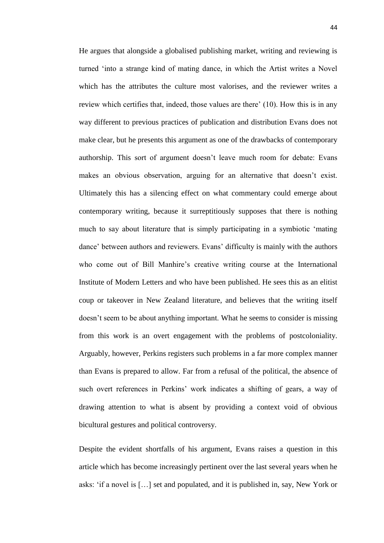He argues that alongside a globalised publishing market, writing and reviewing is turned 'into a strange kind of mating dance, in which the Artist writes a Novel which has the attributes the culture most valorises, and the reviewer writes a review which certifies that, indeed, those values are there' (10). How this is in any way different to previous practices of publication and distribution Evans does not make clear, but he presents this argument as one of the drawbacks of contemporary authorship. This sort of argument doesn't leave much room for debate: Evans makes an obvious observation, arguing for an alternative that doesn't exist. Ultimately this has a silencing effect on what commentary could emerge about contemporary writing, because it surreptitiously supposes that there is nothing much to say about literature that is simply participating in a symbiotic 'mating dance' between authors and reviewers. Evans' difficulty is mainly with the authors who come out of Bill Manhire's creative writing course at the International Institute of Modern Letters and who have been published. He sees this as an elitist coup or takeover in New Zealand literature, and believes that the writing itself doesn't seem to be about anything important. What he seems to consider is missing from this work is an overt engagement with the problems of postcoloniality. Arguably, however, Perkins registers such problems in a far more complex manner than Evans is prepared to allow. Far from a refusal of the political, the absence of such overt references in Perkins' work indicates a shifting of gears, a way of drawing attention to what is absent by providing a context void of obvious bicultural gestures and political controversy.

Despite the evident shortfalls of his argument, Evans raises a question in this article which has become increasingly pertinent over the last several years when he asks: ‗if a novel is […] set and populated, and it is published in, say, New York or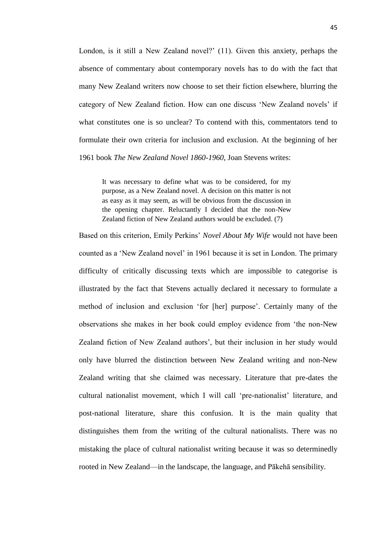London, is it still a New Zealand novel?' (11). Given this anxiety, perhaps the absence of commentary about contemporary novels has to do with the fact that many New Zealand writers now choose to set their fiction elsewhere, blurring the category of New Zealand fiction. How can one discuss 'New Zealand novels' if what constitutes one is so unclear? To contend with this, commentators tend to formulate their own criteria for inclusion and exclusion. At the beginning of her 1961 book *The New Zealand Novel 1860-1960*, Joan Stevens writes:

It was necessary to define what was to be considered, for my purpose, as a New Zealand novel. A decision on this matter is not as easy as it may seem, as will be obvious from the discussion in the opening chapter. Reluctantly I decided that the non-New Zealand fiction of New Zealand authors would be excluded. (7)

Based on this criterion, Emily Perkins' *Novel About My Wife* would not have been counted as a 'New Zealand novel' in 1961 because it is set in London. The primary difficulty of critically discussing texts which are impossible to categorise is illustrated by the fact that Stevens actually declared it necessary to formulate a method of inclusion and exclusion 'for [her] purpose'. Certainly many of the observations she makes in her book could employ evidence from 'the non-New Zealand fiction of New Zealand authors', but their inclusion in her study would only have blurred the distinction between New Zealand writing and non-New Zealand writing that she claimed was necessary. Literature that pre-dates the cultural nationalist movement, which I will call 'pre-nationalist' literature, and post-national literature, share this confusion. It is the main quality that distinguishes them from the writing of the cultural nationalists. There was no mistaking the place of cultural nationalist writing because it was so determinedly rooted in New Zealand—in the landscape, the language, and Pākehā sensibility.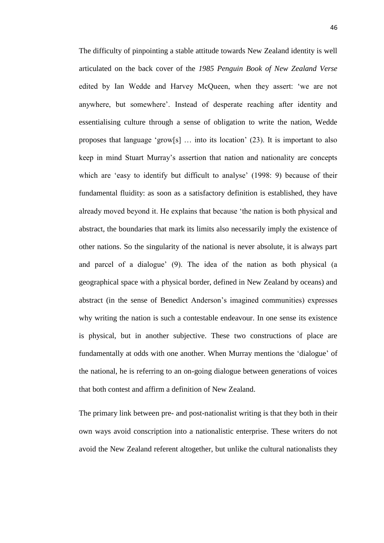The difficulty of pinpointing a stable attitude towards New Zealand identity is well articulated on the back cover of the *1985 Penguin Book of New Zealand Verse* edited by Ian Wedde and Harvey McQueen, when they assert: 'we are not anywhere, but somewhere'. Instead of desperate reaching after identity and essentialising culture through a sense of obligation to write the nation, Wedde proposes that language 'grow[s]  $\ldots$  into its location' (23). It is important to also keep in mind Stuart Murray's assertion that nation and nationality are concepts which are 'easy to identify but difficult to analyse' (1998: 9) because of their fundamental fluidity: as soon as a satisfactory definition is established, they have already moved beyond it. He explains that because 'the nation is both physical and abstract, the boundaries that mark its limits also necessarily imply the existence of other nations. So the singularity of the national is never absolute, it is always part and parcel of a dialogue' (9). The idea of the nation as both physical (a geographical space with a physical border, defined in New Zealand by oceans) and abstract (in the sense of Benedict Anderson's imagined communities) expresses why writing the nation is such a contestable endeavour. In one sense its existence is physical, but in another subjective. These two constructions of place are fundamentally at odds with one another. When Murray mentions the 'dialogue' of the national, he is referring to an on-going dialogue between generations of voices that both contest and affirm a definition of New Zealand.

The primary link between pre- and post-nationalist writing is that they both in their own ways avoid conscription into a nationalistic enterprise. These writers do not avoid the New Zealand referent altogether, but unlike the cultural nationalists they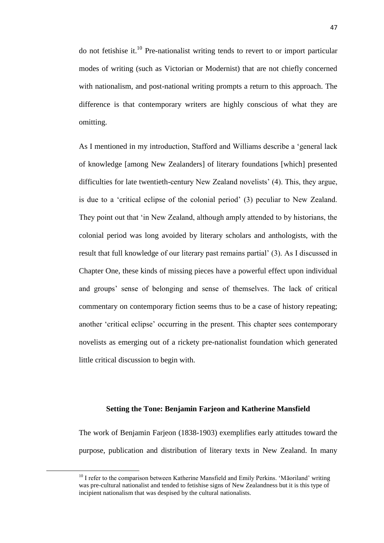do not fetishise it. $10$  Pre-nationalist writing tends to revert to or import particular modes of writing (such as Victorian or Modernist) that are not chiefly concerned with nationalism, and post-national writing prompts a return to this approach. The difference is that contemporary writers are highly conscious of what they are omitting.

As I mentioned in my introduction, Stafford and Williams describe a 'general lack of knowledge [among New Zealanders] of literary foundations [which] presented difficulties for late twentieth-century New Zealand novelists' (4). This, they argue, is due to a 'critical eclipse of the colonial period' (3) peculiar to New Zealand. They point out that 'in New Zealand, although amply attended to by historians, the colonial period was long avoided by literary scholars and anthologists, with the result that full knowledge of our literary past remains partial' (3). As I discussed in Chapter One, these kinds of missing pieces have a powerful effect upon individual and groups' sense of belonging and sense of themselves. The lack of critical commentary on contemporary fiction seems thus to be a case of history repeating; another ‗critical eclipse' occurring in the present. This chapter sees contemporary novelists as emerging out of a rickety pre-nationalist foundation which generated little critical discussion to begin with.

## **Setting the Tone: Benjamin Farjeon and Katherine Mansfield**

The work of Benjamin Farjeon (1838-1903) exemplifies early attitudes toward the purpose, publication and distribution of literary texts in New Zealand. In many

1

 $10$  I refer to the comparison between Katherine Mansfield and Emily Perkins. 'Māoriland' writing was pre-cultural nationalist and tended to fetishise signs of New Zealandness but it is this type of incipient nationalism that was despised by the cultural nationalists.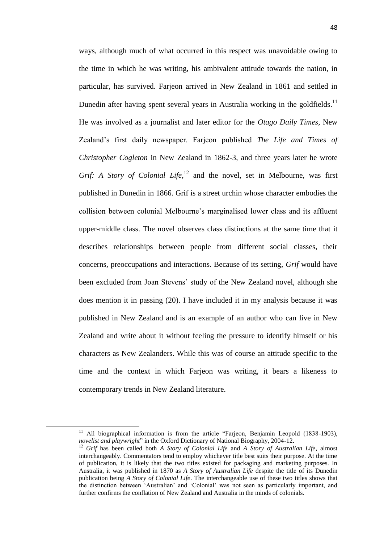ways, although much of what occurred in this respect was unavoidable owing to the time in which he was writing, his ambivalent attitude towards the nation, in particular, has survived. Farjeon arrived in New Zealand in 1861 and settled in Dunedin after having spent several years in Australia working in the goldfields.<sup>11</sup> He was involved as a journalist and later editor for the *Otago Daily Times*, New Zealand's first daily newspaper. Farjeon published *The Life and Times of Christopher Cogleton* in New Zealand in 1862-3, and three years later he wrote *Grif:* A *Story of Colonial Life*, $^{12}$  and the novel, set in Melbourne, was first published in Dunedin in 1866. Grif is a street urchin whose character embodies the collision between colonial Melbourne's marginalised lower class and its affluent upper-middle class. The novel observes class distinctions at the same time that it describes relationships between people from different social classes, their concerns, preoccupations and interactions. Because of its setting, *Grif* would have been excluded from Joan Stevens' study of the New Zealand novel, although she does mention it in passing (20). I have included it in my analysis because it was published in New Zealand and is an example of an author who can live in New Zealand and write about it without feeling the pressure to identify himself or his characters as New Zealanders. While this was of course an attitude specific to the time and the context in which Farjeon was writing, it bears a likeness to contemporary trends in New Zealand literature.

 $\overline{\phantom{a}}$ 

<sup>&</sup>lt;sup>11</sup> All biographical information is from the article "Farjeon, Benjamin Leopold (1838-1903), *novelist and playwright*" in the Oxford Dictionary of National Biography, 2004-12.

<sup>12</sup> *Grif* has been called both *A Story of Colonial Life* and *A Story of Australian Life*, almost interchangeably. Commentators tend to employ whichever title best suits their purpose. At the time of publication, it is likely that the two titles existed for packaging and marketing purposes. In Australia, it was published in 1870 as *A Story of Australian Life* despite the title of its Dunedin publication being *A Story of Colonial Life*. The interchangeable use of these two titles shows that the distinction between ‗Australian' and ‗Colonial' was not seen as particularly important, and further confirms the conflation of New Zealand and Australia in the minds of colonials.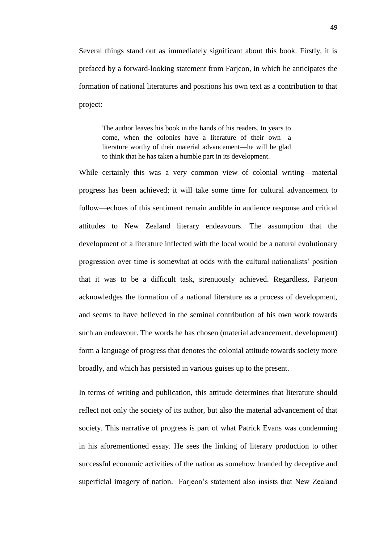Several things stand out as immediately significant about this book. Firstly, it is prefaced by a forward-looking statement from Farjeon, in which he anticipates the formation of national literatures and positions his own text as a contribution to that project:

The author leaves his book in the hands of his readers. In years to come, when the colonies have a literature of their own—a literature worthy of their material advancement—he will be glad to think that he has taken a humble part in its development.

While certainly this was a very common view of colonial writing—material progress has been achieved; it will take some time for cultural advancement to follow—echoes of this sentiment remain audible in audience response and critical attitudes to New Zealand literary endeavours. The assumption that the development of a literature inflected with the local would be a natural evolutionary progression over time is somewhat at odds with the cultural nationalists' position that it was to be a difficult task, strenuously achieved. Regardless, Farjeon acknowledges the formation of a national literature as a process of development, and seems to have believed in the seminal contribution of his own work towards such an endeavour. The words he has chosen (material advancement, development) form a language of progress that denotes the colonial attitude towards society more broadly, and which has persisted in various guises up to the present.

In terms of writing and publication, this attitude determines that literature should reflect not only the society of its author, but also the material advancement of that society. This narrative of progress is part of what Patrick Evans was condemning in his aforementioned essay. He sees the linking of literary production to other successful economic activities of the nation as somehow branded by deceptive and superficial imagery of nation. Farjeon's statement also insists that New Zealand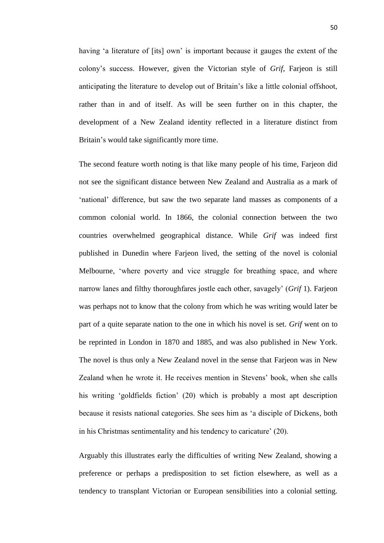having 'a literature of [its] own' is important because it gauges the extent of the colony's success. However, given the Victorian style of *Grif*, Farjeon is still anticipating the literature to develop out of Britain's like a little colonial offshoot, rather than in and of itself. As will be seen further on in this chapter, the development of a New Zealand identity reflected in a literature distinct from Britain's would take significantly more time.

The second feature worth noting is that like many people of his time, Farjeon did not see the significant distance between New Zealand and Australia as a mark of ‗national' difference, but saw the two separate land masses as components of a common colonial world. In 1866, the colonial connection between the two countries overwhelmed geographical distance. While *Grif* was indeed first published in Dunedin where Farjeon lived, the setting of the novel is colonial Melbourne, 'where poverty and vice struggle for breathing space, and where narrow lanes and filthy thoroughfares jostle each other, savagely' (*Grif* 1). Farjeon was perhaps not to know that the colony from which he was writing would later be part of a quite separate nation to the one in which his novel is set. *Grif* went on to be reprinted in London in 1870 and 1885, and was also published in New York. The novel is thus only a New Zealand novel in the sense that Farjeon was in New Zealand when he wrote it. He receives mention in Stevens' book, when she calls his writing 'goldfields fiction' (20) which is probably a most apt description because it resists national categories. She sees him as ‗a disciple of Dickens, both in his Christmas sentimentality and his tendency to caricature' (20).

Arguably this illustrates early the difficulties of writing New Zealand, showing a preference or perhaps a predisposition to set fiction elsewhere, as well as a tendency to transplant Victorian or European sensibilities into a colonial setting.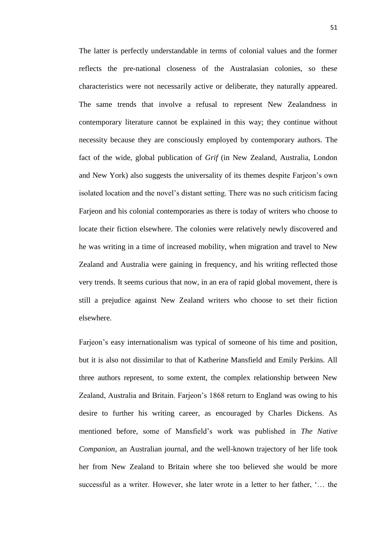The latter is perfectly understandable in terms of colonial values and the former reflects the pre-national closeness of the Australasian colonies, so these characteristics were not necessarily active or deliberate, they naturally appeared. The same trends that involve a refusal to represent New Zealandness in contemporary literature cannot be explained in this way; they continue without necessity because they are consciously employed by contemporary authors. The fact of the wide, global publication of *Grif* (in New Zealand, Australia, London and New York) also suggests the universality of its themes despite Farjeon's own isolated location and the novel's distant setting. There was no such criticism facing Farjeon and his colonial contemporaries as there is today of writers who choose to locate their fiction elsewhere. The colonies were relatively newly discovered and he was writing in a time of increased mobility, when migration and travel to New Zealand and Australia were gaining in frequency, and his writing reflected those very trends. It seems curious that now, in an era of rapid global movement, there is still a prejudice against New Zealand writers who choose to set their fiction elsewhere.

Farjeon's easy internationalism was typical of someone of his time and position, but it is also not dissimilar to that of Katherine Mansfield and Emily Perkins. All three authors represent, to some extent, the complex relationship between New Zealand, Australia and Britain. Farjeon's 1868 return to England was owing to his desire to further his writing career, as encouraged by Charles Dickens. As mentioned before, some of Mansfield's work was published in *The Native Companion*, an Australian journal, and the well-known trajectory of her life took her from New Zealand to Britain where she too believed she would be more successful as a writer. However, she later wrote in a letter to her father, '... the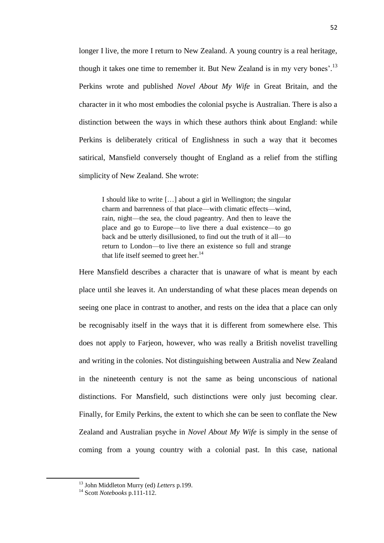longer I live, the more I return to New Zealand. A young country is a real heritage, though it takes one time to remember it. But New Zealand is in my very bones'.<sup>13</sup> Perkins wrote and published *Novel About My Wife* in Great Britain, and the character in it who most embodies the colonial psyche is Australian. There is also a distinction between the ways in which these authors think about England: while Perkins is deliberately critical of Englishness in such a way that it becomes satirical, Mansfield conversely thought of England as a relief from the stifling simplicity of New Zealand. She wrote:

I should like to write […] about a girl in Wellington; the singular charm and barrenness of that place—with climatic effects—wind, rain, night—the sea, the cloud pageantry. And then to leave the place and go to Europe—to live there a dual existence—to go back and be utterly disillusioned, to find out the truth of it all—to return to London—to live there an existence so full and strange that life itself seemed to greet her. $14$ 

Here Mansfield describes a character that is unaware of what is meant by each place until she leaves it. An understanding of what these places mean depends on seeing one place in contrast to another, and rests on the idea that a place can only be recognisably itself in the ways that it is different from somewhere else. This does not apply to Farjeon, however, who was really a British novelist travelling and writing in the colonies. Not distinguishing between Australia and New Zealand in the nineteenth century is not the same as being unconscious of national distinctions. For Mansfield, such distinctions were only just becoming clear. Finally, for Emily Perkins, the extent to which she can be seen to conflate the New Zealand and Australian psyche in *Novel About My Wife* is simply in the sense of coming from a young country with a colonial past. In this case, national

**.** 

<sup>13</sup> John Middleton Murry (ed) *Letters* p.199.

<sup>14</sup> Scott *Notebooks* p.111-112.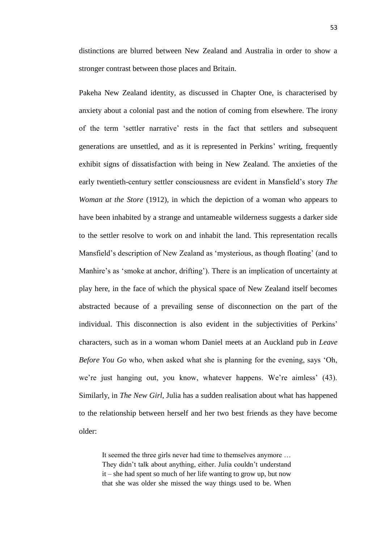distinctions are blurred between New Zealand and Australia in order to show a stronger contrast between those places and Britain.

Pakeha New Zealand identity, as discussed in Chapter One, is characterised by anxiety about a colonial past and the notion of coming from elsewhere. The irony of the term ‗settler narrative' rests in the fact that settlers and subsequent generations are unsettled, and as it is represented in Perkins' writing, frequently exhibit signs of dissatisfaction with being in New Zealand. The anxieties of the early twentieth-century settler consciousness are evident in Mansfield's story *The Woman at the Store* (1912), in which the depiction of a woman who appears to have been inhabited by a strange and untameable wilderness suggests a darker side to the settler resolve to work on and inhabit the land. This representation recalls Mansfield's description of New Zealand as 'mysterious, as though floating' (and to Manhire's as 'smoke at anchor, drifting'). There is an implication of uncertainty at play here, in the face of which the physical space of New Zealand itself becomes abstracted because of a prevailing sense of disconnection on the part of the individual. This disconnection is also evident in the subjectivities of Perkins' characters, such as in a woman whom Daniel meets at an Auckland pub in *Leave Before You Go* who, when asked what she is planning for the evening, says 'Oh, we're just hanging out, you know, whatever happens. We're aimless' (43). Similarly, in *The New Girl*, Julia has a sudden realisation about what has happened to the relationship between herself and her two best friends as they have become older:

It seemed the three girls never had time to themselves anymore … They didn't talk about anything, either. Julia couldn't understand it – she had spent so much of her life wanting to grow up, but now that she was older she missed the way things used to be. When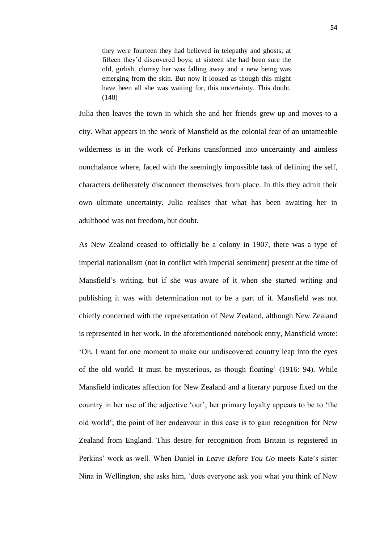they were fourteen they had believed in telepathy and ghosts; at fifteen they'd discovered boys; at sixteen she had been sure the old, girlish, clumsy her was falling away and a new being was emerging from the skin. But now it looked as though this might have been all she was waiting for, this uncertainty. This doubt. (148)

Julia then leaves the town in which she and her friends grew up and moves to a city. What appears in the work of Mansfield as the colonial fear of an untameable wilderness is in the work of Perkins transformed into uncertainty and aimless nonchalance where, faced with the seemingly impossible task of defining the self, characters deliberately disconnect themselves from place. In this they admit their own ultimate uncertainty. Julia realises that what has been awaiting her in adulthood was not freedom, but doubt.

As New Zealand ceased to officially be a colony in 1907, there was a type of imperial nationalism (not in conflict with imperial sentiment) present at the time of Mansfield's writing, but if she was aware of it when she started writing and publishing it was with determination not to be a part of it. Mansfield was not chiefly concerned with the representation of New Zealand, although New Zealand is represented in her work. In the aforementioned notebook entry, Mansfield wrote: ‗Oh, I want for one moment to make our undiscovered country leap into the eyes of the old world. It must be mysterious, as though floating' (1916: 94). While Mansfield indicates affection for New Zealand and a literary purpose fixed on the country in her use of the adjective 'our', her primary loyalty appears to be to 'the old world'; the point of her endeavour in this case is to gain recognition for New Zealand from England. This desire for recognition from Britain is registered in Perkins' work as well. When Daniel in *Leave Before You Go* meets Kate's sister Nina in Wellington, she asks him, ‗does everyone ask you what you think of New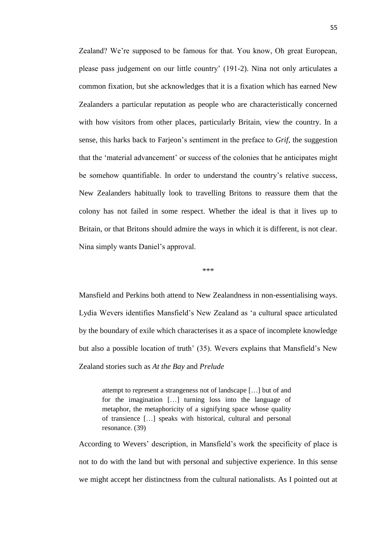Zealand? We're supposed to be famous for that. You know, Oh great European, please pass judgement on our little country' (191-2). Nina not only articulates a common fixation, but she acknowledges that it is a fixation which has earned New Zealanders a particular reputation as people who are characteristically concerned with how visitors from other places, particularly Britain, view the country. In a sense, this harks back to Farjeon's sentiment in the preface to *Grif*, the suggestion that the ‗material advancement' or success of the colonies that he anticipates might be somehow quantifiable. In order to understand the country's relative success, New Zealanders habitually look to travelling Britons to reassure them that the colony has not failed in some respect. Whether the ideal is that it lives up to Britain, or that Britons should admire the ways in which it is different, is not clear. Nina simply wants Daniel's approval.

\*\*\*

Mansfield and Perkins both attend to New Zealandness in non-essentialising ways. Lydia Wevers identifies Mansfield's New Zealand as ‗a cultural space articulated by the boundary of exile which characterises it as a space of incomplete knowledge but also a possible location of truth' (35). Wevers explains that Mansfield's New Zealand stories such as *At the Bay* and *Prelude*

attempt to represent a strangeness not of landscape […] but of and for the imagination […] turning loss into the language of metaphor, the metaphoricity of a signifying space whose quality of transience […] speaks with historical, cultural and personal resonance. (39)

According to Wevers' description, in Mansfield's work the specificity of place is not to do with the land but with personal and subjective experience. In this sense we might accept her distinctness from the cultural nationalists. As I pointed out at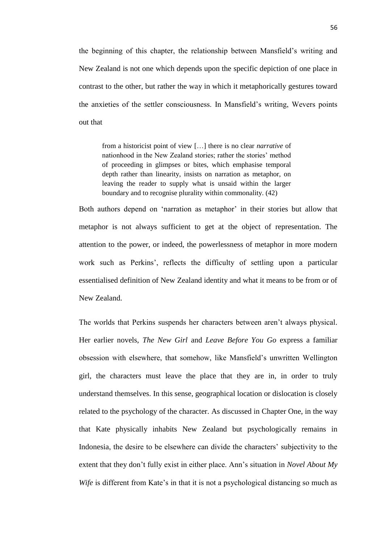the beginning of this chapter, the relationship between Mansfield's writing and New Zealand is not one which depends upon the specific depiction of one place in contrast to the other, but rather the way in which it metaphorically gestures toward the anxieties of the settler consciousness. In Mansfield's writing, Wevers points out that

from a historicist point of view […] there is no clear *narrative* of nationhood in the New Zealand stories; rather the stories' method of proceeding in glimpses or bites, which emphasise temporal depth rather than linearity, insists on narration as metaphor, on leaving the reader to supply what is unsaid within the larger boundary and to recognise plurality within commonality. (42)

Both authors depend on 'narration as metaphor' in their stories but allow that metaphor is not always sufficient to get at the object of representation. The attention to the power, or indeed, the powerlessness of metaphor in more modern work such as Perkins', reflects the difficulty of settling upon a particular essentialised definition of New Zealand identity and what it means to be from or of New Zealand.

The worlds that Perkins suspends her characters between aren't always physical. Her earlier novels, *The New Girl* and *Leave Before You Go* express a familiar obsession with elsewhere, that somehow, like Mansfield's unwritten Wellington girl, the characters must leave the place that they are in, in order to truly understand themselves. In this sense, geographical location or dislocation is closely related to the psychology of the character. As discussed in Chapter One, in the way that Kate physically inhabits New Zealand but psychologically remains in Indonesia, the desire to be elsewhere can divide the characters' subjectivity to the extent that they don't fully exist in either place. Ann's situation in *Novel About My Wife* is different from Kate's in that it is not a psychological distancing so much as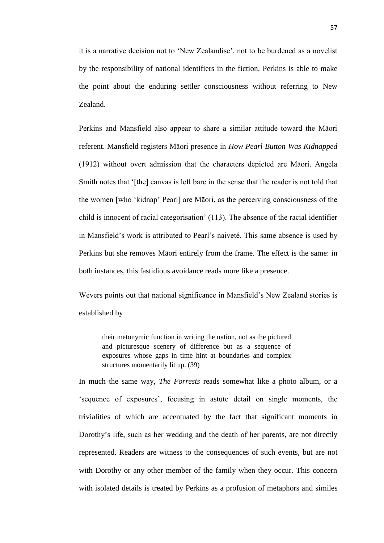it is a narrative decision not to 'New Zealandise', not to be burdened as a novelist by the responsibility of national identifiers in the fiction. Perkins is able to make the point about the enduring settler consciousness without referring to New Zealand.

Perkins and Mansfield also appear to share a similar attitude toward the Māori referent. Mansfield registers Māori presence in *How Pearl Button Was Kidnapped* (1912) without overt admission that the characters depicted are Māori. Angela Smith notes that '[the] canvas is left bare in the sense that the reader is not told that the women [who ‗kidnap' Pearl] are Māori, as the perceiving consciousness of the child is innocent of racial categorisation' (113). The absence of the racial identifier in Mansfield's work is attributed to Pearl's naiveté. This same absence is used by Perkins but she removes Māori entirely from the frame. The effect is the same: in both instances, this fastidious avoidance reads more like a presence.

Wevers points out that national significance in Mansfield's New Zealand stories is established by

their metonymic function in writing the nation, not as the pictured and picturesque scenery of difference but as a sequence of exposures whose gaps in time hint at boundaries and complex structures momentarily lit up. (39)

In much the same way, *The Forrests* reads somewhat like a photo album, or a ‗sequence of exposures', focusing in astute detail on single moments, the trivialities of which are accentuated by the fact that significant moments in Dorothy's life, such as her wedding and the death of her parents, are not directly represented. Readers are witness to the consequences of such events, but are not with Dorothy or any other member of the family when they occur. This concern with isolated details is treated by Perkins as a profusion of metaphors and similes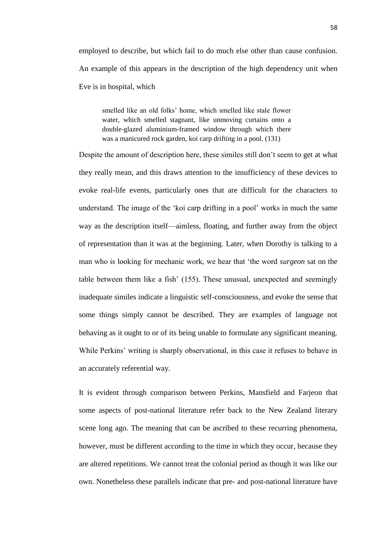employed to describe, but which fail to do much else other than cause confusion. An example of this appears in the description of the high dependency unit when Eve is in hospital, which

smelled like an old folks' home, which smelled like stale flower water, which smelled stagnant, like unmoving curtains onto a double-glazed aluminium-framed window through which there was a manicured rock garden, koi carp drifting in a pool. (131)

Despite the amount of description here, these similes still don't seem to get at what they really mean, and this draws attention to the insufficiency of these devices to evoke real-life events, particularly ones that are difficult for the characters to understand. The image of the 'koi carp drifting in a pool' works in much the same way as the description itself—aimless, floating, and further away from the object of representation than it was at the beginning. Later, when Dorothy is talking to a man who is looking for mechanic work, we hear that 'the word *surgeon* sat on the table between them like a fish' (155). These unusual, unexpected and seemingly inadequate similes indicate a linguistic self-consciousness, and evoke the sense that some things simply cannot be described. They are examples of language not behaving as it ought to or of its being unable to formulate any significant meaning. While Perkins' writing is sharply observational, in this case it refuses to behave in an accurately referential way.

It is evident through comparison between Perkins, Mansfield and Farjeon that some aspects of post-national literature refer back to the New Zealand literary scene long ago. The meaning that can be ascribed to these recurring phenomena, however, must be different according to the time in which they occur, because they are altered repetitions. We cannot treat the colonial period as though it was like our own. Nonetheless these parallels indicate that pre- and post-national literature have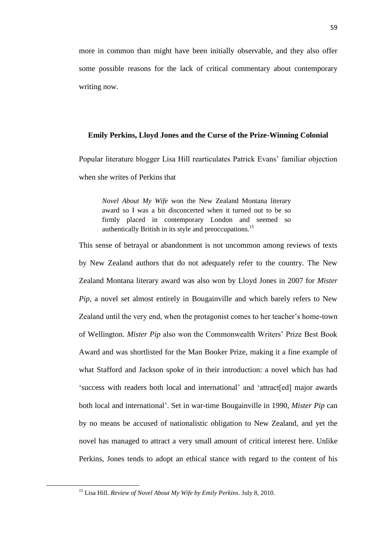more in common than might have been initially observable, and they also offer some possible reasons for the lack of critical commentary about contemporary writing now.

#### **Emily Perkins, Lloyd Jones and the Curse of the Prize-Winning Colonial**

Popular literature blogger Lisa Hill rearticulates Patrick Evans' familiar objection when she writes of Perkins that

*Novel About My Wife* won the New Zealand Montana literary award so I was a bit disconcerted when it turned out to be so firmly placed in contemporary London and seemed so authentically British in its style and preoccupations.<sup>15</sup>

This sense of betrayal or abandonment is not uncommon among reviews of texts by New Zealand authors that do not adequately refer to the country. The New Zealand Montana literary award was also won by Lloyd Jones in 2007 for *Mister Pip*, a novel set almost entirely in Bougainville and which barely refers to New Zealand until the very end, when the protagonist comes to her teacher's home-town of Wellington. *Mister Pip* also won the Commonwealth Writers' Prize Best Book Award and was shortlisted for the Man Booker Prize, making it a fine example of what Stafford and Jackson spoke of in their introduction: a novel which has had ‗success with readers both local and international' and ‗attract[ed] major awards both local and international'. Set in war-time Bougainville in 1990, *Mister Pip* can by no means be accused of nationalistic obligation to New Zealand, and yet the novel has managed to attract a very small amount of critical interest here. Unlike Perkins, Jones tends to adopt an ethical stance with regard to the content of his

**.** 

<sup>15</sup> Lisa Hill. *Review of Novel About My Wife by Emily Perkins*. July 8, 2010.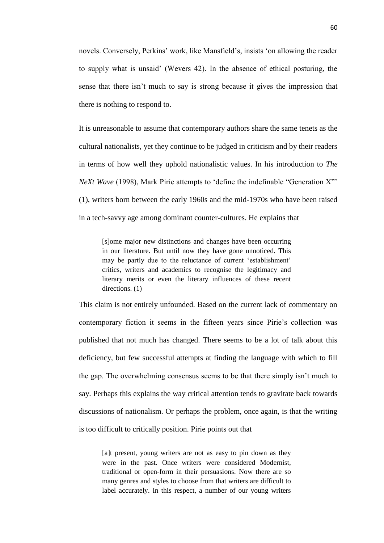novels. Conversely, Perkins' work, like Mansfield's, insists 'on allowing the reader to supply what is unsaid' (Wevers 42). In the absence of ethical posturing, the sense that there isn't much to say is strong because it gives the impression that there is nothing to respond to.

It is unreasonable to assume that contemporary authors share the same tenets as the cultural nationalists, yet they continue to be judged in criticism and by their readers in terms of how well they uphold nationalistic values. In his introduction to *The NeXt Wave* (1998), Mark Pirie attempts to 'define the indefinable "Generation X"' (1), writers born between the early 1960s and the mid-1970s who have been raised in a tech-savvy age among dominant counter-cultures. He explains that

[s]ome major new distinctions and changes have been occurring in our literature. But until now they have gone unnoticed. This may be partly due to the reluctance of current 'establishment' critics, writers and academics to recognise the legitimacy and literary merits or even the literary influences of these recent directions. (1)

This claim is not entirely unfounded. Based on the current lack of commentary on contemporary fiction it seems in the fifteen years since Pirie's collection was published that not much has changed. There seems to be a lot of talk about this deficiency, but few successful attempts at finding the language with which to fill the gap. The overwhelming consensus seems to be that there simply isn't much to say. Perhaps this explains the way critical attention tends to gravitate back towards discussions of nationalism. Or perhaps the problem, once again, is that the writing is too difficult to critically position. Pirie points out that

[a]t present, young writers are not as easy to pin down as they were in the past. Once writers were considered Modernist, traditional or open-form in their persuasions. Now there are so many genres and styles to choose from that writers are difficult to label accurately. In this respect, a number of our young writers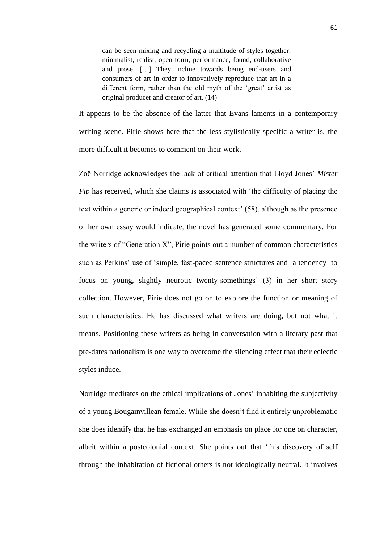can be seen mixing and recycling a multitude of styles together: minimalist, realist, open-form, performance, found, collaborative and prose. […] They incline towards being end-users and consumers of art in order to innovatively reproduce that art in a different form, rather than the old myth of the 'great' artist as original producer and creator of art. (14)

It appears to be the absence of the latter that Evans laments in a contemporary writing scene. Pirie shows here that the less stylistically specific a writer is, the more difficult it becomes to comment on their work.

Zoë Norridge acknowledges the lack of critical attention that Lloyd Jones' *Mister Pip* has received, which she claims is associated with 'the difficulty of placing the text within a generic or indeed geographical context' (58), although as the presence of her own essay would indicate, the novel has generated some commentary. For the writers of "Generation X", Pirie points out a number of common characteristics such as Perkins' use of 'simple, fast-paced sentence structures and [a tendency] to focus on young, slightly neurotic twenty-somethings' (3) in her short story collection. However, Pirie does not go on to explore the function or meaning of such characteristics. He has discussed what writers are doing, but not what it means. Positioning these writers as being in conversation with a literary past that pre-dates nationalism is one way to overcome the silencing effect that their eclectic styles induce.

Norridge meditates on the ethical implications of Jones' inhabiting the subjectivity of a young Bougainvillean female. While she doesn't find it entirely unproblematic she does identify that he has exchanged an emphasis on place for one on character, albeit within a postcolonial context. She points out that 'this discovery of self through the inhabitation of fictional others is not ideologically neutral. It involves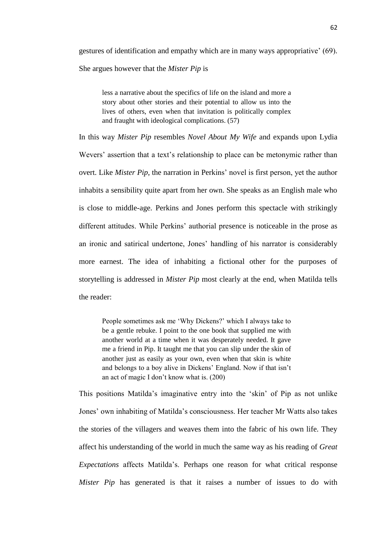gestures of identification and empathy which are in many ways appropriative' (69). She argues however that the *Mister Pip* is

less a narrative about the specifics of life on the island and more a story about other stories and their potential to allow us into the lives of others, even when that invitation is politically complex and fraught with ideological complications. (57)

In this way *Mister Pip* resembles *Novel About My Wife* and expands upon Lydia Wevers' assertion that a text's relationship to place can be metonymic rather than overt. Like *Mister Pip*, the narration in Perkins' novel is first person, yet the author inhabits a sensibility quite apart from her own. She speaks as an English male who is close to middle-age. Perkins and Jones perform this spectacle with strikingly different attitudes. While Perkins' authorial presence is noticeable in the prose as an ironic and satirical undertone, Jones' handling of his narrator is considerably more earnest. The idea of inhabiting a fictional other for the purposes of storytelling is addressed in *Mister Pip* most clearly at the end, when Matilda tells the reader:

People sometimes ask me 'Why Dickens?' which I always take to be a gentle rebuke. I point to the one book that supplied me with another world at a time when it was desperately needed. It gave me a friend in Pip. It taught me that you can slip under the skin of another just as easily as your own, even when that skin is white and belongs to a boy alive in Dickens' England. Now if that isn't an act of magic I don't know what is. (200)

This positions Matilda's imaginative entry into the 'skin' of Pip as not unlike Jones' own inhabiting of Matilda's consciousness. Her teacher Mr Watts also takes the stories of the villagers and weaves them into the fabric of his own life. They affect his understanding of the world in much the same way as his reading of *Great Expectations* affects Matilda's. Perhaps one reason for what critical response *Mister Pip* has generated is that it raises a number of issues to do with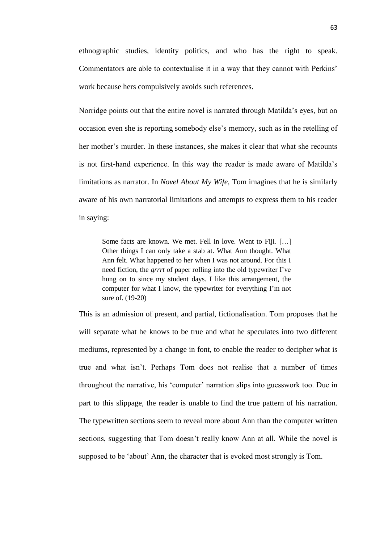ethnographic studies, identity politics, and who has the right to speak. Commentators are able to contextualise it in a way that they cannot with Perkins' work because hers compulsively avoids such references.

Norridge points out that the entire novel is narrated through Matilda's eyes, but on occasion even she is reporting somebody else's memory, such as in the retelling of her mother's murder. In these instances, she makes it clear that what she recounts is not first-hand experience. In this way the reader is made aware of Matilda's limitations as narrator. In *Novel About My Wife*, Tom imagines that he is similarly aware of his own narratorial limitations and attempts to express them to his reader in saying:

Some facts are known. We met. Fell in love. Went to Fiji. […] Other things I can only take a stab at. What Ann thought. What Ann felt. What happened to her when I was not around. For this I need fiction, the *grrrt* of paper rolling into the old typewriter I've hung on to since my student days. I like this arrangement, the computer for what I know, the typewriter for everything I'm not sure of. (19-20)

This is an admission of present, and partial, fictionalisation. Tom proposes that he will separate what he knows to be true and what he speculates into two different mediums, represented by a change in font, to enable the reader to decipher what is true and what isn't. Perhaps Tom does not realise that a number of times throughout the narrative, his ‗computer' narration slips into guesswork too. Due in part to this slippage, the reader is unable to find the true pattern of his narration. The typewritten sections seem to reveal more about Ann than the computer written sections, suggesting that Tom doesn't really know Ann at all. While the novel is supposed to be 'about' Ann, the character that is evoked most strongly is Tom.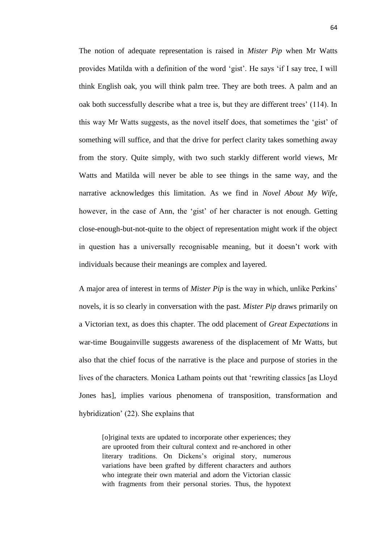The notion of adequate representation is raised in *Mister Pip* when Mr Watts provides Matilda with a definition of the word ‗gist'. He says ‗if I say tree, I will think English oak, you will think palm tree. They are both trees. A palm and an oak both successfully describe what a tree is, but they are different trees' (114). In this way Mr Watts suggests, as the novel itself does, that sometimes the ‗gist' of something will suffice, and that the drive for perfect clarity takes something away from the story. Quite simply, with two such starkly different world views, Mr Watts and Matilda will never be able to see things in the same way, and the narrative acknowledges this limitation. As we find in *Novel About My Wife*, however, in the case of Ann, the 'gist' of her character is not enough. Getting close-enough-but-not-quite to the object of representation might work if the object in question has a universally recognisable meaning, but it doesn't work with individuals because their meanings are complex and layered.

A major area of interest in terms of *Mister Pip* is the way in which, unlike Perkins' novels, it is so clearly in conversation with the past. *Mister Pip* draws primarily on a Victorian text, as does this chapter. The odd placement of *Great Expectations* in war-time Bougainville suggests awareness of the displacement of Mr Watts, but also that the chief focus of the narrative is the place and purpose of stories in the lives of the characters. Monica Latham points out that 'rewriting classics [as Lloyd] Jones has], implies various phenomena of transposition, transformation and hybridization' (22). She explains that

[o]riginal texts are updated to incorporate other experiences; they are uprooted from their cultural context and re-anchored in other literary traditions. On Dickens's original story, numerous variations have been grafted by different characters and authors who integrate their own material and adorn the Victorian classic with fragments from their personal stories. Thus, the hypotext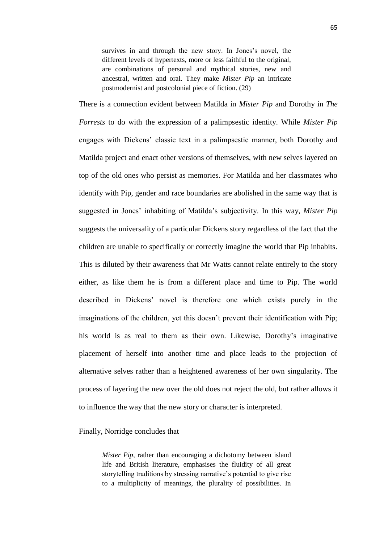survives in and through the new story. In Jones's novel, the different levels of hypertexts, more or less faithful to the original, are combinations of personal and mythical stories, new and ancestral, written and oral. They make *Mister Pip* an intricate postmodernist and postcolonial piece of fiction. (29)

There is a connection evident between Matilda in *Mister Pip* and Dorothy in *The Forrests* to do with the expression of a palimpsestic identity. While *Mister Pip* engages with Dickens' classic text in a palimpsestic manner, both Dorothy and Matilda project and enact other versions of themselves, with new selves layered on top of the old ones who persist as memories. For Matilda and her classmates who identify with Pip, gender and race boundaries are abolished in the same way that is suggested in Jones' inhabiting of Matilda's subjectivity. In this way, *Mister Pip* suggests the universality of a particular Dickens story regardless of the fact that the children are unable to specifically or correctly imagine the world that Pip inhabits. This is diluted by their awareness that Mr Watts cannot relate entirely to the story either, as like them he is from a different place and time to Pip. The world described in Dickens' novel is therefore one which exists purely in the imaginations of the children, yet this doesn't prevent their identification with Pip; his world is as real to them as their own. Likewise, Dorothy's imaginative placement of herself into another time and place leads to the projection of alternative selves rather than a heightened awareness of her own singularity. The process of layering the new over the old does not reject the old, but rather allows it to influence the way that the new story or character is interpreted.

#### Finally, Norridge concludes that

*Mister Pip*, rather than encouraging a dichotomy between island life and British literature, emphasises the fluidity of all great storytelling traditions by stressing narrative's potential to give rise to a multiplicity of meanings, the plurality of possibilities. In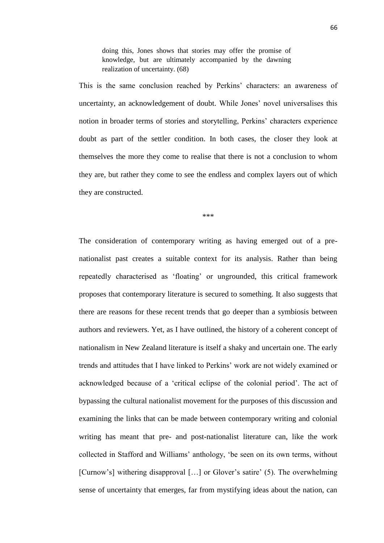doing this, Jones shows that stories may offer the promise of knowledge, but are ultimately accompanied by the dawning realization of uncertainty. (68)

This is the same conclusion reached by Perkins' characters: an awareness of uncertainty, an acknowledgement of doubt. While Jones' novel universalises this notion in broader terms of stories and storytelling, Perkins' characters experience doubt as part of the settler condition. In both cases, the closer they look at themselves the more they come to realise that there is not a conclusion to whom they are, but rather they come to see the endless and complex layers out of which they are constructed.

\*\*\*

The consideration of contemporary writing as having emerged out of a prenationalist past creates a suitable context for its analysis. Rather than being repeatedly characterised as 'floating' or ungrounded, this critical framework proposes that contemporary literature is secured to something. It also suggests that there are reasons for these recent trends that go deeper than a symbiosis between authors and reviewers. Yet, as I have outlined, the history of a coherent concept of nationalism in New Zealand literature is itself a shaky and uncertain one. The early trends and attitudes that I have linked to Perkins' work are not widely examined or acknowledged because of a 'critical eclipse of the colonial period'. The act of bypassing the cultural nationalist movement for the purposes of this discussion and examining the links that can be made between contemporary writing and colonial writing has meant that pre- and post-nationalist literature can, like the work collected in Stafford and Williams' anthology, ‗be seen on its own terms, without [Curnow's] withering disapproval [...] or Glover's satire' (5). The overwhelming sense of uncertainty that emerges, far from mystifying ideas about the nation, can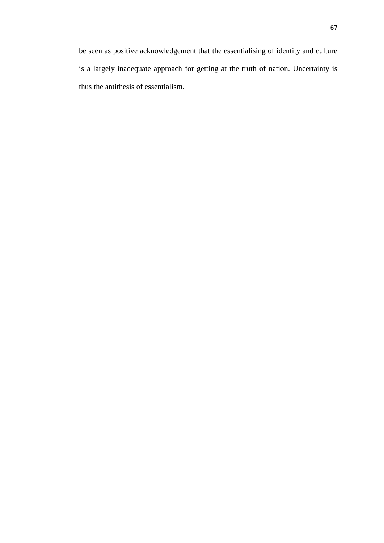be seen as positive acknowledgement that the essentialising of identity and culture is a largely inadequate approach for getting at the truth of nation. Uncertainty is thus the antithesis of essentialism.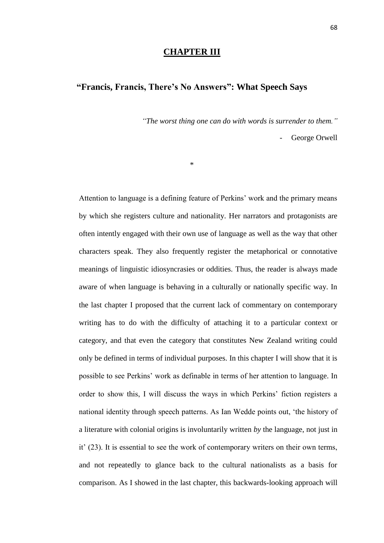#### **CHAPTER III**

## **"Francis, Francis, There's No Answers": What Speech Says**

\*

*"The worst thing one can do with words is surrender to them."*

George Orwell

Attention to language is a defining feature of Perkins' work and the primary means by which she registers culture and nationality. Her narrators and protagonists are often intently engaged with their own use of language as well as the way that other characters speak. They also frequently register the metaphorical or connotative meanings of linguistic idiosyncrasies or oddities. Thus, the reader is always made aware of when language is behaving in a culturally or nationally specific way. In the last chapter I proposed that the current lack of commentary on contemporary writing has to do with the difficulty of attaching it to a particular context or category, and that even the category that constitutes New Zealand writing could only be defined in terms of individual purposes. In this chapter I will show that it is possible to see Perkins' work as definable in terms of her attention to language. In order to show this, I will discuss the ways in which Perkins' fiction registers a national identity through speech patterns. As Ian Wedde points out, 'the history of a literature with colonial origins is involuntarily written *by* the language, not just in it' (23). It is essential to see the work of contemporary writers on their own terms, and not repeatedly to glance back to the cultural nationalists as a basis for comparison. As I showed in the last chapter, this backwards-looking approach will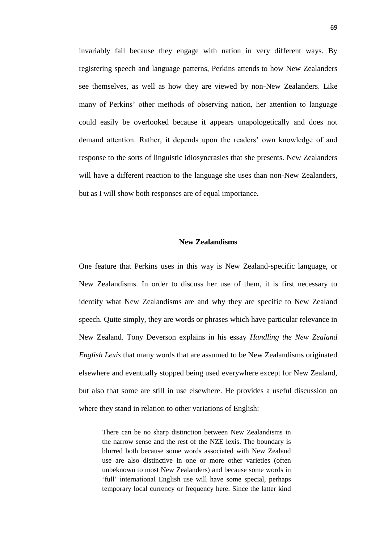invariably fail because they engage with nation in very different ways. By registering speech and language patterns, Perkins attends to how New Zealanders see themselves, as well as how they are viewed by non-New Zealanders. Like many of Perkins' other methods of observing nation, her attention to language could easily be overlooked because it appears unapologetically and does not demand attention. Rather, it depends upon the readers' own knowledge of and response to the sorts of linguistic idiosyncrasies that she presents. New Zealanders will have a different reaction to the language she uses than non-New Zealanders, but as I will show both responses are of equal importance.

#### **New Zealandisms**

One feature that Perkins uses in this way is New Zealand-specific language, or New Zealandisms. In order to discuss her use of them, it is first necessary to identify what New Zealandisms are and why they are specific to New Zealand speech. Quite simply, they are words or phrases which have particular relevance in New Zealand. Tony Deverson explains in his essay *Handling the New Zealand English Lexis* that many words that are assumed to be New Zealandisms originated elsewhere and eventually stopped being used everywhere except for New Zealand, but also that some are still in use elsewhere. He provides a useful discussion on where they stand in relation to other variations of English:

There can be no sharp distinction between New Zealandisms in the narrow sense and the rest of the NZE lexis. The boundary is blurred both because some words associated with New Zealand use are also distinctive in one or more other varieties (often unbeknown to most New Zealanders) and because some words in ‗full' international English use will have some special, perhaps temporary local currency or frequency here. Since the latter kind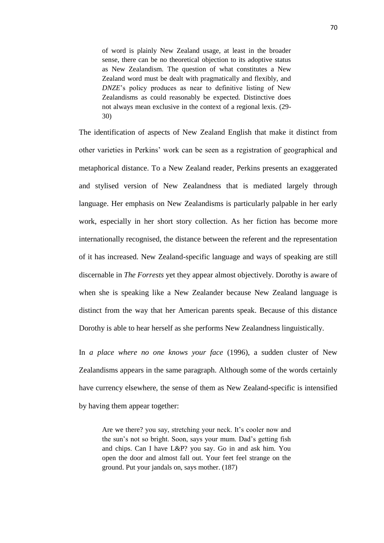of word is plainly New Zealand usage, at least in the broader sense, there can be no theoretical objection to its adoptive status as New Zealandism. The question of what constitutes a New Zealand word must be dealt with pragmatically and flexibly, and *DNZE*'s policy produces as near to definitive listing of New Zealandisms as could reasonably be expected. Distinctive does not always mean exclusive in the context of a regional lexis. (29- 30)

The identification of aspects of New Zealand English that make it distinct from other varieties in Perkins' work can be seen as a registration of geographical and metaphorical distance. To a New Zealand reader, Perkins presents an exaggerated and stylised version of New Zealandness that is mediated largely through language. Her emphasis on New Zealandisms is particularly palpable in her early work, especially in her short story collection. As her fiction has become more internationally recognised, the distance between the referent and the representation of it has increased. New Zealand-specific language and ways of speaking are still discernable in *The Forrests* yet they appear almost objectively. Dorothy is aware of when she is speaking like a New Zealander because New Zealand language is distinct from the way that her American parents speak. Because of this distance Dorothy is able to hear herself as she performs New Zealandness linguistically.

In *a place where no one knows your face* (1996), a sudden cluster of New Zealandisms appears in the same paragraph. Although some of the words certainly have currency elsewhere, the sense of them as New Zealand-specific is intensified by having them appear together:

Are we there? you say, stretching your neck. It's cooler now and the sun's not so bright. Soon, says your mum. Dad's getting fish and chips. Can I have L&P? you say. Go in and ask him. You open the door and almost fall out. Your feet feel strange on the ground. Put your jandals on, says mother. (187)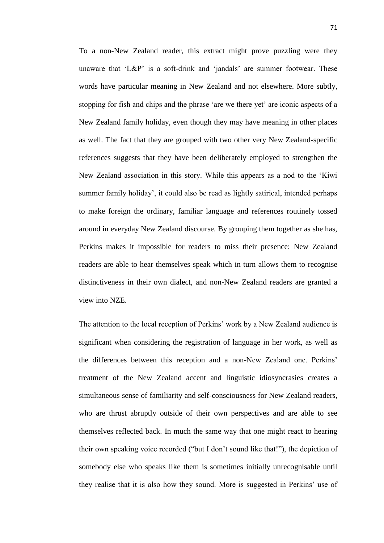To a non-New Zealand reader, this extract might prove puzzling were they unaware that  $LEP'$  is a soft-drink and 'jandals' are summer footwear. These words have particular meaning in New Zealand and not elsewhere. More subtly, stopping for fish and chips and the phrase 'are we there yet' are iconic aspects of a New Zealand family holiday, even though they may have meaning in other places as well. The fact that they are grouped with two other very New Zealand-specific references suggests that they have been deliberately employed to strengthen the New Zealand association in this story. While this appears as a nod to the 'Kiwi summer family holiday', it could also be read as lightly satirical, intended perhaps to make foreign the ordinary, familiar language and references routinely tossed around in everyday New Zealand discourse. By grouping them together as she has, Perkins makes it impossible for readers to miss their presence: New Zealand readers are able to hear themselves speak which in turn allows them to recognise distinctiveness in their own dialect, and non-New Zealand readers are granted a view into NZE.

The attention to the local reception of Perkins' work by a New Zealand audience is significant when considering the registration of language in her work, as well as the differences between this reception and a non-New Zealand one. Perkins' treatment of the New Zealand accent and linguistic idiosyncrasies creates a simultaneous sense of familiarity and self-consciousness for New Zealand readers, who are thrust abruptly outside of their own perspectives and are able to see themselves reflected back. In much the same way that one might react to hearing their own speaking voice recorded ("but I don't sound like that!"), the depiction of somebody else who speaks like them is sometimes initially unrecognisable until they realise that it is also how they sound. More is suggested in Perkins' use of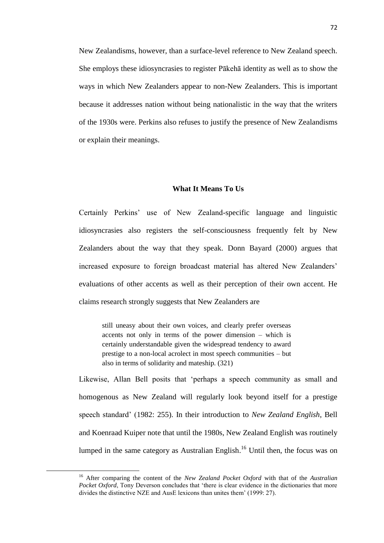New Zealandisms, however, than a surface-level reference to New Zealand speech. She employs these idiosyncrasies to register Pākehā identity as well as to show the ways in which New Zealanders appear to non-New Zealanders. This is important because it addresses nation without being nationalistic in the way that the writers of the 1930s were. Perkins also refuses to justify the presence of New Zealandisms or explain their meanings.

# **What It Means To Us**

Certainly Perkins' use of New Zealand-specific language and linguistic idiosyncrasies also registers the self-consciousness frequently felt by New Zealanders about the way that they speak. Donn Bayard (2000) argues that increased exposure to foreign broadcast material has altered New Zealanders' evaluations of other accents as well as their perception of their own accent. He claims research strongly suggests that New Zealanders are

still uneasy about their own voices, and clearly prefer overseas accents not only in terms of the power dimension – which is certainly understandable given the widespread tendency to award prestige to a non-local acrolect in most speech communities – but also in terms of solidarity and mateship. (321)

Likewise, Allan Bell posits that 'perhaps a speech community as small and homogenous as New Zealand will regularly look beyond itself for a prestige speech standard' (1982: 255). In their introduction to *New Zealand English*, Bell and Koenraad Kuiper note that until the 1980s, New Zealand English was routinely lumped in the same category as Australian English.<sup>16</sup> Until then, the focus was on

1

<sup>16</sup> After comparing the content of the *New Zealand Pocket Oxford* with that of the *Australian Pocket Oxford*, Tony Deverson concludes that 'there is clear evidence in the dictionaries that more divides the distinctive NZE and AusE lexicons than unites them' (1999: 27).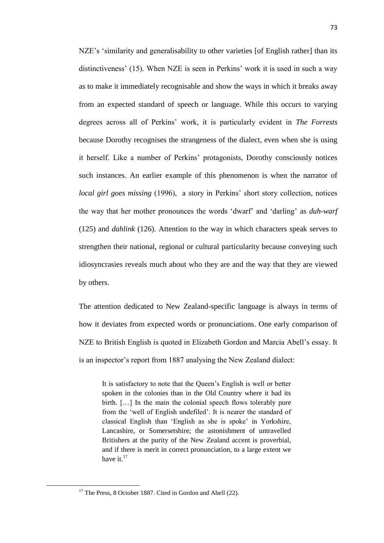NZE's 'similarity and generalisability to other varieties [of English rather] than its distinctiveness' (15). When NZE is seen in Perkins' work it is used in such a way as to make it immediately recognisable and show the ways in which it breaks away from an expected standard of speech or language. While this occurs to varying degrees across all of Perkins' work, it is particularly evident in *The Forrests* because Dorothy recognises the strangeness of the dialect, even when she is using it herself. Like a number of Perkins' protagonists, Dorothy consciously notices such instances. An earlier example of this phenomenon is when the narrator of *local girl goes missing* (1996), a story in Perkins' short story collection, notices the way that her mother pronounces the words ‗dwarf' and ‗darling' as *duh-warf* (125) and *dahlink* (126). Attention to the way in which characters speak serves to strengthen their national, regional or cultural particularity because conveying such idiosyncrasies reveals much about who they are and the way that they are viewed by others.

The attention dedicated to New Zealand-specific language is always in terms of how it deviates from expected words or pronunciations. One early comparison of NZE to British English is quoted in Elizabeth Gordon and Marcia Abell's essay. It is an inspector's report from 1887 analysing the New Zealand dialect:

It is satisfactory to note that the Queen's English is well or better spoken in the colonies than in the Old Country where it had its birth. […] In the main the colonial speech flows tolerably pure from the 'well of English undefiled'. It is nearer the standard of classical English than 'English as she is spoke' in Yorkshire, Lancashire, or Somersetshire; the astonishment of untravelled Britishers at the purity of the New Zealand accent is proverbial, and if there is merit in correct pronunciation, to a large extent we have it.<sup>17</sup>

**.** 

 $17$  The Press, 8 October 1887. Cited in Gordon and Abell (22).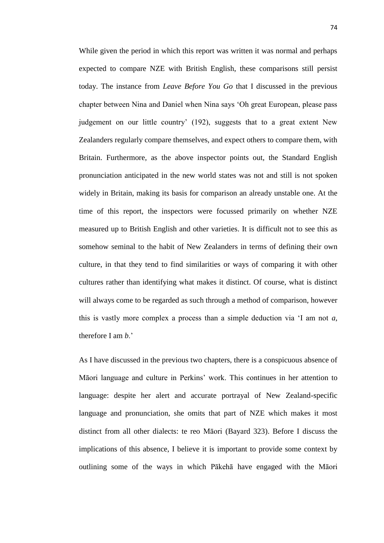While given the period in which this report was written it was normal and perhaps expected to compare NZE with British English, these comparisons still persist today. The instance from *Leave Before You Go* that I discussed in the previous chapter between Nina and Daniel when Nina says ‗Oh great European, please pass judgement on our little country' (192), suggests that to a great extent New Zealanders regularly compare themselves, and expect others to compare them, with Britain. Furthermore, as the above inspector points out, the Standard English pronunciation anticipated in the new world states was not and still is not spoken widely in Britain, making its basis for comparison an already unstable one. At the time of this report, the inspectors were focussed primarily on whether NZE measured up to British English and other varieties. It is difficult not to see this as somehow seminal to the habit of New Zealanders in terms of defining their own culture, in that they tend to find similarities or ways of comparing it with other cultures rather than identifying what makes it distinct. Of course, what is distinct will always come to be regarded as such through a method of comparison, however this is vastly more complex a process than a simple deduction via ‗I am not *a*, therefore I am *b*.'

As I have discussed in the previous two chapters, there is a conspicuous absence of Māori language and culture in Perkins' work. This continues in her attention to language: despite her alert and accurate portrayal of New Zealand-specific language and pronunciation, she omits that part of NZE which makes it most distinct from all other dialects: te reo Māori (Bayard 323). Before I discuss the implications of this absence, I believe it is important to provide some context by outlining some of the ways in which Pākehā have engaged with the Māori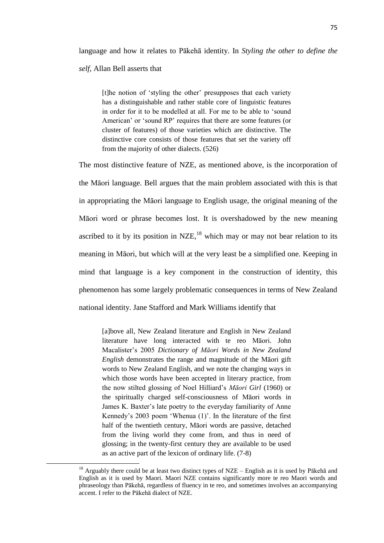language and how it relates to Pākehā identity. In *Styling the other to define the self*, Allan Bell asserts that

[t]he notion of ‗styling the other' presupposes that each variety has a distinguishable and rather stable core of linguistic features in order for it to be modelled at all. For me to be able to 'sound American' or 'sound RP' requires that there are some features (or cluster of features) of those varieties which are distinctive. The distinctive core consists of those features that set the variety off from the majority of other dialects. (526)

The most distinctive feature of NZE, as mentioned above, is the incorporation of the Māori language. Bell argues that the main problem associated with this is that in appropriating the Māori language to English usage, the original meaning of the Māori word or phrase becomes lost. It is overshadowed by the new meaning ascribed to it by its position in  $NZE<sup>18</sup>$ , which may or may not bear relation to its meaning in Māori, but which will at the very least be a simplified one. Keeping in mind that language is a key component in the construction of identity, this phenomenon has some largely problematic consequences in terms of New Zealand national identity. Jane Stafford and Mark Williams identify that

[a]bove all, New Zealand literature and English in New Zealand literature have long interacted with te reo Māori. John Macalister's 2005 *Dictionary of Māori Words in New Zealand English* demonstrates the range and magnitude of the Māori gift words to New Zealand English, and we note the changing ways in which those words have been accepted in literary practice, from the now stilted glossing of Noel Hilliard's *Māori Girl* (1960) or the spiritually charged self-consciousness of Māori words in James K. Baxter's late poetry to the everyday familiarity of Anne Kennedy's 2003 poem 'Whenua (1)'. In the literature of the first half of the twentieth century, Māori words are passive, detached from the living world they come from, and thus in need of glossing; in the twenty-first century they are available to be used as an active part of the lexicon of ordinary life. (7-8)

**.** 

<sup>&</sup>lt;sup>18</sup> Arguably there could be at least two distinct types of NZE – English as it is used by Pākehā and English as it is used by Maori. Maori NZE contains significantly more te reo Maori words and phraseology than Pākehā, regardless of fluency in te reo, and sometimes involves an accompanying accent. I refer to the Pākehā dialect of NZE.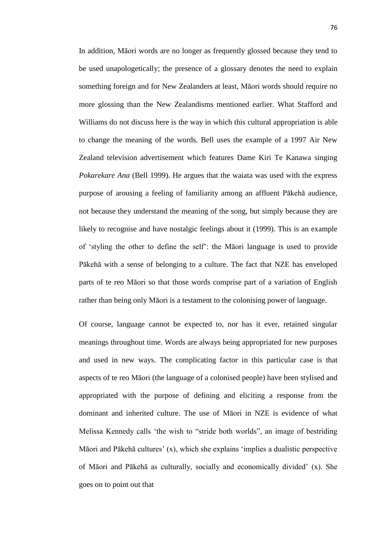In addition, Māori words are no longer as frequently glossed because they tend to be used unapologetically; the presence of a glossary denotes the need to explain something foreign and for New Zealanders at least, Māori words should require no more glossing than the New Zealandisms mentioned earlier. What Stafford and Williams do not discuss here is the way in which this cultural appropriation is able to change the meaning of the words. Bell uses the example of a 1997 Air New Zealand television advertisement which features Dame Kiri Te Kanawa singing *Pokarekare Ana* (Bell 1999). He argues that the waiata was used with the express purpose of arousing a feeling of familiarity among an affluent Pākehā audience, not because they understand the meaning of the song, but simply because they are likely to recognise and have nostalgic feelings about it (1999). This is an example of ‗styling the other to define the self': the Māori language is used to provide Pākehā with a sense of belonging to a culture. The fact that NZE has enveloped parts of te reo Māori so that those words comprise part of a variation of English rather than being only Māori is a testament to the colonising power of language.

Of course, language cannot be expected to, nor has it ever, retained singular meanings throughout time. Words are always being appropriated for new purposes and used in new ways. The complicating factor in this particular case is that aspects of te reo Māori (the language of a colonised people) have been stylised and appropriated with the purpose of defining and eliciting a response from the dominant and inherited culture. The use of Māori in NZE is evidence of what Melissa Kennedy calls 'the wish to "stride both worlds", an image of bestriding Māori and Pākehā cultures'  $(x)$ , which she explains 'implies a dualistic perspective of Māori and Pākehā as culturally, socially and economically divided' (x). She goes on to point out that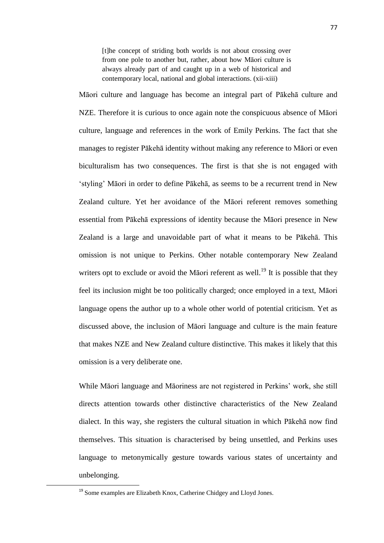[t]he concept of striding both worlds is not about crossing over from one pole to another but, rather, about how Māori culture is always already part of and caught up in a web of historical and contemporary local, national and global interactions. (xii-xiii)

Māori culture and language has become an integral part of Pākehā culture and NZE. Therefore it is curious to once again note the conspicuous absence of Māori culture, language and references in the work of Emily Perkins. The fact that she manages to register Pākehā identity without making any reference to Māori or even biculturalism has two consequences. The first is that she is not engaged with ‗styling' Māori in order to define Pākehā, as seems to be a recurrent trend in New Zealand culture. Yet her avoidance of the Māori referent removes something essential from Pākehā expressions of identity because the Māori presence in New Zealand is a large and unavoidable part of what it means to be Pākehā. This omission is not unique to Perkins. Other notable contemporary New Zealand writers opt to exclude or avoid the Māori referent as well.<sup>19</sup> It is possible that they feel its inclusion might be too politically charged; once employed in a text, Māori language opens the author up to a whole other world of potential criticism. Yet as discussed above, the inclusion of Māori language and culture is the main feature that makes NZE and New Zealand culture distinctive. This makes it likely that this omission is a very deliberate one.

While Māori language and Māoriness are not registered in Perkins' work, she still directs attention towards other distinctive characteristics of the New Zealand dialect. In this way, she registers the cultural situation in which Pākehā now find themselves. This situation is characterised by being unsettled, and Perkins uses language to metonymically gesture towards various states of uncertainty and unbelonging.

**.** 

<sup>&</sup>lt;sup>19</sup> Some examples are Elizabeth Knox, Catherine Chidgey and Lloyd Jones.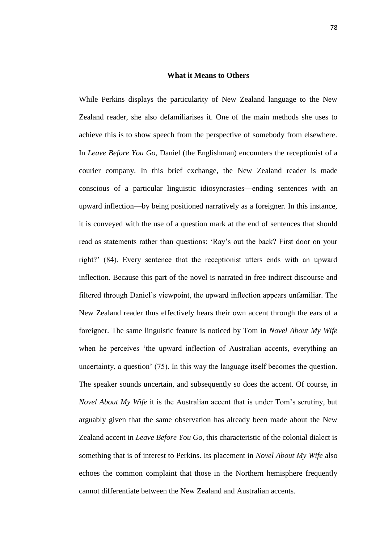# **What it Means to Others**

While Perkins displays the particularity of New Zealand language to the New Zealand reader, she also defamiliarises it. One of the main methods she uses to achieve this is to show speech from the perspective of somebody from elsewhere. In *Leave Before You Go*, Daniel (the Englishman) encounters the receptionist of a courier company. In this brief exchange, the New Zealand reader is made conscious of a particular linguistic idiosyncrasies—ending sentences with an upward inflection—by being positioned narratively as a foreigner. In this instance, it is conveyed with the use of a question mark at the end of sentences that should read as statements rather than questions: 'Ray's out the back? First door on your right?' (84). Every sentence that the receptionist utters ends with an upward inflection. Because this part of the novel is narrated in free indirect discourse and filtered through Daniel's viewpoint, the upward inflection appears unfamiliar. The New Zealand reader thus effectively hears their own accent through the ears of a foreigner. The same linguistic feature is noticed by Tom in *Novel About My Wife*  when he perceives 'the upward inflection of Australian accents, everything an uncertainty, a question' (75). In this way the language itself becomes the question. The speaker sounds uncertain, and subsequently so does the accent. Of course, in *Novel About My Wife* it is the Australian accent that is under Tom's scrutiny, but arguably given that the same observation has already been made about the New Zealand accent in *Leave Before You Go*, this characteristic of the colonial dialect is something that is of interest to Perkins. Its placement in *Novel About My Wife* also echoes the common complaint that those in the Northern hemisphere frequently cannot differentiate between the New Zealand and Australian accents.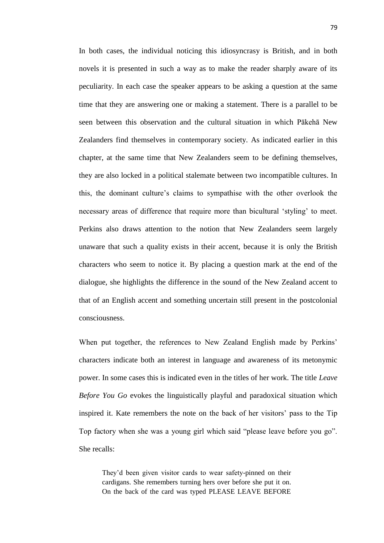In both cases, the individual noticing this idiosyncrasy is British, and in both novels it is presented in such a way as to make the reader sharply aware of its peculiarity. In each case the speaker appears to be asking a question at the same time that they are answering one or making a statement. There is a parallel to be seen between this observation and the cultural situation in which Pākehā New Zealanders find themselves in contemporary society. As indicated earlier in this chapter, at the same time that New Zealanders seem to be defining themselves, they are also locked in a political stalemate between two incompatible cultures. In this, the dominant culture's claims to sympathise with the other overlook the necessary areas of difference that require more than bicultural 'styling' to meet. Perkins also draws attention to the notion that New Zealanders seem largely unaware that such a quality exists in their accent, because it is only the British characters who seem to notice it. By placing a question mark at the end of the dialogue, she highlights the difference in the sound of the New Zealand accent to that of an English accent and something uncertain still present in the postcolonial consciousness.

When put together, the references to New Zealand English made by Perkins' characters indicate both an interest in language and awareness of its metonymic power. In some cases this is indicated even in the titles of her work. The title *Leave Before You Go* evokes the linguistically playful and paradoxical situation which inspired it. Kate remembers the note on the back of her visitors' pass to the Tip Top factory when she was a young girl which said "please leave before you go". She recalls:

They'd been given visitor cards to wear safety-pinned on their cardigans. She remembers turning hers over before she put it on. On the back of the card was typed PLEASE LEAVE BEFORE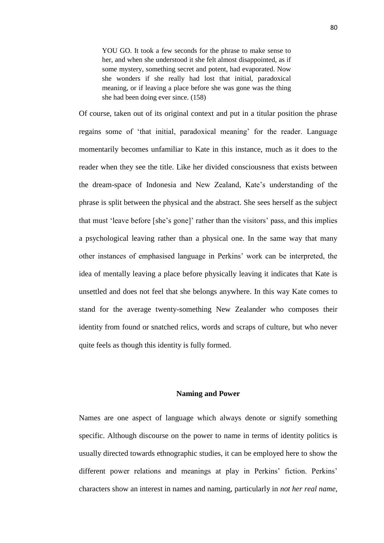YOU GO. It took a few seconds for the phrase to make sense to her, and when she understood it she felt almost disappointed, as if some mystery, something secret and potent, had evaporated. Now she wonders if she really had lost that initial, paradoxical meaning, or if leaving a place before she was gone was the thing she had been doing ever since. (158)

Of course, taken out of its original context and put in a titular position the phrase regains some of ‗that initial, paradoxical meaning' for the reader. Language momentarily becomes unfamiliar to Kate in this instance, much as it does to the reader when they see the title. Like her divided consciousness that exists between the dream-space of Indonesia and New Zealand, Kate's understanding of the phrase is split between the physical and the abstract. She sees herself as the subject that must 'leave before [she's gone]' rather than the visitors' pass, and this implies a psychological leaving rather than a physical one. In the same way that many other instances of emphasised language in Perkins' work can be interpreted, the idea of mentally leaving a place before physically leaving it indicates that Kate is unsettled and does not feel that she belongs anywhere. In this way Kate comes to stand for the average twenty-something New Zealander who composes their identity from found or snatched relics, words and scraps of culture, but who never quite feels as though this identity is fully formed.

## **Naming and Power**

Names are one aspect of language which always denote or signify something specific. Although discourse on the power to name in terms of identity politics is usually directed towards ethnographic studies, it can be employed here to show the different power relations and meanings at play in Perkins' fiction. Perkins' characters show an interest in names and naming, particularly in *not her real name*,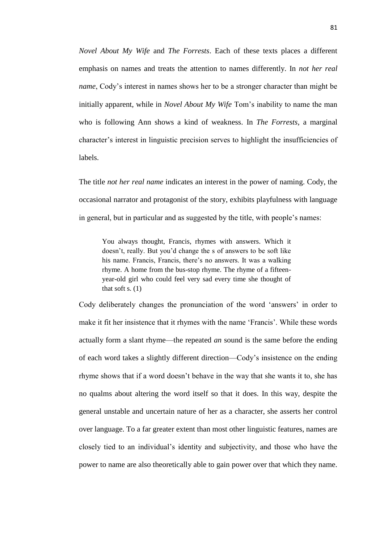*Novel About My Wife* and *The Forrests*. Each of these texts places a different emphasis on names and treats the attention to names differently. In *not her real name*, Cody's interest in names shows her to be a stronger character than might be initially apparent, while in *Novel About My Wife* Tom's inability to name the man who is following Ann shows a kind of weakness. In *The Forrests*, a marginal character's interest in linguistic precision serves to highlight the insufficiencies of labels.

The title *not her real name* indicates an interest in the power of naming. Cody, the occasional narrator and protagonist of the story, exhibits playfulness with language in general, but in particular and as suggested by the title, with people's names:

You always thought, Francis, rhymes with answers. Which it doesn't, really. But you'd change the s of answers to be soft like his name. Francis, Francis, there's no answers. It was a walking rhyme. A home from the bus-stop rhyme. The rhyme of a fifteenyear-old girl who could feel very sad every time she thought of that soft s.  $(1)$ 

Cody deliberately changes the pronunciation of the word 'answers' in order to make it fit her insistence that it rhymes with the name 'Francis'. While these words actually form a slant rhyme—the repeated *an* sound is the same before the ending of each word takes a slightly different direction—Cody's insistence on the ending rhyme shows that if a word doesn't behave in the way that she wants it to, she has no qualms about altering the word itself so that it does. In this way, despite the general unstable and uncertain nature of her as a character, she asserts her control over language. To a far greater extent than most other linguistic features, names are closely tied to an individual's identity and subjectivity, and those who have the power to name are also theoretically able to gain power over that which they name.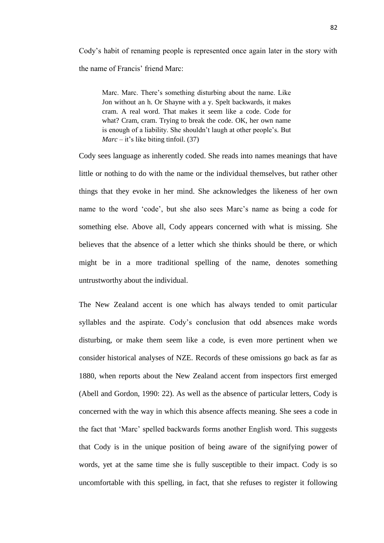Cody's habit of renaming people is represented once again later in the story with the name of Francis' friend Marc:

Marc. Marc. There's something disturbing about the name. Like Jon without an h. Or Shayne with a y. Spelt backwards, it makes cram. A real word. That makes it seem like a code. Code for what? Cram, cram. Trying to break the code. OK, her own name is enough of a liability. She shouldn't laugh at other people's. But *Marc* – it's like biting tinfoil. (37)

Cody sees language as inherently coded. She reads into names meanings that have little or nothing to do with the name or the individual themselves, but rather other things that they evoke in her mind. She acknowledges the likeness of her own name to the word 'code', but she also sees Marc's name as being a code for something else. Above all, Cody appears concerned with what is missing. She believes that the absence of a letter which she thinks should be there, or which might be in a more traditional spelling of the name, denotes something untrustworthy about the individual.

The New Zealand accent is one which has always tended to omit particular syllables and the aspirate. Cody's conclusion that odd absences make words disturbing, or make them seem like a code, is even more pertinent when we consider historical analyses of NZE. Records of these omissions go back as far as 1880, when reports about the New Zealand accent from inspectors first emerged (Abell and Gordon, 1990: 22). As well as the absence of particular letters, Cody is concerned with the way in which this absence affects meaning. She sees a code in the fact that ‗Marc' spelled backwards forms another English word. This suggests that Cody is in the unique position of being aware of the signifying power of words, yet at the same time she is fully susceptible to their impact. Cody is so uncomfortable with this spelling, in fact, that she refuses to register it following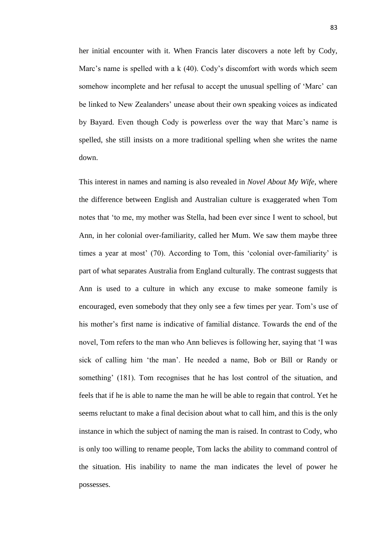her initial encounter with it. When Francis later discovers a note left by Cody, Marc's name is spelled with a k (40). Cody's discomfort with words which seem somehow incomplete and her refusal to accept the unusual spelling of 'Marc' can be linked to New Zealanders' unease about their own speaking voices as indicated by Bayard. Even though Cody is powerless over the way that Marc's name is spelled, she still insists on a more traditional spelling when she writes the name down.

This interest in names and naming is also revealed in *Novel About My Wife*, where the difference between English and Australian culture is exaggerated when Tom notes that 'to me, my mother was Stella, had been ever since I went to school, but Ann, in her colonial over-familiarity, called her Mum. We saw them maybe three times a year at most' (70). According to Tom, this ‗colonial over-familiarity' is part of what separates Australia from England culturally. The contrast suggests that Ann is used to a culture in which any excuse to make someone family is encouraged, even somebody that they only see a few times per year. Tom's use of his mother's first name is indicative of familial distance. Towards the end of the novel, Tom refers to the man who Ann believes is following her, saying that 'I was sick of calling him 'the man'. He needed a name, Bob or Bill or Randy or something' (181). Tom recognises that he has lost control of the situation, and feels that if he is able to name the man he will be able to regain that control. Yet he seems reluctant to make a final decision about what to call him, and this is the only instance in which the subject of naming the man is raised. In contrast to Cody, who is only too willing to rename people, Tom lacks the ability to command control of the situation. His inability to name the man indicates the level of power he possesses.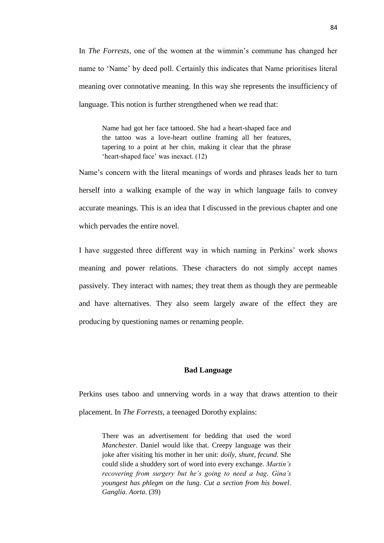In *The Forrests*, one of the women at the wimmin's commune has changed her name to 'Name' by deed poll. Certainly this indicates that Name prioritises literal meaning over connotative meaning. In this way she represents the insufficiency of language. This notion is further strengthened when we read that:

Name had got her face tattooed. She had a heart-shaped face and the tattoo was a love-heart outline framing all her features, tapering to a point at her chin, making it clear that the phrase 'heart-shaped face' was inexact. (12)

Name's concern with the literal meanings of words and phrases leads her to turn herself into a walking example of the way in which language fails to convey accurate meanings. This is an idea that I discussed in the previous chapter and one which pervades the entire novel.

I have suggested three different way in which naming in Perkins' work shows meaning and power relations. These characters do not simply accept names passively. They interact with names; they treat them as though they are permeable and have alternatives. They also seem largely aware of the effect they are producing by questioning names or renaming people.

# **Bad Language**

Perkins uses taboo and unnerving words in a way that draws attention to their placement. In *The Forrests*, a teenaged Dorothy explains:

There was an advertisement for bedding that used the word *Manchester*. Daniel would like that. Creepy language was their joke after visiting his mother in her unit: *doily*, *shunt*, *fecund*. She could slide a shuddery sort of word into every exchange. *Martin"s recovering from surgery but he"s going to need a bag*. *Gina"s youngest has phlegm on the lung*. *Cut a section from his bowel*. *Ganglia*. *Aorta*. (39)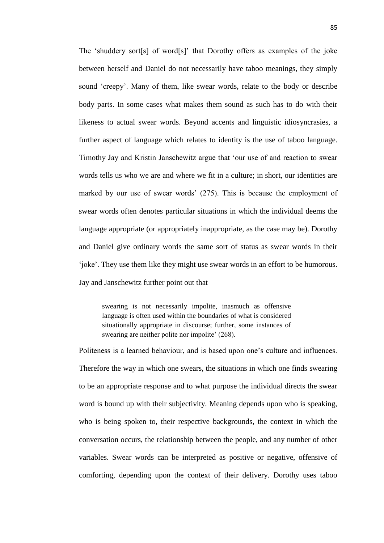The 'shuddery sort[s] of word[s]' that Dorothy offers as examples of the joke between herself and Daniel do not necessarily have taboo meanings, they simply sound ‗creepy'. Many of them, like swear words, relate to the body or describe body parts. In some cases what makes them sound as such has to do with their likeness to actual swear words. Beyond accents and linguistic idiosyncrasies, a further aspect of language which relates to identity is the use of taboo language. Timothy Jay and Kristin Janschewitz argue that ‗our use of and reaction to swear words tells us who we are and where we fit in a culture; in short, our identities are marked by our use of swear words' (275). This is because the employment of swear words often denotes particular situations in which the individual deems the language appropriate (or appropriately inappropriate, as the case may be). Dorothy and Daniel give ordinary words the same sort of status as swear words in their ‗joke'. They use them like they might use swear words in an effort to be humorous.

Jay and Janschewitz further point out that

swearing is not necessarily impolite, inasmuch as offensive language is often used within the boundaries of what is considered situationally appropriate in discourse; further, some instances of swearing are neither polite nor impolite' (268).

Politeness is a learned behaviour, and is based upon one's culture and influences. Therefore the way in which one swears, the situations in which one finds swearing to be an appropriate response and to what purpose the individual directs the swear word is bound up with their subjectivity. Meaning depends upon who is speaking, who is being spoken to, their respective backgrounds, the context in which the conversation occurs, the relationship between the people, and any number of other variables. Swear words can be interpreted as positive or negative, offensive of comforting, depending upon the context of their delivery. Dorothy uses taboo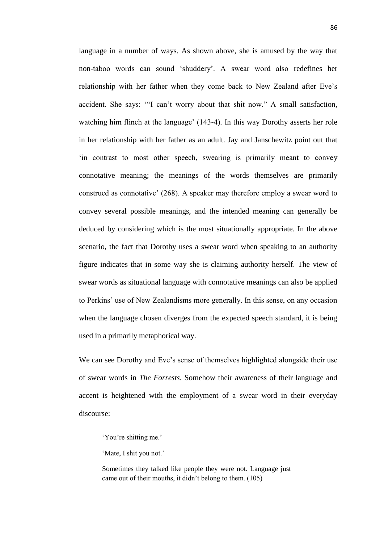language in a number of ways. As shown above, she is amused by the way that non-taboo words can sound ‗shuddery'. A swear word also redefines her relationship with her father when they come back to New Zealand after Eve's accident. She says: ""I can't worry about that shit now." A small satisfaction, watching him flinch at the language' (143-4). In this way Dorothy asserts her role in her relationship with her father as an adult. Jay and Janschewitz point out that ‗in contrast to most other speech, swearing is primarily meant to convey connotative meaning; the meanings of the words themselves are primarily construed as connotative' (268). A speaker may therefore employ a swear word to convey several possible meanings, and the intended meaning can generally be deduced by considering which is the most situationally appropriate. In the above scenario, the fact that Dorothy uses a swear word when speaking to an authority figure indicates that in some way she is claiming authority herself. The view of swear words as situational language with connotative meanings can also be applied to Perkins' use of New Zealandisms more generally. In this sense, on any occasion when the language chosen diverges from the expected speech standard, it is being used in a primarily metaphorical way.

We can see Dorothy and Eve's sense of themselves highlighted alongside their use of swear words in *The Forrests*. Somehow their awareness of their language and accent is heightened with the employment of a swear word in their everyday discourse:

Sometimes they talked like people they were not. Language just came out of their mouths, it didn't belong to them. (105)

<sup>‗</sup>You're shitting me.'

<sup>&#</sup>x27;Mate, I shit you not.'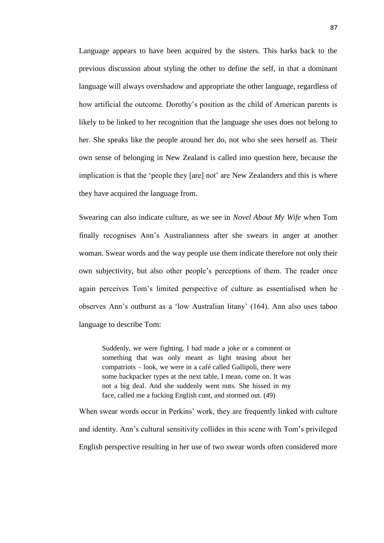Language appears to have been acquired by the sisters. This harks back to the previous discussion about styling the other to define the self, in that a dominant language will always overshadow and appropriate the other language, regardless of how artificial the outcome. Dorothy's position as the child of American parents is likely to be linked to her recognition that the language she uses does not belong to her. She speaks like the people around her do, not who she sees herself as. Their own sense of belonging in New Zealand is called into question here, because the implication is that the 'people they [are] not' are New Zealanders and this is where they have acquired the language from.

Swearing can also indicate culture, as we see in *Novel About My Wife* when Tom finally recognises Ann's Australianness after she swears in anger at another woman. Swear words and the way people use them indicate therefore not only their own subjectivity, but also other people's perceptions of them. The reader once again perceives Tom's limited perspective of culture as essentialised when he observes Ann's outburst as a ‗low Australian litany' (164). Ann also uses taboo language to describe Tom:

Suddenly, we were fighting. I had made a joke or a comment or something that was only meant as light teasing about her compatriots – look, we were in a café called Gallipoli, there were some backpacker types at the next table, I mean, come on. It was not a big deal. And she suddenly went nuts. She hissed in my face, called me a fucking English cunt, and stormed out. (49)

When swear words occur in Perkins' work, they are frequently linked with culture and identity. Ann's cultural sensitivity collides in this scene with Tom's privileged English perspective resulting in her use of two swear words often considered more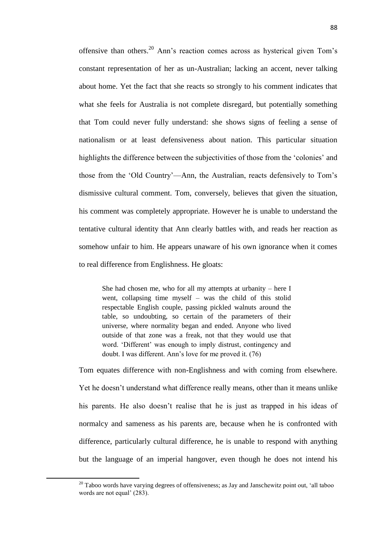offensive than others. <sup>20</sup> Ann's reaction comes across as hysterical given Tom's constant representation of her as un-Australian; lacking an accent, never talking about home. Yet the fact that she reacts so strongly to his comment indicates that what she feels for Australia is not complete disregard, but potentially something that Tom could never fully understand: she shows signs of feeling a sense of nationalism or at least defensiveness about nation. This particular situation highlights the difference between the subjectivities of those from the 'colonies' and those from the ‗Old Country'—Ann, the Australian, reacts defensively to Tom's dismissive cultural comment. Tom, conversely, believes that given the situation, his comment was completely appropriate. However he is unable to understand the tentative cultural identity that Ann clearly battles with, and reads her reaction as somehow unfair to him. He appears unaware of his own ignorance when it comes to real difference from Englishness. He gloats:

She had chosen me, who for all my attempts at urbanity – here I went, collapsing time myself – was the child of this stolid respectable English couple, passing pickled walnuts around the table, so undoubting, so certain of the parameters of their universe, where normality began and ended. Anyone who lived outside of that zone was a freak, not that they would use that word. ‗Different' was enough to imply distrust, contingency and doubt. I was different. Ann's love for me proved it. (76)

Tom equates difference with non-Englishness and with coming from elsewhere. Yet he doesn't understand what difference really means, other than it means unlike his parents. He also doesn't realise that he is just as trapped in his ideas of normalcy and sameness as his parents are, because when he is confronted with difference, particularly cultural difference, he is unable to respond with anything but the language of an imperial hangover, even though he does not intend his

**.** 

 $20$  Taboo words have varying degrees of offensiveness; as Jay and Janschewitz point out, 'all taboo words are not equal' (283).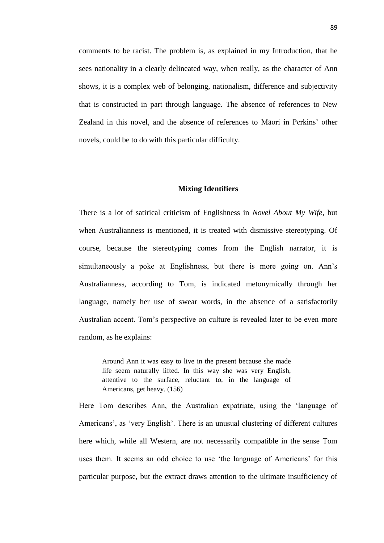comments to be racist. The problem is, as explained in my Introduction, that he sees nationality in a clearly delineated way, when really, as the character of Ann shows, it is a complex web of belonging, nationalism, difference and subjectivity that is constructed in part through language. The absence of references to New Zealand in this novel, and the absence of references to Māori in Perkins' other novels, could be to do with this particular difficulty.

# **Mixing Identifiers**

There is a lot of satirical criticism of Englishness in *Novel About My Wife*, but when Australianness is mentioned, it is treated with dismissive stereotyping. Of course, because the stereotyping comes from the English narrator, it is simultaneously a poke at Englishness, but there is more going on. Ann's Australianness, according to Tom, is indicated metonymically through her language, namely her use of swear words, in the absence of a satisfactorily Australian accent. Tom's perspective on culture is revealed later to be even more random, as he explains:

Around Ann it was easy to live in the present because she made life seem naturally lifted. In this way she was very English, attentive to the surface, reluctant to, in the language of Americans, get heavy. (156)

Here Tom describes Ann, the Australian expatriate, using the 'language of Americans', as 'very English'. There is an unusual clustering of different cultures here which, while all Western, are not necessarily compatible in the sense Tom uses them. It seems an odd choice to use 'the language of Americans' for this particular purpose, but the extract draws attention to the ultimate insufficiency of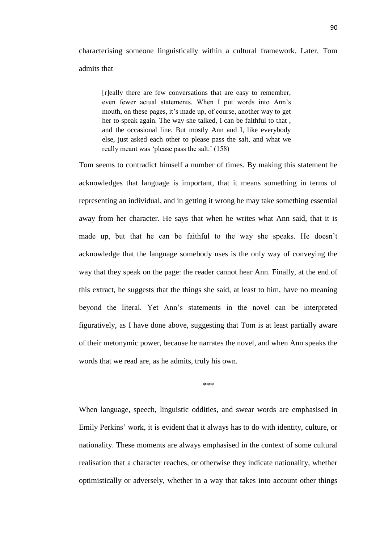characterising someone linguistically within a cultural framework. Later, Tom admits that

[r]eally there are few conversations that are easy to remember, even fewer actual statements. When I put words into Ann's mouth, on these pages, it's made up, of course, another way to get her to speak again. The way she talked, I can be faithful to that , and the occasional line. But mostly Ann and I, like everybody else, just asked each other to please pass the salt, and what we really meant was 'please pass the salt.' (158)

Tom seems to contradict himself a number of times. By making this statement he acknowledges that language is important, that it means something in terms of representing an individual, and in getting it wrong he may take something essential away from her character. He says that when he writes what Ann said, that it is made up, but that he can be faithful to the way she speaks. He doesn't acknowledge that the language somebody uses is the only way of conveying the way that they speak on the page: the reader cannot hear Ann. Finally, at the end of this extract, he suggests that the things she said, at least to him, have no meaning beyond the literal. Yet Ann's statements in the novel can be interpreted figuratively, as I have done above, suggesting that Tom is at least partially aware of their metonymic power, because he narrates the novel, and when Ann speaks the words that we read are, as he admits, truly his own.

\*\*\*

When language, speech, linguistic oddities, and swear words are emphasised in Emily Perkins' work, it is evident that it always has to do with identity, culture, or nationality. These moments are always emphasised in the context of some cultural realisation that a character reaches, or otherwise they indicate nationality, whether optimistically or adversely, whether in a way that takes into account other things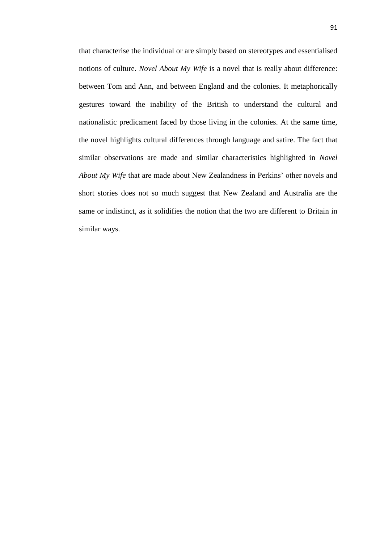that characterise the individual or are simply based on stereotypes and essentialised notions of culture. *Novel About My Wife* is a novel that is really about difference: between Tom and Ann, and between England and the colonies. It metaphorically gestures toward the inability of the British to understand the cultural and nationalistic predicament faced by those living in the colonies. At the same time, the novel highlights cultural differences through language and satire. The fact that similar observations are made and similar characteristics highlighted in *Novel About My Wife* that are made about New Zealandness in Perkins' other novels and short stories does not so much suggest that New Zealand and Australia are the same or indistinct, as it solidifies the notion that the two are different to Britain in similar ways.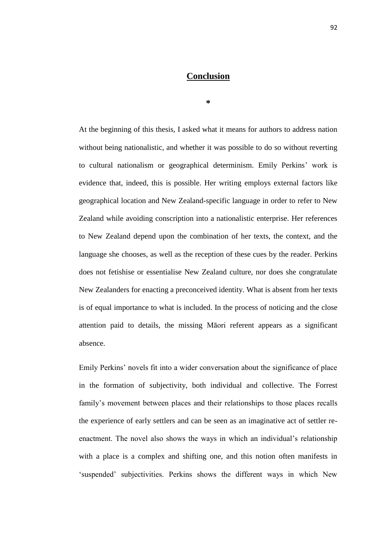# **Conclusion**

**\***

At the beginning of this thesis, I asked what it means for authors to address nation without being nationalistic, and whether it was possible to do so without reverting to cultural nationalism or geographical determinism. Emily Perkins' work is evidence that, indeed, this is possible. Her writing employs external factors like geographical location and New Zealand-specific language in order to refer to New Zealand while avoiding conscription into a nationalistic enterprise. Her references to New Zealand depend upon the combination of her texts, the context, and the language she chooses, as well as the reception of these cues by the reader. Perkins does not fetishise or essentialise New Zealand culture, nor does she congratulate New Zealanders for enacting a preconceived identity. What is absent from her texts is of equal importance to what is included. In the process of noticing and the close attention paid to details, the missing Māori referent appears as a significant absence.

Emily Perkins' novels fit into a wider conversation about the significance of place in the formation of subjectivity, both individual and collective. The Forrest family's movement between places and their relationships to those places recalls the experience of early settlers and can be seen as an imaginative act of settler reenactment. The novel also shows the ways in which an individual's relationship with a place is a complex and shifting one, and this notion often manifests in 'suspended' subjectivities. Perkins shows the different ways in which New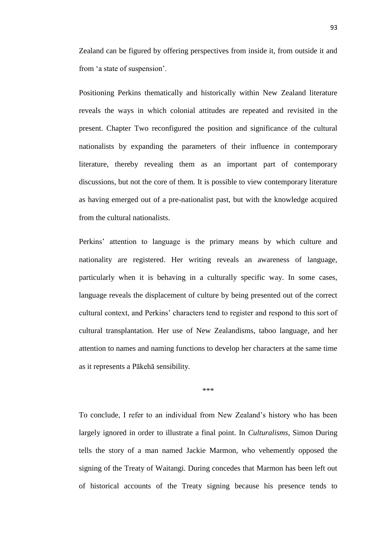Zealand can be figured by offering perspectives from inside it, from outside it and from ‗a state of suspension'.

Positioning Perkins thematically and historically within New Zealand literature reveals the ways in which colonial attitudes are repeated and revisited in the present. Chapter Two reconfigured the position and significance of the cultural nationalists by expanding the parameters of their influence in contemporary literature, thereby revealing them as an important part of contemporary discussions, but not the core of them. It is possible to view contemporary literature as having emerged out of a pre-nationalist past, but with the knowledge acquired from the cultural nationalists.

Perkins' attention to language is the primary means by which culture and nationality are registered. Her writing reveals an awareness of language, particularly when it is behaving in a culturally specific way. In some cases, language reveals the displacement of culture by being presented out of the correct cultural context, and Perkins' characters tend to register and respond to this sort of cultural transplantation. Her use of New Zealandisms, taboo language, and her attention to names and naming functions to develop her characters at the same time as it represents a Pākehā sensibility.

\*\*\*

To conclude, I refer to an individual from New Zealand's history who has been largely ignored in order to illustrate a final point. In *Culturalisms*, Simon During tells the story of a man named Jackie Marmon, who vehemently opposed the signing of the Treaty of Waitangi. During concedes that Marmon has been left out of historical accounts of the Treaty signing because his presence tends to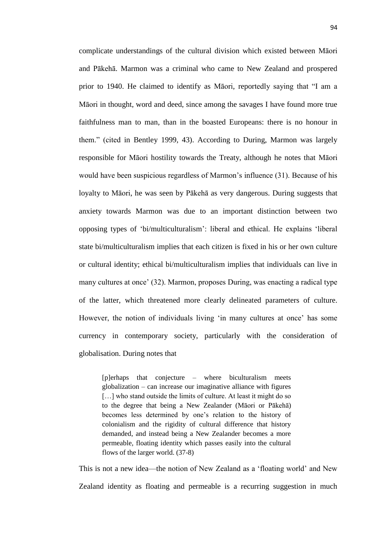complicate understandings of the cultural division which existed between Māori and Pākehā. Marmon was a criminal who came to New Zealand and prospered prior to 1940. He claimed to identify as Māori, reportedly saying that "I am a Māori in thought, word and deed, since among the savages I have found more true faithfulness man to man, than in the boasted Europeans: there is no honour in them." (cited in Bentley 1999, 43). According to During, Marmon was largely responsible for Māori hostility towards the Treaty, although he notes that Māori would have been suspicious regardless of Marmon's influence (31). Because of his loyalty to Māori, he was seen by Pākehā as very dangerous. During suggests that anxiety towards Marmon was due to an important distinction between two opposing types of ‗bi/multiculturalism': liberal and ethical. He explains ‗liberal state bi/multiculturalism implies that each citizen is fixed in his or her own culture or cultural identity; ethical bi/multiculturalism implies that individuals can live in many cultures at once' (32). Marmon, proposes During, was enacting a radical type of the latter, which threatened more clearly delineated parameters of culture. However, the notion of individuals living 'in many cultures at once' has some currency in contemporary society, particularly with the consideration of globalisation. During notes that

[p]erhaps that conjecture – where biculturalism meets globalization – can increase our imaginative alliance with figures [...] who stand outside the limits of culture. At least it might do so to the degree that being a New Zealander (Māori or Pākehā) becomes less determined by one's relation to the history of colonialism and the rigidity of cultural difference that history demanded, and instead being a New Zealander becomes a more permeable, floating identity which passes easily into the cultural flows of the larger world. (37-8)

This is not a new idea—the notion of New Zealand as a 'floating world' and New Zealand identity as floating and permeable is a recurring suggestion in much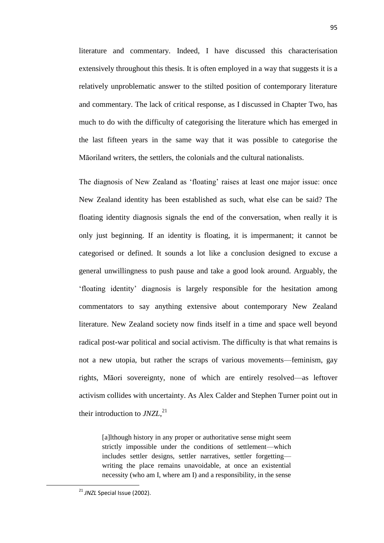literature and commentary. Indeed, I have discussed this characterisation extensively throughout this thesis. It is often employed in a way that suggests it is a relatively unproblematic answer to the stilted position of contemporary literature and commentary. The lack of critical response, as I discussed in Chapter Two, has much to do with the difficulty of categorising the literature which has emerged in the last fifteen years in the same way that it was possible to categorise the Māoriland writers, the settlers, the colonials and the cultural nationalists.

The diagnosis of New Zealand as 'floating' raises at least one major issue: once New Zealand identity has been established as such, what else can be said? The floating identity diagnosis signals the end of the conversation, when really it is only just beginning. If an identity is floating, it is impermanent; it cannot be categorised or defined. It sounds a lot like a conclusion designed to excuse a general unwillingness to push pause and take a good look around. Arguably, the ‗floating identity' diagnosis is largely responsible for the hesitation among commentators to say anything extensive about contemporary New Zealand literature. New Zealand society now finds itself in a time and space well beyond radical post-war political and social activism. The difficulty is that what remains is not a new utopia, but rather the scraps of various movements—feminism, gay rights, Māori sovereignty, none of which are entirely resolved—as leftover activism collides with uncertainty. As Alex Calder and Stephen Turner point out in their introduction to *JNZL*, 21

[a]lthough history in any proper or authoritative sense might seem strictly impossible under the conditions of settlement—which includes settler designs, settler narratives, settler forgetting writing the place remains unavoidable, at once an existential necessity (who am I, where am I) and a responsibility, in the sense

**.** 

<sup>&</sup>lt;sup>21</sup> JNZL Special Issue (2002).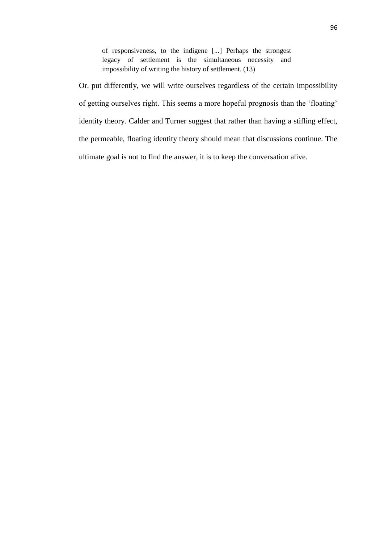of responsiveness, to the indigene [...] Perhaps the strongest legacy of settlement is the simultaneous necessity and impossibility of writing the history of settlement. (13)

Or, put differently, we will write ourselves regardless of the certain impossibility of getting ourselves right. This seems a more hopeful prognosis than the 'floating' identity theory. Calder and Turner suggest that rather than having a stifling effect, the permeable, floating identity theory should mean that discussions continue. The ultimate goal is not to find the answer, it is to keep the conversation alive.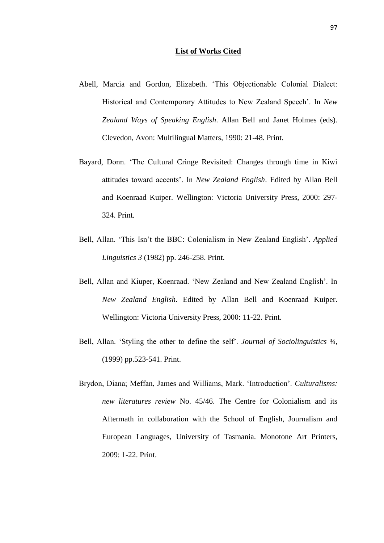#### **List of Works Cited**

- Abell, Marcia and Gordon, Elizabeth. 'This Objectionable Colonial Dialect: Historical and Contemporary Attitudes to New Zealand Speech'. In *New Zealand Ways of Speaking English*. Allan Bell and Janet Holmes (eds). Clevedon, Avon: Multilingual Matters, 1990: 21-48. Print.
- Bayard, Donn. 'The Cultural Cringe Revisited: Changes through time in Kiwi attitudes toward accents'. In *New Zealand English*. Edited by Allan Bell and Koenraad Kuiper. Wellington: Victoria University Press, 2000: 297- 324. Print.
- Bell, Allan. 'This Isn't the BBC: Colonialism in New Zealand English'. *Applied Linguistics 3* (1982) pp. 246-258. Print.
- Bell, Allan and Kiuper, Koenraad. 'New Zealand and New Zealand English'. In *New Zealand English*. Edited by Allan Bell and Koenraad Kuiper. Wellington: Victoria University Press, 2000: 11-22. Print.
- Bell, Allan. ‗Styling the other to define the self'. *Journal of Sociolinguistics* ¾, (1999) pp.523-541. Print.
- Brydon, Diana; Meffan, James and Williams, Mark. 'Introduction'. *Culturalisms: new literatures review* No. 45/46. The Centre for Colonialism and its Aftermath in collaboration with the School of English, Journalism and European Languages, University of Tasmania. Monotone Art Printers, 2009: 1-22. Print.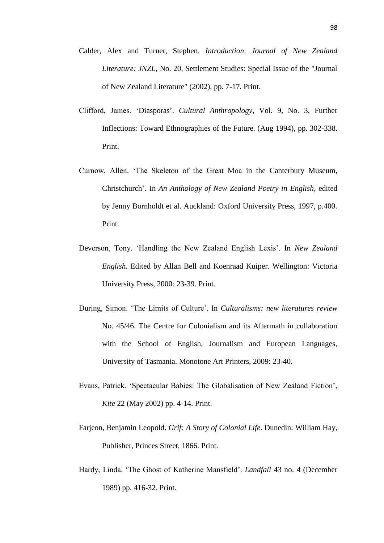- Calder, Alex and Turner, Stephen. *Introduction*. *Journal of New Zealand Literature: JNZL*, No. 20, Settlement Studies: Special Issue of the "Journal of New Zealand Literature" (2002), pp. 7-17. Print.
- Clifford, James. ‗Diasporas'. *Cultural Anthropology*, Vol. 9, No. 3, Further Inflections: Toward Ethnographies of the Future. (Aug 1994), pp. 302-338. Print.
- Curnow, Allen. 'The Skeleton of the Great Moa in the Canterbury Museum, Christchurch'. In *An Anthology of New Zealand Poetry in English*, edited by Jenny Bornholdt et al. Auckland: Oxford University Press, 1997, p.400. Print.
- Deverson, Tony. ‗Handling the New Zealand English Lexis'. In *New Zealand English*. Edited by Allan Bell and Koenraad Kuiper. Wellington: Victoria University Press, 2000: 23-39. Print.
- During, Simon. ‗The Limits of Culture'. In *Culturalisms: new literatures review* No. 45/46. The Centre for Colonialism and its Aftermath in collaboration with the School of English, Journalism and European Languages, University of Tasmania. Monotone Art Printers, 2009: 23-40.
- Evans, Patrick. ‗Spectacular Babies: The Globalisation of New Zealand Fiction', *Kite* 22 (May 2002) pp. 4-14. Print.
- Farjeon, Benjamin Leopold. *Grif: A Story of Colonial Life*. Dunedin: William Hay, Publisher, Princes Street, 1866. Print.
- Hardy, Linda. ‗The Ghost of Katherine Mansfield'. *Landfall* 43 no. 4 (December 1989) pp. 416-32. Print.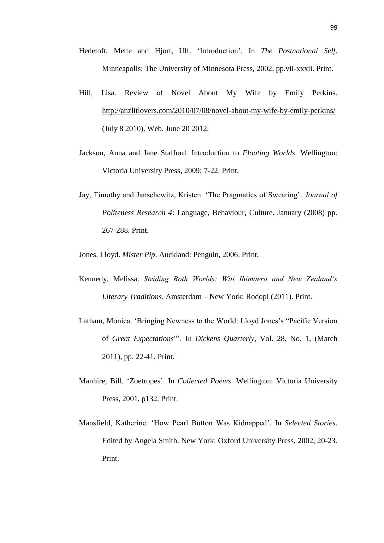- Hedetoft, Mette and Hjort, Ulf. 'Introduction'. In *The Postnational Self.* Minneapolis: The University of Minnesota Press, 2002, pp.vii-xxxii. Print.
- Hill, Lisa. Review of Novel About My Wife by Emily Perkins. <http://anzlitlovers.com/2010/07/08/novel-about-my-wife-by-emily-perkins/> (July 8 2010). Web. June 20 2012.
- Jackson, Anna and Jane Stafford. Introduction to *Floating Worlds*. Wellington: Victoria University Press, 2009: 7-22. Print.
- Jay, Timothy and Janschewitz, Kristen. 'The Pragmatics of Swearing'. *Journal of Politeness Research 4*: Language, Behaviour, Culture. January (2008) pp. 267-288. Print.

Jones, Lloyd. *Mister Pip*. Auckland: Penguin, 2006. Print.

- Kennedy, Melissa. *Striding Both Worlds: Witi Ihimaera and New Zealand"s Literary Traditions*. Amsterdam – New York: Rodopi (2011). Print.
- Latham, Monica. 'Bringing Newness to the World: Lloyd Jones's "Pacific Version of *Great Expectations*‖'. In *Dickens Quarterly*, Vol. 28, No. 1, (March 2011), pp. 22-41. Print.
- Manhire, Bill. ‗Zoetropes'. In *Collected Poems*. Wellington: Victoria University Press, 2001, p132. Print.
- Mansfield, Katherine. ‗How Pearl Button Was Kidnapped'. In *Selected Stories*. Edited by Angela Smith. New York: Oxford University Press, 2002, 20-23. Print.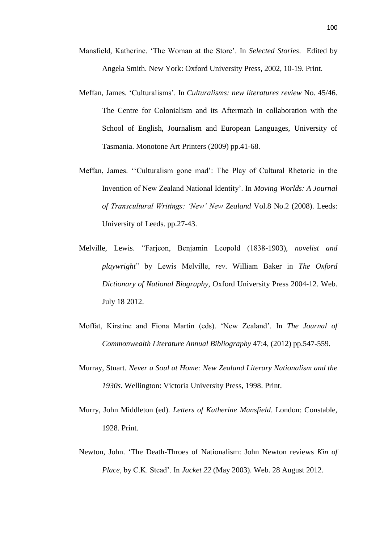- Mansfield, Katherine. ‗The Woman at the Store'. In *Selected Stories*. Edited by Angela Smith. New York: Oxford University Press, 2002, 10-19. Print.
- Meffan, James. ‗Culturalisms'. In *Culturalisms: new literatures review* No. 45/46. The Centre for Colonialism and its Aftermath in collaboration with the School of English, Journalism and European Languages, University of Tasmania. Monotone Art Printers (2009) pp.41-68.
- Meffan, James. "Culturalism gone mad': The Play of Cultural Rhetoric in the Invention of New Zealand National Identity'. In *Moving Worlds: A Journal of Transcultural Writings: "New" New Zealand* Vol.8 No.2 (2008). Leeds: University of Leeds. pp.27-43.
- Melville, Lewis. ―Farjeon, Benjamin Leopold (1838-1903), *novelist and playwright*‖ by Lewis Melville, *rev*. William Baker in *The Oxford Dictionary of National Biography*, Oxford University Press 2004-12. Web. July 18 2012.
- Moffat, Kirstine and Fiona Martin (eds). 'New Zealand'. In *The Journal of Commonwealth Literature Annual Bibliography* 47:4, (2012) pp.547-559.
- Murray, Stuart. *Never a Soul at Home: New Zealand Literary Nationalism and the 1930s*. Wellington: Victoria University Press, 1998. Print.
- Murry, John Middleton (ed). *Letters of Katherine Mansfield*. London: Constable, 1928. Print.
- Newton, John. ‗The Death-Throes of Nationalism: John Newton reviews *Kin of Place*, by C.K. Stead'. In *Jacket 22* (May 2003). Web. 28 August 2012.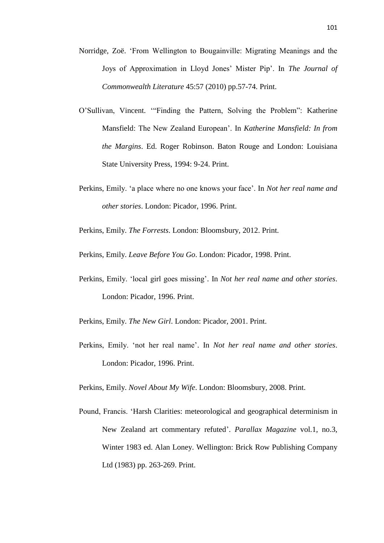- Norridge, Zoë. ‗From Wellington to Bougainville: Migrating Meanings and the Joys of Approximation in Lloyd Jones' Mister Pip'. In *The Journal of Commonwealth Literature* 45:57 (2010) pp.57-74. Print.
- O'Sullivan, Vincent. "Finding the Pattern, Solving the Problem": Katherine Mansfield: The New Zealand European'. In *Katherine Mansfield: In from the Margins*. Ed. Roger Robinson. Baton Rouge and London: Louisiana State University Press, 1994: 9-24. Print.
- Perkins, Emily. ‗a place where no one knows your face'. In *Not her real name and other stories*. London: Picador, 1996. Print.

Perkins, Emily. *The Forrests*. London: Bloomsbury, 2012. Print.

Perkins, Emily. *Leave Before You Go*. London: Picador, 1998. Print.

Perkins, Emily. ‗local girl goes missing'. In *Not her real name and other stories*. London: Picador, 1996. Print.

Perkins, Emily. *The New Girl*. London: Picador, 2001. Print.

Perkins, Emily. ‗not her real name'. In *Not her real name and other stories*. London: Picador, 1996. Print.

Perkins, Emily. *Novel About My Wife*. London: Bloomsbury, 2008. Print.

Pound, Francis. ‗Harsh Clarities: meteorological and geographical determinism in New Zealand art commentary refuted'. *Parallax Magazine* vol.1, no.3, Winter 1983 ed. Alan Loney. Wellington: Brick Row Publishing Company Ltd (1983) pp. 263-269. Print.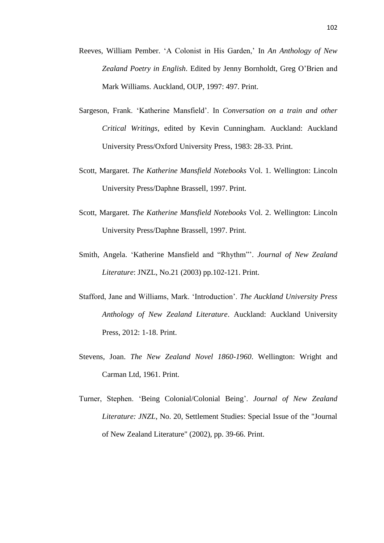- Reeves, William Pember. ‗A Colonist in His Garden,' In *An Anthology of New Zealand Poetry in English*. Edited by Jenny Bornholdt, Greg O'Brien and Mark Williams. Auckland, OUP, 1997: 497. Print.
- Sargeson, Frank. ‗Katherine Mansfield'. In *Conversation on a train and other Critical Writings*, edited by Kevin Cunningham. Auckland: Auckland University Press/Oxford University Press, 1983: 28-33. Print.
- Scott, Margaret. *The Katherine Mansfield Notebooks* Vol. 1. Wellington: Lincoln University Press/Daphne Brassell, 1997. Print.
- Scott, Margaret. *The Katherine Mansfield Notebooks* Vol. 2. Wellington: Lincoln University Press/Daphne Brassell, 1997. Print.
- Smith, Angela. 'Katherine Mansfield and "Rhythm"'. *Journal of New Zealand Literature*: JNZL, No.21 (2003) pp.102-121. Print.
- Stafford, Jane and Williams, Mark. 'Introduction'. *The Auckland University Press Anthology of New Zealand Literature*. Auckland: Auckland University Press, 2012: 1-18. Print.
- Stevens, Joan. *The New Zealand Novel 1860-1960*. Wellington: Wright and Carman Ltd, 1961. Print.
- Turner, Stephen. 'Being Colonial/Colonial Being'. *Journal of New Zealand Literature: JNZL*, No. 20, Settlement Studies: Special Issue of the "Journal of New Zealand Literature" (2002), pp. 39-66. Print.